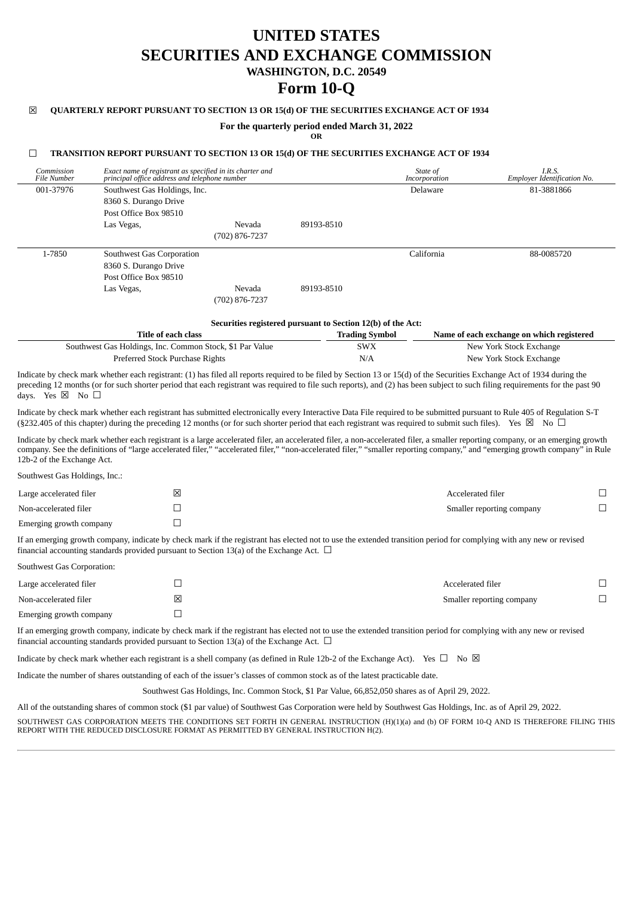# **UNITED STATES SECURITIES AND EXCHANGE COMMISSION WASHINGTON, D.C. 20549 Form 10-Q**

# ☒ **QUARTERLY REPORT PURSUANT TO SECTION 13 OR 15(d) OF THE SECURITIES EXCHANGE ACT OF 1934**

**For the quarterly period ended March 31, 2022**

**OR**

# ☐ **TRANSITION REPORT PURSUANT TO SECTION 13 OR 15(d) OF THE SECURITIES EXCHANGE ACT OF 1934**

| Commission<br>File Number          | Exact name of registrant as specified in its charter and<br>principal office address and telephone number                                                                                                                                                                                                                                                     |                          |                                                             | State of<br>Incorporation                                                                         | I.R.S.<br>Employer Identification No.     |   |  |  |  |  |
|------------------------------------|---------------------------------------------------------------------------------------------------------------------------------------------------------------------------------------------------------------------------------------------------------------------------------------------------------------------------------------------------------------|--------------------------|-------------------------------------------------------------|---------------------------------------------------------------------------------------------------|-------------------------------------------|---|--|--|--|--|
| 001-37976                          | Southwest Gas Holdings, Inc.<br>8360 S. Durango Drive<br>Post Office Box 98510                                                                                                                                                                                                                                                                                |                          |                                                             | Delaware                                                                                          | 81-3881866                                |   |  |  |  |  |
|                                    | Las Vegas,                                                                                                                                                                                                                                                                                                                                                    | Nevada<br>(702) 876-7237 | 89193-8510                                                  |                                                                                                   |                                           |   |  |  |  |  |
| 1-7850                             | Southwest Gas Corporation<br>8360 S. Durango Drive                                                                                                                                                                                                                                                                                                            |                          |                                                             | California                                                                                        | 88-0085720                                |   |  |  |  |  |
|                                    | Post Office Box 98510                                                                                                                                                                                                                                                                                                                                         |                          |                                                             |                                                                                                   |                                           |   |  |  |  |  |
|                                    | Las Vegas,                                                                                                                                                                                                                                                                                                                                                    | Nevada<br>(702) 876-7237 | 89193-8510                                                  |                                                                                                   |                                           |   |  |  |  |  |
|                                    |                                                                                                                                                                                                                                                                                                                                                               |                          | Securities registered pursuant to Section 12(b) of the Act: |                                                                                                   |                                           |   |  |  |  |  |
|                                    | <b>Title of each class</b>                                                                                                                                                                                                                                                                                                                                    |                          | <b>Trading Symbol</b>                                       |                                                                                                   | Name of each exchange on which registered |   |  |  |  |  |
|                                    | Southwest Gas Holdings, Inc. Common Stock, \$1 Par Value                                                                                                                                                                                                                                                                                                      |                          | <b>SWX</b>                                                  |                                                                                                   | New York Stock Exchange                   |   |  |  |  |  |
|                                    | Preferred Stock Purchase Rights                                                                                                                                                                                                                                                                                                                               |                          | N/A                                                         |                                                                                                   | New York Stock Exchange                   |   |  |  |  |  |
| days. Yes $\boxtimes$ No $\square$ | Indicate by check mark whether each registrant: (1) has filed all reports required to be filed by Section 13 or 15(d) of the Securities Exchange Act of 1934 during the<br>preceding 12 months (or for such shorter period that each registrant was required to file such reports), and (2) has been subject to such filing requirements for the past 90      |                          |                                                             |                                                                                                   |                                           |   |  |  |  |  |
|                                    | Indicate by check mark whether each registrant has submitted electronically every Interactive Data File required to be submitted pursuant to Rule 405 of Regulation S-T<br>(§232.405 of this chapter) during the preceding 12 months (or for such shorter period that each registrant was required to submit such files). Yes ⊠ No □                          |                          |                                                             |                                                                                                   |                                           |   |  |  |  |  |
| 12b-2 of the Exchange Act.         | Indicate by check mark whether each registrant is a large accelerated filer, an accelerated filer, a non-accelerated filer, a smaller reporting company, or an emerging growth<br>company. See the definitions of "large accelerated filer," "accelerated filer," "non-accelerated filer," "smaller reporting company," and "emerging growth company" in Rule |                          |                                                             |                                                                                                   |                                           |   |  |  |  |  |
| Southwest Gas Holdings, Inc.:      |                                                                                                                                                                                                                                                                                                                                                               |                          |                                                             |                                                                                                   |                                           |   |  |  |  |  |
| Large accelerated filer            | ⊠                                                                                                                                                                                                                                                                                                                                                             |                          |                                                             | Accelerated filer                                                                                 |                                           | ⊔ |  |  |  |  |
| Non-accelerated filer              | $\Box$                                                                                                                                                                                                                                                                                                                                                        |                          |                                                             |                                                                                                   | Smaller reporting company                 | □ |  |  |  |  |
| Emerging growth company            | $\Box$                                                                                                                                                                                                                                                                                                                                                        |                          |                                                             |                                                                                                   |                                           |   |  |  |  |  |
|                                    | If an emerging growth company, indicate by check mark if the registrant has elected not to use the extended transition period for complying with any new or revised<br>financial accounting standards provided pursuant to Section 13(a) of the Exchange Act. $\Box$                                                                                          |                          |                                                             |                                                                                                   |                                           |   |  |  |  |  |
| Southwest Gas Corporation:         |                                                                                                                                                                                                                                                                                                                                                               |                          |                                                             |                                                                                                   |                                           |   |  |  |  |  |
| Large accelerated filer            | □                                                                                                                                                                                                                                                                                                                                                             |                          |                                                             | Accelerated filer                                                                                 |                                           | ⊔ |  |  |  |  |
| Non-accelerated filer              | X                                                                                                                                                                                                                                                                                                                                                             |                          |                                                             |                                                                                                   | Smaller reporting company                 | □ |  |  |  |  |
| Emerging growth company            | □                                                                                                                                                                                                                                                                                                                                                             |                          |                                                             |                                                                                                   |                                           |   |  |  |  |  |
|                                    | If an emerging growth company, indicate by check mark if the registrant has elected not to use the extended transition period for complying with any new or revised<br>financial accounting standards provided pursuant to Section 13(a) of the Exchange Act. $\Box$                                                                                          |                          |                                                             |                                                                                                   |                                           |   |  |  |  |  |
|                                    | Indicate by check mark whether each registrant is a shell company (as defined in Rule 12b-2 of the Exchange Act). Yes $\square$ No $\boxtimes$                                                                                                                                                                                                                |                          |                                                             |                                                                                                   |                                           |   |  |  |  |  |
|                                    | Indicate the number of shares outstanding of each of the issuer's classes of common stock as of the latest practicable date.                                                                                                                                                                                                                                  |                          |                                                             |                                                                                                   |                                           |   |  |  |  |  |
|                                    |                                                                                                                                                                                                                                                                                                                                                               |                          |                                                             | Southwest Gas Holdings, Inc. Common Stock, \$1 Par Value, 66,852,050 shares as of April 29, 2022. |                                           |   |  |  |  |  |
|                                    | All of the outstanding shares of common stock (\$1 par value) of Southwest Gas Corporation were held by Southwest Gas Holdings, Inc. as of April 29, 2022.                                                                                                                                                                                                    |                          |                                                             |                                                                                                   |                                           |   |  |  |  |  |
|                                    | SOUTHWEST GAS CORPORATION MEETS THE CONDITIONS SET FORTH IN GENERAL INSTRUCTION (H)(1)(a) and (b) OF FORM 10-Q AND IS THEREFORE FILING THIS                                                                                                                                                                                                                   |                          |                                                             |                                                                                                   |                                           |   |  |  |  |  |

REPORT WITH THE REDUCED DISCLOSURE FORMAT AS PERMITTED BY GENERAL INSTRUCTION H(2).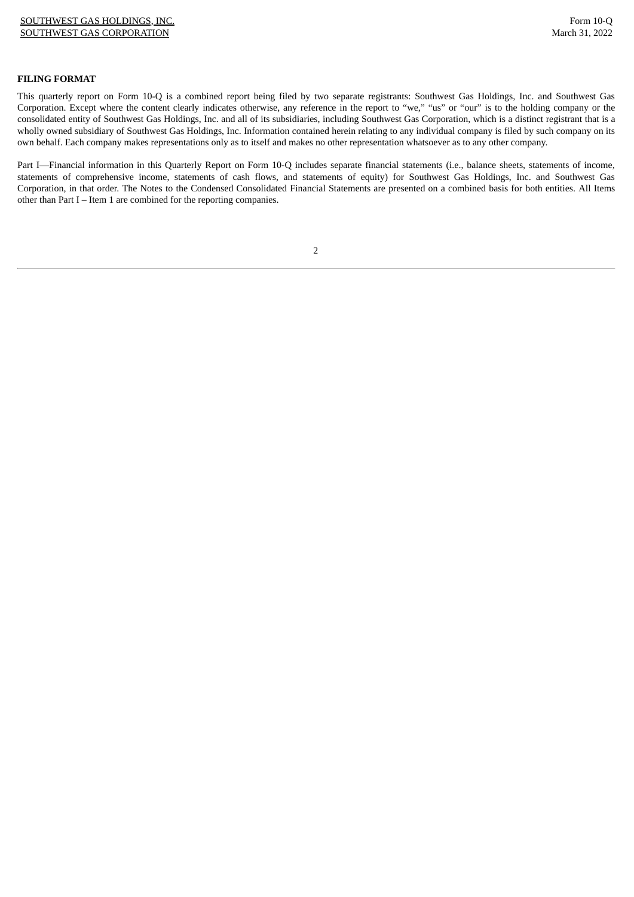# **FILING FORMAT**

This quarterly report on Form 10-Q is a combined report being filed by two separate registrants: Southwest Gas Holdings, Inc. and Southwest Gas Corporation. Except where the content clearly indicates otherwise, any reference in the report to "we," "us" or "our" is to the holding company or the consolidated entity of Southwest Gas Holdings, Inc. and all of its subsidiaries, including Southwest Gas Corporation, which is a distinct registrant that is a wholly owned subsidiary of Southwest Gas Holdings, Inc. Information contained herein relating to any individual company is filed by such company on its own behalf. Each company makes representations only as to itself and makes no other representation whatsoever as to any other company.

Part I—Financial information in this Quarterly Report on Form 10-Q includes separate financial statements (i.e., balance sheets, statements of income, statements of comprehensive income, statements of cash flows, and statements of equity) for Southwest Gas Holdings, Inc. and Southwest Gas Corporation, in that order. The Notes to the Condensed Consolidated Financial Statements are presented on a combined basis for both entities. All Items other than Part I – Item 1 are combined for the reporting companies.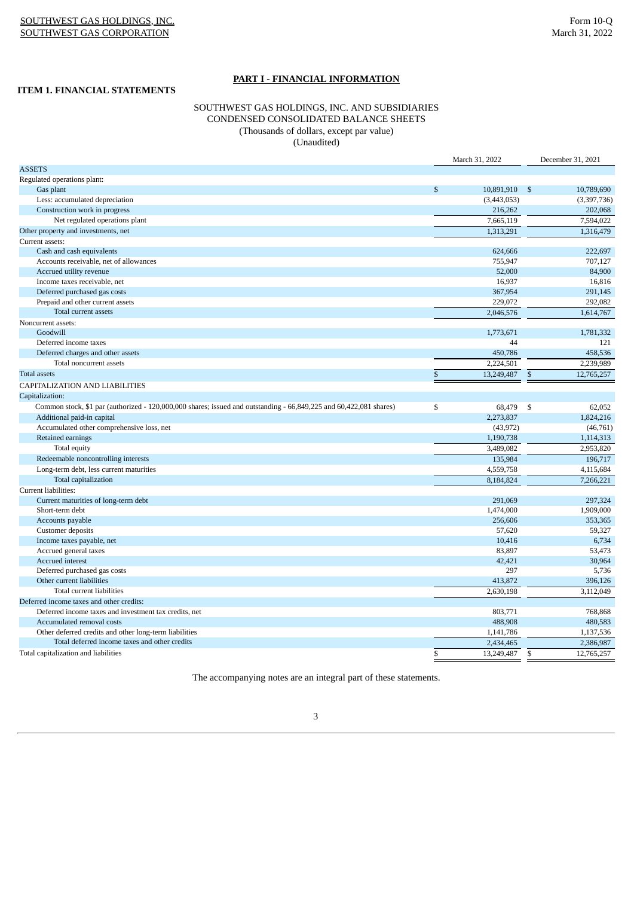# **PART I - FINANCIAL INFORMATION**

# **ITEM 1. FINANCIAL STATEMENTS**

### SOUTHWEST GAS HOLDINGS, INC. AND SUBSIDIARIES CONDENSED CONSOLIDATED BALANCE SHEETS (Thousands of dollars, except par value) (Unaudited)

|                                                                                                                    |                | March 31, 2022 | December 31, 2021 |             |  |
|--------------------------------------------------------------------------------------------------------------------|----------------|----------------|-------------------|-------------|--|
| <b>ASSETS</b>                                                                                                      |                |                |                   |             |  |
| Regulated operations plant:                                                                                        |                |                |                   |             |  |
| Gas plant                                                                                                          | $\mathfrak{s}$ | 10,891,910     | $\mathfrak{S}$    | 10,789,690  |  |
| Less: accumulated depreciation                                                                                     |                | (3,443,053)    |                   | (3,397,736) |  |
| Construction work in progress                                                                                      |                | 216,262        |                   | 202,068     |  |
| Net regulated operations plant                                                                                     |                | 7,665,119      |                   | 7,594,022   |  |
| Other property and investments, net                                                                                |                | 1,313,291      |                   | 1,316,479   |  |
| Current assets:                                                                                                    |                |                |                   |             |  |
| Cash and cash equivalents                                                                                          |                | 624,666        |                   | 222,697     |  |
| Accounts receivable, net of allowances                                                                             |                | 755,947        |                   | 707,127     |  |
| Accrued utility revenue                                                                                            |                | 52,000         |                   | 84,900      |  |
| Income taxes receivable, net                                                                                       |                | 16,937         |                   | 16,816      |  |
| Deferred purchased gas costs                                                                                       |                | 367,954        |                   | 291,145     |  |
| Prepaid and other current assets                                                                                   |                | 229,072        |                   | 292,082     |  |
| Total current assets                                                                                               |                | 2,046,576      |                   | 1,614,767   |  |
| Noncurrent assets:                                                                                                 |                |                |                   |             |  |
| Goodwill                                                                                                           |                | 1,773,671      |                   | 1,781,332   |  |
| Deferred income taxes                                                                                              |                | 44             |                   | 121         |  |
| Deferred charges and other assets                                                                                  |                | 450,786        |                   | 458,536     |  |
| Total noncurrent assets                                                                                            |                | 2,224,501      |                   | 2,239,989   |  |
| <b>Total assets</b>                                                                                                | $\mathfrak s$  | 13,249,487     | $\mathbb{S}$      | 12,765,257  |  |
| CAPITALIZATION AND LIABILITIES                                                                                     |                |                |                   |             |  |
| Capitalization:                                                                                                    |                |                |                   |             |  |
| Common stock, \$1 par (authorized - 120,000,000 shares; issued and outstanding - 66,849,225 and 60,422,081 shares) | \$             | 68,479         | \$                | 62,052      |  |
| Additional paid-in capital                                                                                         |                | 2,273,837      |                   | 1,824,216   |  |
| Accumulated other comprehensive loss, net                                                                          |                | (43, 972)      |                   | (46, 761)   |  |
| Retained earnings                                                                                                  |                | 1,190,738      |                   | 1,114,313   |  |
| Total equity                                                                                                       |                | 3,489,082      |                   | 2,953,820   |  |
| Redeemable noncontrolling interests                                                                                |                | 135,984        |                   | 196,717     |  |
| Long-term debt, less current maturities                                                                            |                | 4,559,758      |                   | 4,115,684   |  |
| Total capitalization                                                                                               |                | 8,184,824      |                   | 7,266,221   |  |
| Current liabilities:                                                                                               |                |                |                   |             |  |
| Current maturities of long-term debt                                                                               |                | 291,069        |                   | 297,324     |  |
| Short-term debt                                                                                                    |                | 1,474,000      |                   | 1,909,000   |  |
| Accounts payable                                                                                                   |                | 256,606        |                   | 353,365     |  |
| Customer deposits                                                                                                  |                | 57,620         |                   | 59,327      |  |
| Income taxes payable, net                                                                                          |                | 10,416         |                   | 6,734       |  |
| Accrued general taxes                                                                                              |                | 83,897         |                   | 53,473      |  |
| Accrued interest                                                                                                   |                | 42,421         |                   | 30,964      |  |
| Deferred purchased gas costs                                                                                       |                | 297            |                   | 5,736       |  |
| Other current liabilities                                                                                          |                | 413,872        |                   | 396,126     |  |
| Total current liabilities                                                                                          |                | 2,630,198      |                   | 3,112,049   |  |
| Deferred income taxes and other credits:                                                                           |                |                |                   |             |  |
| Deferred income taxes and investment tax credits, net                                                              |                | 803,771        |                   | 768,868     |  |
| Accumulated removal costs                                                                                          |                | 488,908        |                   | 480,583     |  |
| Other deferred credits and other long-term liabilities                                                             |                | 1,141,786      |                   | 1,137,536   |  |
| Total deferred income taxes and other credits                                                                      |                | 2,434,465      |                   | 2,386,987   |  |
| Total capitalization and liabilities                                                                               | \$             | 13,249,487     | \$                | 12,765,257  |  |

The accompanying notes are an integral part of these statements.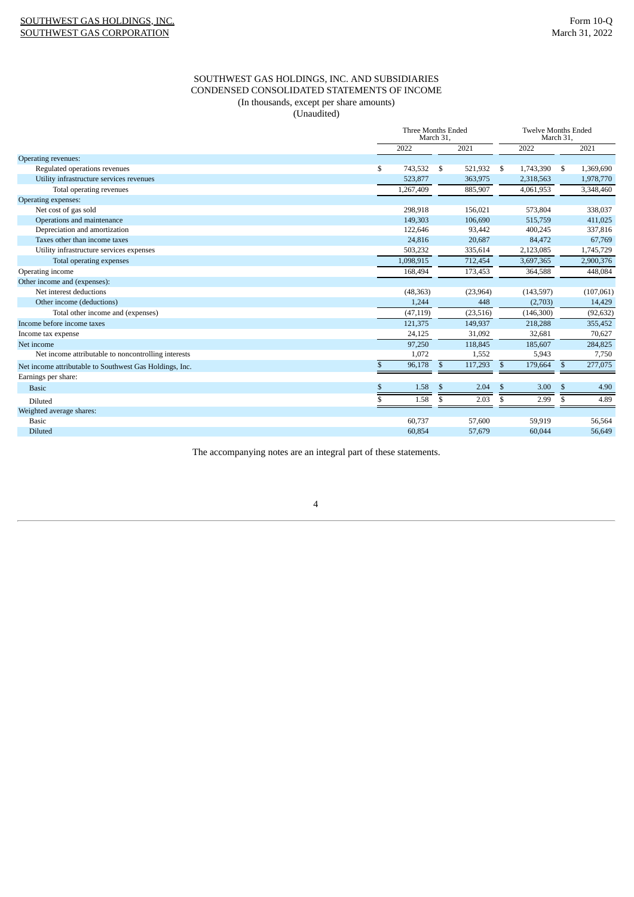### SOUTHWEST GAS HOLDINGS, INC. AND SUBSIDIARIES CONDENSED CONSOLIDATED STATEMENTS OF INCOME (In thousands, except per share amounts) (Unaudited)

|                                                         | <b>Three Months Ended</b><br>March 31. |                |           |               | <b>Twelve Months Ended</b><br>March 31. |                |           |
|---------------------------------------------------------|----------------------------------------|----------------|-----------|---------------|-----------------------------------------|----------------|-----------|
|                                                         | 2022                                   |                | 2021      |               | 2022                                    |                | 2021      |
| Operating revenues:                                     |                                        |                |           |               |                                         |                |           |
| Regulated operations revenues                           | \$<br>743,532                          | \$             | 521,932   | \$            | 1,743,390                               | \$             | 1,369,690 |
| Utility infrastructure services revenues                | 523,877                                |                | 363,975   |               | 2,318,563                               |                | 1,978,770 |
| Total operating revenues                                | 1,267,409                              |                | 885,907   |               | 4,061,953                               |                | 3,348,460 |
| Operating expenses:                                     |                                        |                |           |               |                                         |                |           |
| Net cost of gas sold                                    | 298,918                                |                | 156,021   |               | 573,804                                 |                | 338,037   |
| Operations and maintenance                              | 149,303                                |                | 106,690   |               | 515,759                                 |                | 411,025   |
| Depreciation and amortization                           | 122,646                                |                | 93,442    |               | 400,245                                 |                | 337,816   |
| Taxes other than income taxes                           | 24,816                                 |                | 20,687    |               | 84,472                                  |                | 67,769    |
| Utility infrastructure services expenses                | 503,232                                |                | 335,614   |               | 2,123,085                               |                | 1,745,729 |
| Total operating expenses                                | 1,098,915                              |                | 712,454   |               | 3,697,365                               |                | 2,900,376 |
| Operating income                                        | 168,494                                |                | 173.453   |               | 364,588                                 |                | 448,084   |
| Other income and (expenses):                            |                                        |                |           |               |                                         |                |           |
| Net interest deductions                                 | (48, 363)                              |                | (23,964)  |               | (143, 597)                              |                | (107,061) |
| Other income (deductions)                               | 1,244                                  |                | 448       |               | (2,703)                                 |                | 14,429    |
| Total other income and (expenses)                       | (47, 119)                              |                | (23, 516) |               | (146, 300)                              |                | (92, 632) |
| Income before income taxes                              | 121,375                                |                | 149,937   |               | 218,288                                 |                | 355,452   |
| Income tax expense                                      | 24,125                                 |                | 31,092    |               | 32,681                                  |                | 70,627    |
| Net income                                              | 97,250                                 |                | 118,845   |               | 185,607                                 |                | 284,825   |
| Net income attributable to noncontrolling interests     | 1.072                                  |                | 1,552     |               | 5.943                                   |                | 7,750     |
| Net income attributable to Southwest Gas Holdings, Inc. | \$<br>96,178                           | $\mathbb{S}$   | 117,293   | \$            | 179,664                                 | $\mathfrak{S}$ | 277,075   |
| Earnings per share:                                     |                                        |                |           |               |                                         |                |           |
| <b>Basic</b>                                            | \$<br>1.58                             | $\mathfrak{S}$ | 2.04      | <sup>\$</sup> | 3.00                                    | $\mathbb{S}$   | 4.90      |
| Diluted                                                 | \$<br>1.58                             | \$             | 2.03      | -S            | 2.99                                    | \$             | 4.89      |
| Weighted average shares:                                |                                        |                |           |               |                                         |                |           |
| <b>Basic</b>                                            | 60,737                                 |                | 57.600    |               | 59,919                                  |                | 56,564    |
| <b>Diluted</b>                                          | 60,854                                 |                | 57,679    |               | 60,044                                  |                | 56,649    |

The accompanying notes are an integral part of these statements.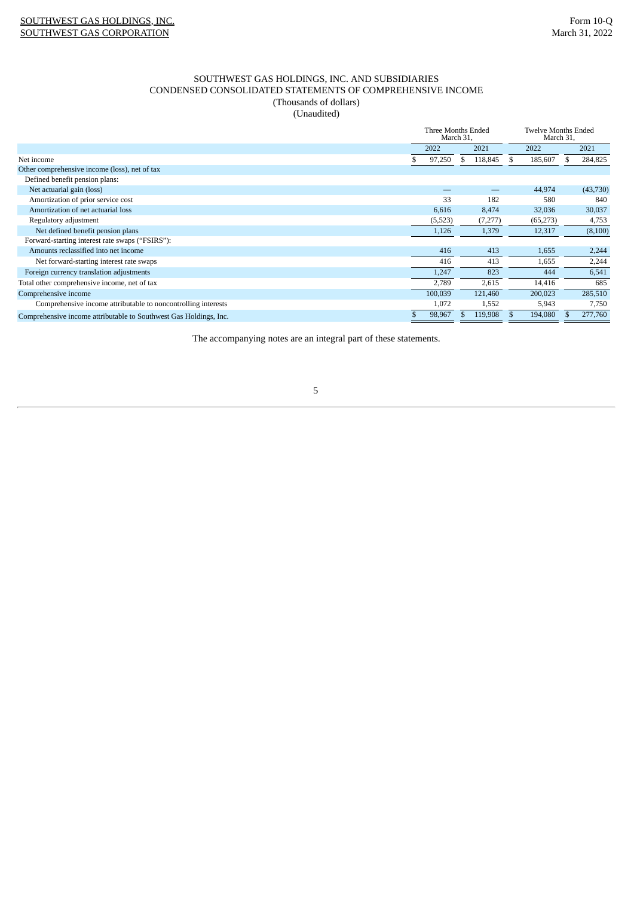### SOUTHWEST GAS HOLDINGS, INC. AND SUBSIDIARIES CONDENSED CONSOLIDATED STATEMENTS OF COMPREHENSIVE INCOME (Thousands of dollars) (Unaudited)

|                                                                   | Three Months Ended<br>March 31, |      |         |      | <b>Twelve Months Ended</b><br>March 31, |      |          |  |  |
|-------------------------------------------------------------------|---------------------------------|------|---------|------|-----------------------------------------|------|----------|--|--|
|                                                                   | 2022                            | 2021 |         | 2022 |                                         | 2021 |          |  |  |
| Net income                                                        | 97,250                          | SS.  | 118,845 | -S   | 185,607                                 | Эħ.  | 284,825  |  |  |
| Other comprehensive income (loss), net of tax                     |                                 |      |         |      |                                         |      |          |  |  |
| Defined benefit pension plans:                                    |                                 |      |         |      |                                         |      |          |  |  |
| Net actuarial gain (loss)                                         |                                 |      |         |      | 44,974                                  |      | (43,730) |  |  |
| Amortization of prior service cost                                | 33                              |      | 182     |      | 580                                     |      | 840      |  |  |
| Amortization of net actuarial loss                                | 6,616                           |      | 8,474   |      | 32,036                                  |      | 30,037   |  |  |
| Regulatory adjustment                                             | (5, 523)                        |      | (7,277) |      | (65, 273)                               |      | 4,753    |  |  |
| Net defined benefit pension plans                                 | 1,126                           |      | 1,379   |      | 12,317                                  |      | (8,100)  |  |  |
| Forward-starting interest rate swaps ("FSIRS"):                   |                                 |      |         |      |                                         |      |          |  |  |
| Amounts reclassified into net income                              | 416                             |      | 413     |      | 1,655                                   |      | 2,244    |  |  |
| Net forward-starting interest rate swaps                          | 416                             |      | 413     |      | 1,655                                   |      | 2,244    |  |  |
| Foreign currency translation adjustments                          | 1,247                           |      | 823     |      | 444                                     |      | 6,541    |  |  |
| Total other comprehensive income, net of tax                      | 2,789                           |      | 2,615   |      | 14,416                                  |      | 685      |  |  |
| Comprehensive income                                              | 100,039                         |      | 121,460 |      | 200,023                                 |      | 285,510  |  |  |
| Comprehensive income attributable to noncontrolling interests     | 1,072                           |      | 1,552   |      | 5,943                                   |      | 7,750    |  |  |
| Comprehensive income attributable to Southwest Gas Holdings, Inc. | 98,967                          |      | 119,908 |      | 194,080                                 |      | 277,760  |  |  |

The accompanying notes are an integral part of these statements.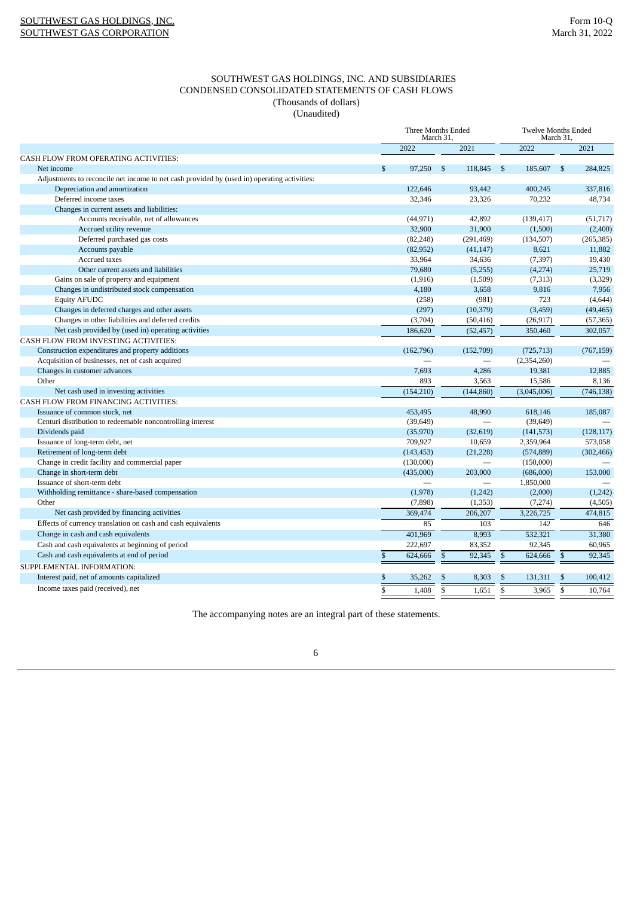### SOUTHWEST GAS HOLDINGS, INC. AND SUBSIDIARIES CONDENSED CONSOLIDATED STATEMENTS OF CASH FLOWS (Thousands of dollars) (Unaudited)

|                                                                                             | Three Months Ended<br>March 31, |            |                |                   |                         | <b>Twelve Months Ended</b><br>March 31, |              |            |  |
|---------------------------------------------------------------------------------------------|---------------------------------|------------|----------------|-------------------|-------------------------|-----------------------------------------|--------------|------------|--|
|                                                                                             |                                 | 2022       |                | 2021              |                         | 2022                                    |              | 2021       |  |
| CASH FLOW FROM OPERATING ACTIVITIES:                                                        |                                 |            |                |                   |                         |                                         |              |            |  |
| Net income                                                                                  | $\mathbb{S}$                    | 97,250     | $\mathfrak{s}$ | 118,845           | - \$                    | 185,607 \$                              |              | 284,825    |  |
| Adjustments to reconcile net income to net cash provided by (used in) operating activities: |                                 |            |                |                   |                         |                                         |              |            |  |
| Depreciation and amortization                                                               |                                 | 122,646    |                | 93,442            |                         | 400,245                                 |              | 337,816    |  |
| Deferred income taxes                                                                       |                                 | 32,346     |                | 23,326            |                         | 70,232                                  |              | 48,734     |  |
| Changes in current assets and liabilities:                                                  |                                 |            |                |                   |                         |                                         |              |            |  |
| Accounts receivable, net of allowances                                                      |                                 | (44, 971)  |                | 42,892            |                         | (139, 417)                              |              | (51, 717)  |  |
| Accrued utility revenue                                                                     |                                 | 32,900     |                | 31,900            |                         | (1,500)                                 |              | (2,400)    |  |
| Deferred purchased gas costs                                                                |                                 | (82, 248)  |                | (291, 469)        |                         | (134, 507)                              |              | (265, 385) |  |
| Accounts payable                                                                            |                                 | (82, 952)  |                | (41, 147)         |                         | 8,621                                   |              | 11,882     |  |
| Accrued taxes                                                                               |                                 | 33,964     |                | 34,636            |                         | (7, 397)                                |              | 19,430     |  |
| Other current assets and liabilities                                                        |                                 | 79,680     |                | (5,255)           |                         | (4,274)                                 |              | 25,719     |  |
| Gains on sale of property and equipment                                                     |                                 | (1, 916)   |                | (1,509)           |                         | (7, 313)                                |              | (3,329)    |  |
| Changes in undistributed stock compensation                                                 |                                 | 4,180      |                | 3,658             |                         | 9,816                                   |              | 7,956      |  |
| <b>Equity AFUDC</b>                                                                         |                                 | (258)      |                | (981)             |                         | 723                                     |              | (4, 644)   |  |
| Changes in deferred charges and other assets                                                |                                 | (297)      |                | (10, 379)         |                         | (3, 459)                                |              | (49, 465)  |  |
| Changes in other liabilities and deferred credits                                           |                                 | (3,704)    |                | (50, 416)         |                         | (26, 917)                               |              | (57, 365)  |  |
| Net cash provided by (used in) operating activities                                         |                                 | 186,620    |                | (52, 457)         |                         | 350,460                                 |              | 302,057    |  |
| CASH FLOW FROM INVESTING ACTIVITIES:                                                        |                                 |            |                |                   |                         |                                         |              |            |  |
| Construction expenditures and property additions                                            |                                 | (162, 796) |                | (152,709)         |                         | (725, 713)                              |              | (767, 159) |  |
| Acquisition of businesses, net of cash acquired                                             |                                 |            |                |                   |                         | (2,354,260)                             |              |            |  |
| Changes in customer advances                                                                |                                 | 7,693      |                | 4,286             |                         | 19,381                                  |              | 12,885     |  |
| Other                                                                                       |                                 | 893        |                | 3,563             |                         | 15,586                                  |              | 8,136      |  |
| Net cash used in investing activities                                                       |                                 | (154, 210) |                | (144, 860)        |                         | (3,045,006)                             |              | (746, 138) |  |
| CASH FLOW FROM FINANCING ACTIVITIES:                                                        |                                 |            |                |                   |                         |                                         |              |            |  |
| Issuance of common stock, net                                                               |                                 | 453,495    |                | 48,990            |                         | 618,146                                 |              | 185,087    |  |
| Centuri distribution to redeemable noncontrolling interest                                  |                                 | (39, 649)  |                | $\qquad \qquad -$ |                         | (39, 649)                               |              |            |  |
| Dividends paid                                                                              |                                 | (35,970)   |                | (32, 619)         |                         | (141, 573)                              |              | (128, 117) |  |
| Issuance of long-term debt, net                                                             |                                 | 709,927    |                | 10,659            |                         | 2,359,964                               |              | 573,058    |  |
| Retirement of long-term debt                                                                |                                 | (143, 453) |                | (21, 228)         |                         | (574, 889)                              |              | (302, 466) |  |
| Change in credit facility and commercial paper                                              |                                 | (130,000)  |                |                   |                         | (150,000)                               |              |            |  |
| Change in short-term debt                                                                   |                                 | (435,000)  |                | 203,000           |                         | (686,000)                               |              | 153,000    |  |
| Issuance of short-term debt                                                                 |                                 |            |                |                   |                         | 1,850,000                               |              |            |  |
| Withholding remittance - share-based compensation                                           |                                 | (1,978)    |                | (1,242)           |                         | (2,000)                                 |              | (1, 242)   |  |
| Other                                                                                       |                                 | (7,898)    |                | (1, 353)          |                         | (7, 274)                                |              | (4,505)    |  |
| Net cash provided by financing activities                                                   |                                 | 369,474    |                | 206,207           |                         | 3,226,725                               |              | 474,815    |  |
| Effects of currency translation on cash and cash equivalents                                |                                 | 85         |                | 103               |                         | 142                                     |              | 646        |  |
| Change in cash and cash equivalents                                                         |                                 | 401.969    |                | 8.993             |                         | 532,321                                 |              | 31,380     |  |
| Cash and cash equivalents at beginning of period                                            |                                 | 222,697    |                | 83,352            |                         | 92,345                                  |              | 60,965     |  |
| Cash and cash equivalents at end of period                                                  | \$                              | 624,666    | $\mathbb{S}$   | 92,345            | \$                      | 624,666                                 | $\mathbb{S}$ | 92,345     |  |
| SUPPLEMENTAL INFORMATION:                                                                   |                                 |            |                |                   |                         |                                         |              |            |  |
| Interest paid, net of amounts capitalized                                                   | \$                              | 35,262     | $\mathfrak{S}$ | 8,303             | \$                      | 131,311                                 | \$           | 100,412    |  |
|                                                                                             | $\overline{\mathbf{s}}$         |            |                |                   |                         |                                         |              |            |  |
| Income taxes paid (received), net                                                           |                                 | 1,408      |                | 1,651             | $\overline{\mathbf{s}}$ | 3,965                                   |              | 10,764     |  |

The accompanying notes are an integral part of these statements.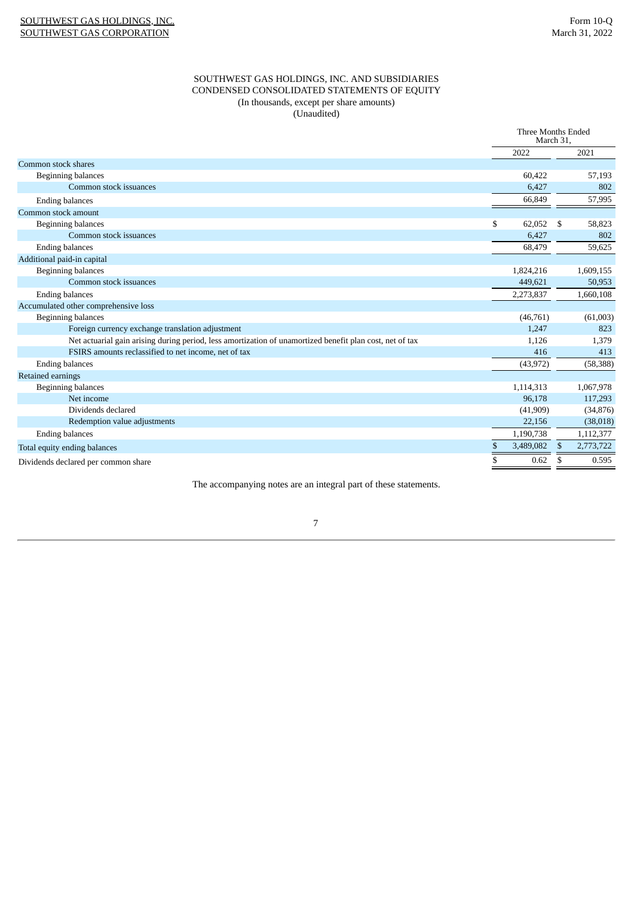### SOUTHWEST GAS HOLDINGS, INC. AND SUBSIDIARIES CONDENSED CONSOLIDATED STATEMENTS OF EQUITY (In thousands, except per share amounts) (Unaudited)

|                                                                                                          | Three Months Ended<br>March 31. |      |           |
|----------------------------------------------------------------------------------------------------------|---------------------------------|------|-----------|
|                                                                                                          | 2022                            |      | 2021      |
| Common stock shares                                                                                      |                                 |      |           |
| <b>Beginning balances</b>                                                                                | 60,422                          |      | 57,193    |
| Common stock issuances                                                                                   | 6,427                           |      | 802       |
| <b>Ending balances</b>                                                                                   | 66,849                          |      | 57,995    |
| Common stock amount                                                                                      |                                 |      |           |
| <b>Beginning balances</b>                                                                                | \$<br>62,052                    | - \$ | 58,823    |
| Common stock issuances                                                                                   | 6.427                           |      | 802       |
| <b>Ending balances</b>                                                                                   | 68,479                          |      | 59,625    |
| Additional paid-in capital                                                                               |                                 |      |           |
| <b>Beginning balances</b>                                                                                | 1,824,216                       |      | 1,609,155 |
| Common stock issuances                                                                                   | 449,621                         |      | 50,953    |
| <b>Ending balances</b>                                                                                   | 2,273,837                       |      | 1,660,108 |
| Accumulated other comprehensive loss                                                                     |                                 |      |           |
| <b>Beginning balances</b>                                                                                | (46,761)                        |      | (61,003)  |
| Foreign currency exchange translation adjustment                                                         | 1,247                           |      | 823       |
| Net actuarial gain arising during period, less amortization of unamortized benefit plan cost, net of tax | 1,126                           |      | 1,379     |
| FSIRS amounts reclassified to net income, net of tax                                                     | 416                             |      | 413       |
| <b>Ending balances</b>                                                                                   | (43, 972)                       |      | (58, 388) |
| Retained earnings                                                                                        |                                 |      |           |
| <b>Beginning balances</b>                                                                                | 1,114,313                       |      | 1,067,978 |
| Net income                                                                                               | 96,178                          |      | 117,293   |
| Dividends declared                                                                                       | (41,909)                        |      | (34, 876) |
| Redemption value adjustments                                                                             | 22,156                          |      | (38,018)  |
| <b>Ending balances</b>                                                                                   | 1,190,738                       |      | 1,112,377 |
| Total equity ending balances                                                                             | \$<br>3,489,082                 | \$   | 2,773,722 |
| Dividends declared per common share                                                                      | \$<br>0.62                      |      | 0.595     |

The accompanying notes are an integral part of these statements.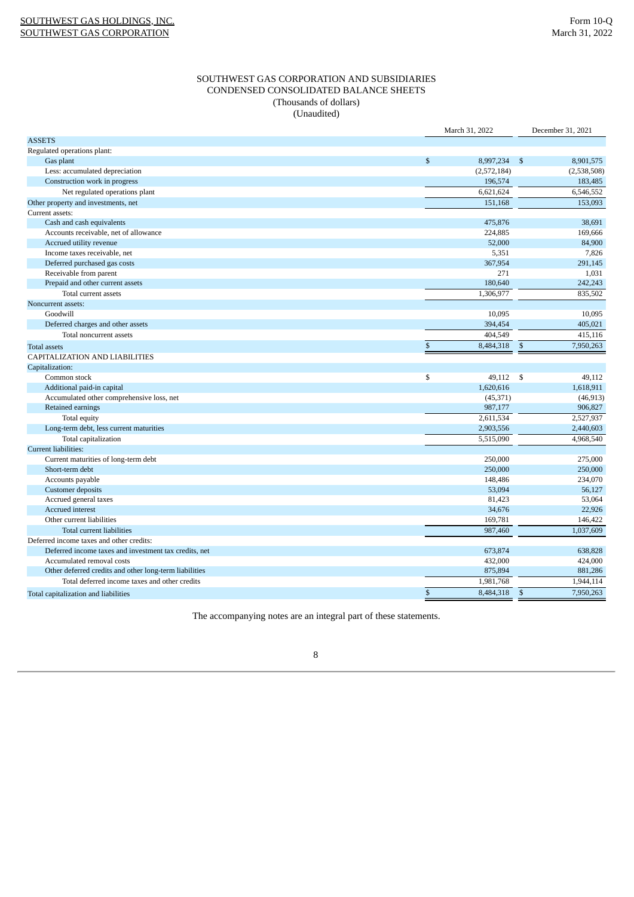### SOUTHWEST GAS CORPORATION AND SUBSIDIARIES CONDENSED CONSOLIDATED BALANCE SHEETS (Thousands of dollars) (Unaudited)

|                                                        | March 31, 2022 |             |                | December 31, 2021 |
|--------------------------------------------------------|----------------|-------------|----------------|-------------------|
| <b>ASSETS</b>                                          |                |             |                |                   |
| Regulated operations plant:                            |                |             |                |                   |
| Gas plant                                              | \$             | 8,997,234   | \$             | 8,901,575         |
| Less: accumulated depreciation                         |                | (2,572,184) |                | (2,538,508)       |
| Construction work in progress                          |                | 196,574     |                | 183,485           |
| Net regulated operations plant                         |                | 6,621,624   |                | 6,546,552         |
| Other property and investments, net                    |                | 151,168     |                | 153,093           |
| Current assets:                                        |                |             |                |                   |
| Cash and cash equivalents                              |                | 475,876     |                | 38,691            |
| Accounts receivable, net of allowance                  |                | 224,885     |                | 169,666           |
| Accrued utility revenue                                |                | 52,000      |                | 84,900            |
| Income taxes receivable, net                           |                | 5,351       |                | 7,826             |
| Deferred purchased gas costs                           |                | 367,954     |                | 291,145           |
| Receivable from parent                                 |                | 271         |                | 1,031             |
| Prepaid and other current assets                       |                | 180,640     |                | 242,243           |
| <b>Total current assets</b>                            |                | 1,306,977   |                | 835,502           |
| Noncurrent assets:                                     |                |             |                |                   |
| Goodwill                                               |                | 10,095      |                | 10,095            |
| Deferred charges and other assets                      |                | 394,454     |                | 405,021           |
| Total noncurrent assets                                |                | 404,549     |                | 415,116           |
| <b>Total assets</b>                                    | $\mathbb{S}$   | 8,484,318   | $\mathfrak{S}$ | 7,950,263         |
| <b>CAPITALIZATION AND LIABILITIES</b>                  |                |             |                |                   |
| Capitalization:                                        |                |             |                |                   |
| Common stock                                           | \$             | 49,112 \$   |                | 49,112            |
| Additional paid-in capital                             |                | 1,620,616   |                | 1,618,911         |
| Accumulated other comprehensive loss, net              |                | (45, 371)   |                | (46, 913)         |
| Retained earnings                                      |                | 987,177     |                | 906,827           |
| Total equity                                           |                | 2,611,534   |                | 2,527,937         |
| Long-term debt, less current maturities                |                | 2,903,556   |                | 2,440,603         |
| Total capitalization                                   |                | 5,515,090   |                | 4,968,540         |
| Current liabilities:                                   |                |             |                |                   |
| Current maturities of long-term debt                   |                | 250,000     |                | 275,000           |
| Short-term debt                                        |                | 250,000     |                | 250,000           |
| Accounts payable                                       |                | 148,486     |                | 234,070           |
| Customer deposits                                      |                | 53,094      |                | 56,127            |
| Accrued general taxes                                  |                | 81,423      |                | 53,064            |
| <b>Accrued</b> interest                                |                | 34,676      |                | 22,926            |
| Other current liabilities                              |                | 169,781     |                | 146,422           |
| <b>Total current liabilities</b>                       |                | 987,460     |                | 1,037,609         |
| Deferred income taxes and other credits:               |                |             |                |                   |
| Deferred income taxes and investment tax credits, net  |                | 673,874     |                | 638,828           |
| Accumulated removal costs                              |                | 432,000     |                | 424,000           |
| Other deferred credits and other long-term liabilities |                | 875,894     |                | 881,286           |
| Total deferred income taxes and other credits          |                | 1,981,768   |                | 1,944,114         |
| Total capitalization and liabilities                   | \$             | 8,484,318   | $\mathbb{S}$   | 7,950,263         |
|                                                        |                |             |                |                   |

The accompanying notes are an integral part of these statements.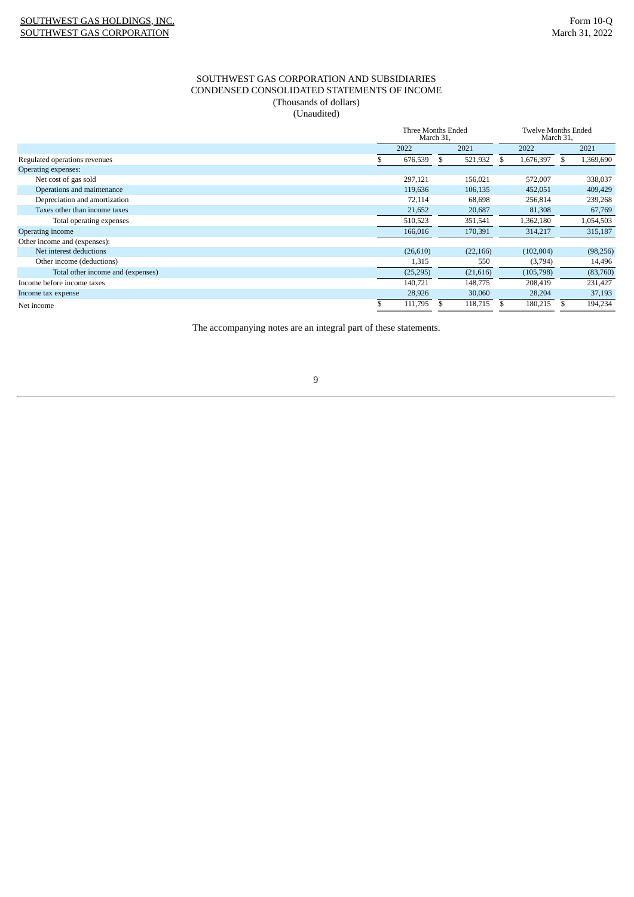### SOUTHWEST GAS CORPORATION AND SUBSIDIARIES CONDENSED CONSOLIDATED STATEMENTS OF INCOME (Thousands of dollars) (Unaudited)

|                                   | Three Months Ended<br>March 31. |           |      |           |  | <b>Twelve Months Ended</b><br>March 31, |  |           |  |
|-----------------------------------|---------------------------------|-----------|------|-----------|--|-----------------------------------------|--|-----------|--|
|                                   |                                 | 2022      | 2021 |           |  | 2022                                    |  | 2021      |  |
| Regulated operations revenues     |                                 | 676,539   | £.   | 521,932   |  | 1,676,397                               |  | 1,369,690 |  |
| Operating expenses:               |                                 |           |      |           |  |                                         |  |           |  |
| Net cost of gas sold              |                                 | 297,121   |      | 156,021   |  | 572,007                                 |  | 338,037   |  |
| Operations and maintenance        |                                 | 119,636   |      | 106,135   |  | 452,051                                 |  | 409,429   |  |
| Depreciation and amortization     |                                 | 72,114    |      | 68,698    |  | 256,814                                 |  | 239,268   |  |
| Taxes other than income taxes     |                                 | 21,652    |      | 20,687    |  | 81,308                                  |  | 67,769    |  |
| Total operating expenses          |                                 | 510,523   |      | 351,541   |  | 1,362,180                               |  | 1,054,503 |  |
| Operating income                  |                                 | 166,016   |      | 170,391   |  | 314,217                                 |  | 315,187   |  |
| Other income and (expenses):      |                                 |           |      |           |  |                                         |  |           |  |
| Net interest deductions           |                                 | (26,610)  |      | (22, 166) |  | (102,004)                               |  | (98, 256) |  |
| Other income (deductions)         |                                 | 1,315     |      | 550       |  | (3,794)                                 |  | 14,496    |  |
| Total other income and (expenses) |                                 | (25, 295) |      | (21,616)  |  | (105, 798)                              |  | (83,760)  |  |
| Income before income taxes        |                                 | 140,721   |      | 148,775   |  | 208,419                                 |  | 231,427   |  |
| Income tax expense                |                                 | 28,926    |      | 30,060    |  | 28,204                                  |  | 37,193    |  |
| Net income                        |                                 | 111,795   |      | 118,715   |  | 180,215                                 |  | 194,234   |  |

The accompanying notes are an integral part of these statements.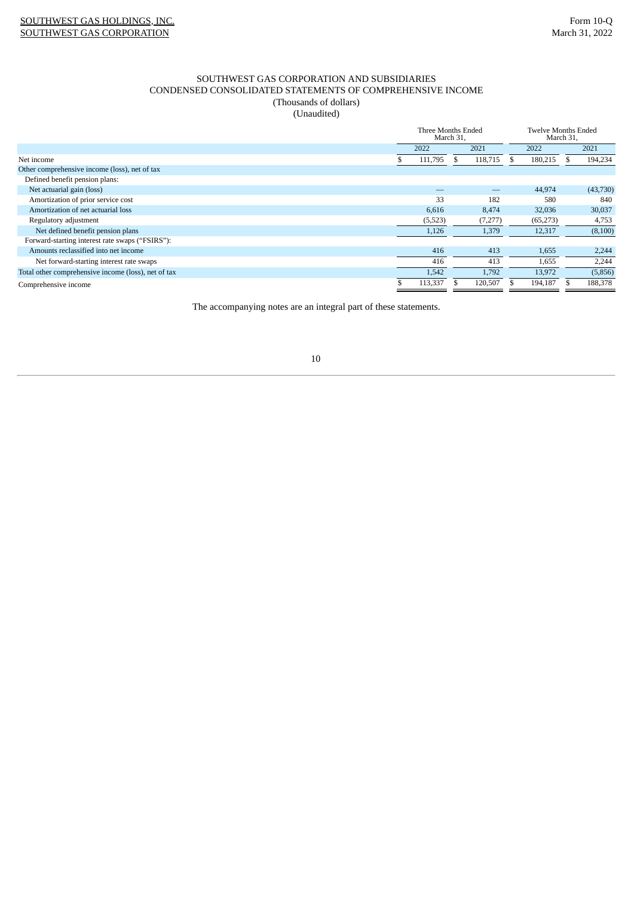### SOUTHWEST GAS CORPORATION AND SUBSIDIARIES CONDENSED CONSOLIDATED STATEMENTS OF COMPREHENSIVE INCOME (Thousands of dollars) (Unaudited)

|                                                     | Three Months Ended<br>March 31, |  | <b>Twelve Months Ended</b><br>March 31, |  |           |      |          |
|-----------------------------------------------------|---------------------------------|--|-----------------------------------------|--|-----------|------|----------|
|                                                     | 2021<br>2022                    |  | 2022                                    |  |           | 2021 |          |
| Net income                                          | 111,795                         |  | 118,715                                 |  | 180,215   |      | 194,234  |
| Other comprehensive income (loss), net of tax       |                                 |  |                                         |  |           |      |          |
| Defined benefit pension plans:                      |                                 |  |                                         |  |           |      |          |
| Net actuarial gain (loss)                           |                                 |  |                                         |  | 44,974    |      | (43,730) |
| Amortization of prior service cost                  | 33                              |  | 182                                     |  | 580       |      | 840      |
| Amortization of net actuarial loss                  | 6,616                           |  | 8,474                                   |  | 32,036    |      | 30,037   |
| Regulatory adjustment                               | (5, 523)                        |  | (7, 277)                                |  | (65, 273) |      | 4,753    |
| Net defined benefit pension plans                   | 1,126                           |  | 1,379                                   |  | 12,317    |      | (8,100)  |
| Forward-starting interest rate swaps ("FSIRS"):     |                                 |  |                                         |  |           |      |          |
| Amounts reclassified into net income                | 416                             |  | 413                                     |  | 1,655     |      | 2,244    |
| Net forward-starting interest rate swaps            | 416                             |  | 413                                     |  | 1,655     |      | 2,244    |
| Total other comprehensive income (loss), net of tax | 1,542                           |  | 1,792                                   |  | 13,972    |      | (5,856)  |
| Comprehensive income                                | 113,337                         |  | 120,507                                 |  | 194,187   |      | 188,378  |

The accompanying notes are an integral part of these statements.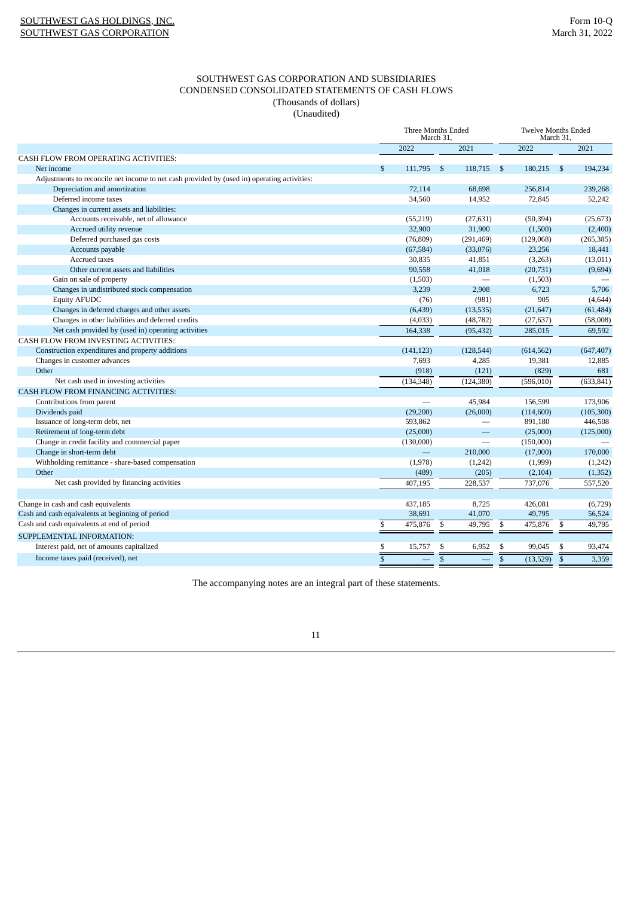### SOUTHWEST GAS CORPORATION AND SUBSIDIARIES CONDENSED CONSOLIDATED STATEMENTS OF CASH FLOWS (Thousands of dollars) (Unaudited)

|                                                                                             |                    | <b>Three Months Ended</b> | March 31,    |                          | <b>Twelve Months Ended</b><br>March 31. |            |                           |            |
|---------------------------------------------------------------------------------------------|--------------------|---------------------------|--------------|--------------------------|-----------------------------------------|------------|---------------------------|------------|
|                                                                                             |                    | 2022                      |              | 2021                     |                                         | 2022       |                           | 2021       |
| CASH FLOW FROM OPERATING ACTIVITIES:                                                        |                    |                           |              |                          |                                         |            |                           |            |
| Net income                                                                                  | \$                 | 111,795                   | $\mathbb{S}$ | 118,715 \$               |                                         | 180,215    | -\$                       | 194,234    |
| Adjustments to reconcile net income to net cash provided by (used in) operating activities: |                    |                           |              |                          |                                         |            |                           |            |
| Depreciation and amortization                                                               |                    | 72.114                    |              | 68.698                   |                                         | 256,814    |                           | 239,268    |
| Deferred income taxes                                                                       |                    | 34,560                    |              | 14,952                   |                                         | 72,845     |                           | 52,242     |
| Changes in current assets and liabilities:                                                  |                    |                           |              |                          |                                         |            |                           |            |
| Accounts receivable, net of allowance                                                       |                    | (55, 219)                 |              | (27, 631)                |                                         | (50, 394)  |                           | (25, 673)  |
| Accrued utility revenue                                                                     |                    | 32,900                    |              | 31,900                   |                                         | (1,500)    |                           | (2,400)    |
| Deferred purchased gas costs                                                                |                    | (76, 809)                 |              | (291, 469)               |                                         | (129,068)  |                           | (265, 385) |
| Accounts payable                                                                            |                    | (67, 584)                 |              | (33,076)                 |                                         | 23,256     |                           | 18,441     |
| Accrued taxes                                                                               |                    | 30,835                    |              | 41,851                   |                                         | (3,263)    |                           | (13, 011)  |
| Other current assets and liabilities                                                        |                    | 90,558                    |              | 41,018                   |                                         | (20, 731)  |                           | (9,694)    |
| Gain on sale of property                                                                    |                    | (1,503)                   |              |                          |                                         | (1,503)    |                           |            |
| Changes in undistributed stock compensation                                                 |                    | 3,239                     |              | 2,908                    |                                         | 6,723      |                           | 5,706      |
| <b>Equity AFUDC</b>                                                                         |                    | (76)                      |              | (981)                    |                                         | 905        |                           | (4,644)    |
| Changes in deferred charges and other assets                                                |                    | (6, 439)                  |              | (13,535)                 |                                         | (21, 647)  |                           | (61, 484)  |
| Changes in other liabilities and deferred credits                                           |                    | (4,033)                   |              | (48, 782)                |                                         | (27, 637)  |                           | (58,008)   |
| Net cash provided by (used in) operating activities                                         |                    | 164,338                   |              | (95, 432)                |                                         | 285.015    |                           | 69.592     |
| CASH FLOW FROM INVESTING ACTIVITIES:                                                        |                    |                           |              |                          |                                         |            |                           |            |
| Construction expenditures and property additions                                            |                    | (141, 123)                |              | (128, 544)               |                                         | (614, 562) |                           | (647, 407) |
| Changes in customer advances                                                                |                    | 7,693                     |              | 4,285                    |                                         | 19,381     |                           | 12,885     |
| Other                                                                                       |                    | (918)                     |              | (121)                    |                                         | (829)      |                           | 681        |
| Net cash used in investing activities                                                       |                    | (134, 348)                |              | (124, 380)               |                                         | (596, 010) |                           | (633, 841) |
| <b>CASH FLOW FROM FINANCING ACTIVITIES:</b>                                                 |                    |                           |              |                          |                                         |            |                           |            |
| Contributions from parent                                                                   |                    |                           |              | 45,984                   |                                         | 156,599    |                           | 173,906    |
| Dividends paid                                                                              |                    | (29,200)                  |              | (26,000)                 |                                         | (114, 600) |                           | (105, 300) |
| Issuance of long-term debt, net                                                             |                    | 593,862                   |              |                          |                                         | 891,180    |                           | 446,508    |
| Retirement of long-term debt                                                                |                    | (25,000)                  |              | $\qquad \qquad -$        |                                         | (25,000)   |                           | (125,000)  |
| Change in credit facility and commercial paper                                              |                    | (130,000)                 |              | $\overline{\phantom{0}}$ |                                         | (150,000)  |                           |            |
| Change in short-term debt                                                                   |                    |                           |              | 210,000                  |                                         | (17,000)   |                           | 170,000    |
| Withholding remittance - share-based compensation                                           |                    | (1,978)                   |              | (1,242)                  |                                         | (1,999)    |                           | (1,242)    |
| Other                                                                                       |                    | (489)                     |              | (205)                    |                                         | (2,104)    |                           | (1,352)    |
| Net cash provided by financing activities                                                   |                    | 407,195                   |              | 228,537                  |                                         | 737,076    |                           | 557,520    |
|                                                                                             |                    |                           |              |                          |                                         |            |                           |            |
| Change in cash and cash equivalents                                                         |                    | 437,185                   |              | 8,725                    |                                         | 426,081    |                           | (6,729)    |
| Cash and cash equivalents at beginning of period                                            |                    | 38,691                    |              | 41,070                   |                                         | 49,795     |                           | 56,524     |
| Cash and cash equivalents at end of period                                                  | \$                 | 475,876                   | \$           | 49,795                   | \$                                      | 475,876    | \$                        | 49,795     |
| SUPPLEMENTAL INFORMATION:                                                                   |                    |                           |              |                          |                                         |            |                           |            |
| Interest paid, net of amounts capitalized                                                   | \$                 | 15,757                    | \$           | 6,952                    | \$                                      | 99,045     | \$                        | 93,474     |
|                                                                                             |                    |                           |              |                          |                                         |            |                           |            |
| Income taxes paid (received), net                                                           | $\mathbf{\hat{s}}$ |                           |              |                          | $\mathbb{S}$                            | (13,529)   | $\overline{\mathfrak{s}}$ | 3,359      |

The accompanying notes are an integral part of these statements.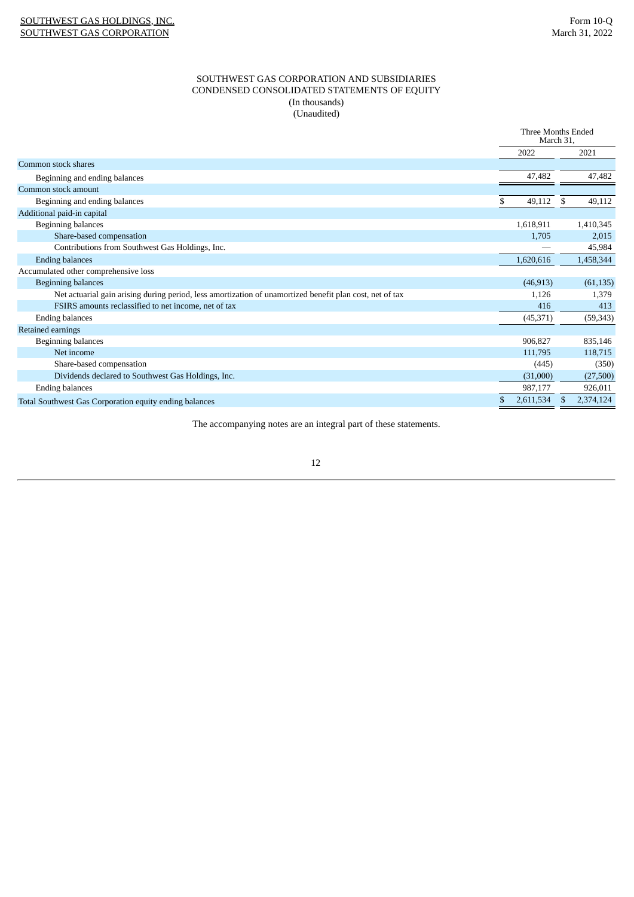### SOUTHWEST GAS CORPORATION AND SUBSIDIARIES CONDENSED CONSOLIDATED STATEMENTS OF EQUITY (In thousands) (Unaudited)

|                                                                                                          | Three Months Ended<br>March 31, |                 |
|----------------------------------------------------------------------------------------------------------|---------------------------------|-----------------|
|                                                                                                          | 2022                            | 2021            |
| Common stock shares                                                                                      |                                 |                 |
| Beginning and ending balances                                                                            | 47,482                          | 47,482          |
| Common stock amount                                                                                      |                                 |                 |
| Beginning and ending balances                                                                            | \$<br>49,112                    | \$<br>49,112    |
| Additional paid-in capital                                                                               |                                 |                 |
| <b>Beginning balances</b>                                                                                | 1,618,911                       | 1,410,345       |
| Share-based compensation                                                                                 | 1,705                           | 2,015           |
| Contributions from Southwest Gas Holdings, Inc.                                                          |                                 | 45,984          |
| <b>Ending balances</b>                                                                                   | 1,620,616                       | 1,458,344       |
| Accumulated other comprehensive loss                                                                     |                                 |                 |
| Beginning balances                                                                                       | (46, 913)                       | (61, 135)       |
| Net actuarial gain arising during period, less amortization of unamortized benefit plan cost, net of tax | 1,126                           | 1,379           |
| FSIRS amounts reclassified to net income, net of tax                                                     | 416                             | 413             |
| <b>Ending balances</b>                                                                                   | (45, 371)                       | (59, 343)       |
| Retained earnings                                                                                        |                                 |                 |
| Beginning balances                                                                                       | 906,827                         | 835,146         |
| Net income                                                                                               | 111,795                         | 118,715         |
| Share-based compensation                                                                                 | (445)                           | (350)           |
| Dividends declared to Southwest Gas Holdings, Inc.                                                       | (31,000)                        | (27,500)        |
| <b>Ending balances</b>                                                                                   | 987,177                         | 926,011         |
| Total Southwest Gas Corporation equity ending balances                                                   | 2,611,534                       | \$<br>2,374,124 |

The accompanying notes are an integral part of these statements.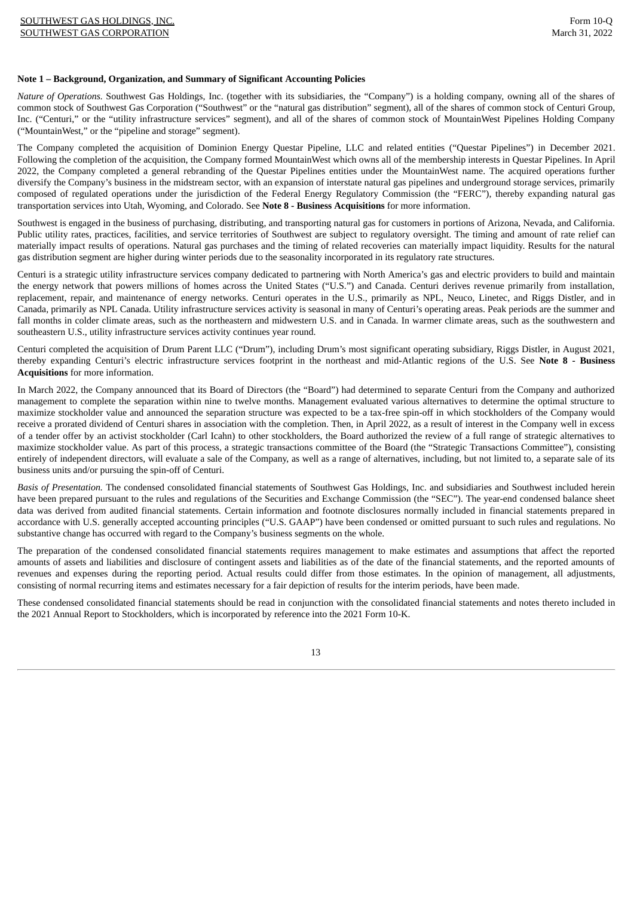### **Note 1 – Background, Organization, and Summary of Significant Accounting Policies**

*Nature of Operations.* Southwest Gas Holdings, Inc. (together with its subsidiaries, the "Company") is a holding company, owning all of the shares of common stock of Southwest Gas Corporation ("Southwest" or the "natural gas distribution" segment), all of the shares of common stock of Centuri Group, Inc. ("Centuri," or the "utility infrastructure services" segment), and all of the shares of common stock of MountainWest Pipelines Holding Company ("MountainWest," or the "pipeline and storage" segment).

The Company completed the acquisition of Dominion Energy Questar Pipeline, LLC and related entities ("Questar Pipelines") in December 2021. Following the completion of the acquisition, the Company formed MountainWest which owns all of the membership interests in Questar Pipelines. In April 2022, the Company completed a general rebranding of the Questar Pipelines entities under the MountainWest name. The acquired operations further diversify the Company's business in the midstream sector, with an expansion of interstate natural gas pipelines and underground storage services, primarily composed of regulated operations under the jurisdiction of the Federal Energy Regulatory Commission (the "FERC"), thereby expanding natural gas transportation services into Utah, Wyoming, and Colorado. See **Note 8 - Business Acquisitions** for more information.

Southwest is engaged in the business of purchasing, distributing, and transporting natural gas for customers in portions of Arizona, Nevada, and California. Public utility rates, practices, facilities, and service territories of Southwest are subject to regulatory oversight. The timing and amount of rate relief can materially impact results of operations. Natural gas purchases and the timing of related recoveries can materially impact liquidity. Results for the natural gas distribution segment are higher during winter periods due to the seasonality incorporated in its regulatory rate structures.

Centuri is a strategic utility infrastructure services company dedicated to partnering with North America's gas and electric providers to build and maintain the energy network that powers millions of homes across the United States ("U.S.") and Canada. Centuri derives revenue primarily from installation, replacement, repair, and maintenance of energy networks. Centuri operates in the U.S., primarily as NPL, Neuco, Linetec, and Riggs Distler, and in Canada, primarily as NPL Canada. Utility infrastructure services activity is seasonal in many of Centuri's operating areas. Peak periods are the summer and fall months in colder climate areas, such as the northeastern and midwestern U.S. and in Canada. In warmer climate areas, such as the southwestern and southeastern U.S., utility infrastructure services activity continues year round.

Centuri completed the acquisition of Drum Parent LLC ("Drum"), including Drum's most significant operating subsidiary, Riggs Distler, in August 2021, thereby expanding Centuri's electric infrastructure services footprint in the northeast and mid-Atlantic regions of the U.S. See **Note 8 - Business Acquisitions** for more information.

In March 2022, the Company announced that its Board of Directors (the "Board") had determined to separate Centuri from the Company and authorized management to complete the separation within nine to twelve months. Management evaluated various alternatives to determine the optimal structure to maximize stockholder value and announced the separation structure was expected to be a tax-free spin-off in which stockholders of the Company would receive a prorated dividend of Centuri shares in association with the completion. Then, in April 2022, as a result of interest in the Company well in excess of a tender offer by an activist stockholder (Carl Icahn) to other stockholders, the Board authorized the review of a full range of strategic alternatives to maximize stockholder value. As part of this process, a strategic transactions committee of the Board (the "Strategic Transactions Committee"), consisting entirely of independent directors, will evaluate a sale of the Company, as well as a range of alternatives, including, but not limited to, a separate sale of its business units and/or pursuing the spin-off of Centuri.

*Basis of Presentation.* The condensed consolidated financial statements of Southwest Gas Holdings, Inc. and subsidiaries and Southwest included herein have been prepared pursuant to the rules and regulations of the Securities and Exchange Commission (the "SEC"). The year-end condensed balance sheet data was derived from audited financial statements. Certain information and footnote disclosures normally included in financial statements prepared in accordance with U.S. generally accepted accounting principles ("U.S. GAAP") have been condensed or omitted pursuant to such rules and regulations. No substantive change has occurred with regard to the Company's business segments on the whole.

The preparation of the condensed consolidated financial statements requires management to make estimates and assumptions that affect the reported amounts of assets and liabilities and disclosure of contingent assets and liabilities as of the date of the financial statements, and the reported amounts of revenues and expenses during the reporting period. Actual results could differ from those estimates. In the opinion of management, all adjustments, consisting of normal recurring items and estimates necessary for a fair depiction of results for the interim periods, have been made.

These condensed consolidated financial statements should be read in conjunction with the consolidated financial statements and notes thereto included in the 2021 Annual Report to Stockholders, which is incorporated by reference into the 2021 Form 10-K.

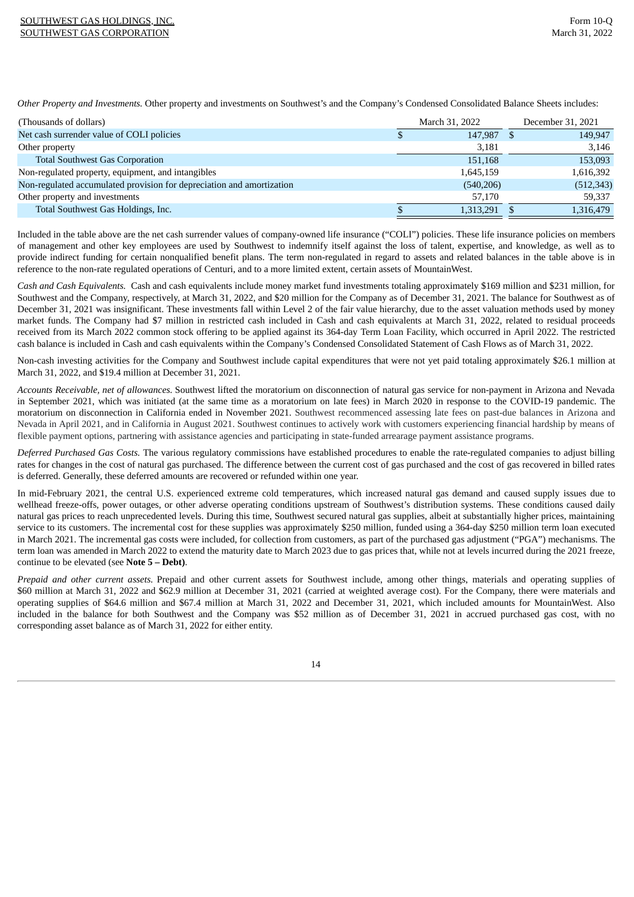*Other Property and Investments.* Other property and investments on Southwest's and the Company's Condensed Consolidated Balance Sheets includes:

| (Thousands of dollars)                                                | March 31, 2022 | December 31, 2021 |
|-----------------------------------------------------------------------|----------------|-------------------|
| Net cash surrender value of COLI policies                             | 147,987 \$     | 149,947           |
| Other property                                                        | 3.181          | 3,146             |
| <b>Total Southwest Gas Corporation</b>                                | 151,168        | 153,093           |
| Non-regulated property, equipment, and intangibles                    | 1,645,159      | 1,616,392         |
| Non-regulated accumulated provision for depreciation and amortization | (540, 206)     | (512, 343)        |
| Other property and investments                                        | 57,170         | 59,337            |
| Total Southwest Gas Holdings, Inc.                                    | 1,313,291      | 1,316,479         |

Included in the table above are the net cash surrender values of company-owned life insurance ("COLI") policies. These life insurance policies on members of management and other key employees are used by Southwest to indemnify itself against the loss of talent, expertise, and knowledge, as well as to provide indirect funding for certain nonqualified benefit plans. The term non-regulated in regard to assets and related balances in the table above is in reference to the non-rate regulated operations of Centuri, and to a more limited extent, certain assets of MountainWest.

*Cash and Cash Equivalents.* Cash and cash equivalents include money market fund investments totaling approximately \$169 million and \$231 million, for Southwest and the Company, respectively, at March 31, 2022, and \$20 million for the Company as of December 31, 2021. The balance for Southwest as of December 31, 2021 was insignificant. These investments fall within Level 2 of the fair value hierarchy, due to the asset valuation methods used by money market funds. The Company had \$7 million in restricted cash included in Cash and cash equivalents at March 31, 2022, related to residual proceeds received from its March 2022 common stock offering to be applied against its 364-day Term Loan Facility, which occurred in April 2022. The restricted cash balance is included in Cash and cash equivalents within the Company's Condensed Consolidated Statement of Cash Flows as of March 31, 2022.

Non-cash investing activities for the Company and Southwest include capital expenditures that were not yet paid totaling approximately \$26.1 million at March 31, 2022, and \$19.4 million at December 31, 2021.

*Accounts Receivable, net of allowances.* Southwest lifted the moratorium on disconnection of natural gas service for non-payment in Arizona and Nevada in September 2021, which was initiated (at the same time as a moratorium on late fees) in March 2020 in response to the COVID-19 pandemic. The moratorium on disconnection in California ended in November 2021. Southwest recommenced assessing late fees on past-due balances in Arizona and Nevada in April 2021, and in California in August 2021. Southwest continues to actively work with customers experiencing financial hardship by means of flexible payment options, partnering with assistance agencies and participating in state-funded arrearage payment assistance programs.

*Deferred Purchased Gas Costs.* The various regulatory commissions have established procedures to enable the rate-regulated companies to adjust billing rates for changes in the cost of natural gas purchased. The difference between the current cost of gas purchased and the cost of gas recovered in billed rates is deferred. Generally, these deferred amounts are recovered or refunded within one year.

In mid-February 2021, the central U.S. experienced extreme cold temperatures, which increased natural gas demand and caused supply issues due to wellhead freeze-offs, power outages, or other adverse operating conditions upstream of Southwest's distribution systems. These conditions caused daily natural gas prices to reach unprecedented levels. During this time, Southwest secured natural gas supplies, albeit at substantially higher prices, maintaining service to its customers. The incremental cost for these supplies was approximately \$250 million, funded using a 364-day \$250 million term loan executed in March 2021. The incremental gas costs were included, for collection from customers, as part of the purchased gas adjustment ("PGA") mechanisms. The term loan was amended in March 2022 to extend the maturity date to March 2023 due to gas prices that, while not at levels incurred during the 2021 freeze, continue to be elevated (see **Note 5 – Debt)**.

*Prepaid and other current assets.* Prepaid and other current assets for Southwest include, among other things, materials and operating supplies of \$60 million at March 31, 2022 and \$62.9 million at December 31, 2021 (carried at weighted average cost). For the Company, there were materials and operating supplies of \$64.6 million and \$67.4 million at March 31, 2022 and December 31, 2021, which included amounts for MountainWest. Also included in the balance for both Southwest and the Company was \$52 million as of December 31, 2021 in accrued purchased gas cost, with no corresponding asset balance as of March 31, 2022 for either entity.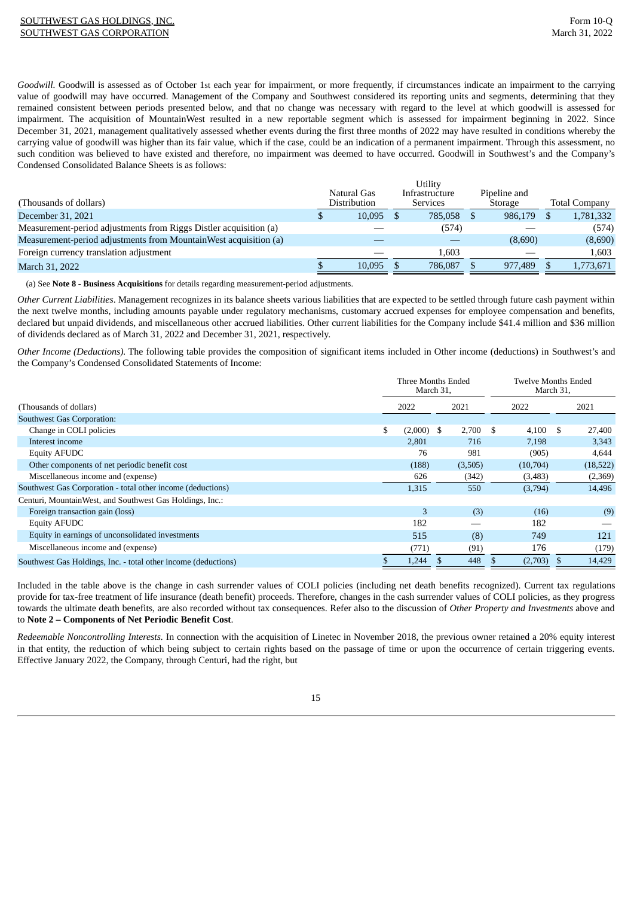*Goodwill.* Goodwill is assessed as of October 1st each year for impairment, or more frequently, if circumstances indicate an impairment to the carrying value of goodwill may have occurred. Management of the Company and Southwest considered its reporting units and segments, determining that they remained consistent between periods presented below, and that no change was necessary with regard to the level at which goodwill is assessed for impairment. The acquisition of MountainWest resulted in a new reportable segment which is assessed for impairment beginning in 2022. Since December 31, 2021, management qualitatively assessed whether events during the first three months of 2022 may have resulted in conditions whereby the carrying value of goodwill was higher than its fair value, which if the case, could be an indication of a permanent impairment. Through this assessment, no such condition was believed to have existed and therefore, no impairment was deemed to have occurred. Goodwill in Southwest's and the Company's Condensed Consolidated Balance Sheets is as follows:

|                                                                   |              | Utility        |              |                      |
|-------------------------------------------------------------------|--------------|----------------|--------------|----------------------|
|                                                                   | Natural Gas  | Infrastructure | Pipeline and |                      |
| (Thousands of dollars)                                            | Distribution | Services       | Storage      | <b>Total Company</b> |
| December 31, 2021                                                 | 10,095       | 785,058        | 986,179      | 1,781,332            |
| Measurement-period adjustments from Riggs Distler acquisition (a) |              | (574)          |              | (574)                |
| Measurement-period adjustments from MountainWest acquisition (a)  |              |                | (8,690)      | (8,690)              |
| Foreign currency translation adjustment                           |              | 1.603          |              | 1,603                |
| March 31, 2022                                                    | 10.095       | 786,087        | 977,489      | 1,773,671            |

(a) See **Note 8 - Business Acquisitions** for details regarding measurement-period adjustments.

*Other Current Liabilities*. Management recognizes in its balance sheets various liabilities that are expected to be settled through future cash payment within the next twelve months, including amounts payable under regulatory mechanisms, customary accrued expenses for employee compensation and benefits, declared but unpaid dividends, and miscellaneous other accrued liabilities. Other current liabilities for the Company include \$41.4 million and \$36 million of dividends declared as of March 31, 2022 and December 31, 2021, respectively.

*Other Income (Deductions).* The following table provides the composition of significant items included in Other income (deductions) in Southwest's and the Company's Condensed Consolidated Statements of Income:

|                                                                |    | Three Months Ended<br>March 31, |       |       |   | <b>Twelve Months Ended</b><br>March 31, |         |           |
|----------------------------------------------------------------|----|---------------------------------|-------|-------|---|-----------------------------------------|---------|-----------|
| (Thousands of dollars)                                         |    | 2022                            |       | 2021  |   | 2022                                    |         | 2021      |
| <b>Southwest Gas Corporation:</b>                              |    |                                 |       |       |   |                                         |         |           |
| Change in COLI policies                                        | \$ | (2,000)                         | -S    | 2,700 | S | 4,100                                   | - \$    | 27,400    |
| Interest income                                                |    | 2,801                           |       | 716   |   | 7,198                                   |         | 3,343     |
| <b>Equity AFUDC</b>                                            |    | 76                              |       | 981   |   | (905)                                   |         | 4,644     |
| Other components of net periodic benefit cost                  |    | (188)<br>(3,505)                |       |       |   | (10,704)                                |         | (18, 522) |
| Miscellaneous income and (expense)                             |    | 626                             | (342) |       |   | (3,483)                                 | (2,369) |           |
| Southwest Gas Corporation - total other income (deductions)    |    | 1,315                           |       | 550   |   | (3,794)                                 |         | 14,496    |
| Centuri, MountainWest, and Southwest Gas Holdings, Inc.:       |    |                                 |       |       |   |                                         |         |           |
| Foreign transaction gain (loss)                                |    | 3                               |       | (3)   |   | (16)                                    |         | (9)       |
| <b>Equity AFUDC</b>                                            |    | 182                             |       |       |   | 182                                     |         |           |
| Equity in earnings of unconsolidated investments               |    | 515                             |       | (8)   |   | 749                                     |         | 121       |
| Miscellaneous income and (expense)                             |    | (771)                           |       | (91)  |   | 176                                     |         | (179)     |
| Southwest Gas Holdings, Inc. - total other income (deductions) |    | 1,244                           |       | 448   |   | (2,703)                                 |         | 14,429    |

Included in the table above is the change in cash surrender values of COLI policies (including net death benefits recognized). Current tax regulations provide for tax-free treatment of life insurance (death benefit) proceeds. Therefore, changes in the cash surrender values of COLI policies, as they progress towards the ultimate death benefits, are also recorded without tax consequences. Refer also to the discussion of *Other Property and Investments* above and to **Note 2 – Components of Net Periodic Benefit Cost**.

*Redeemable Noncontrolling Interests.* In connection with the acquisition of Linetec in November 2018, the previous owner retained a 20% equity interest in that entity, the reduction of which being subject to certain rights based on the passage of time or upon the occurrence of certain triggering events. Effective January 2022, the Company, through Centuri, had the right, but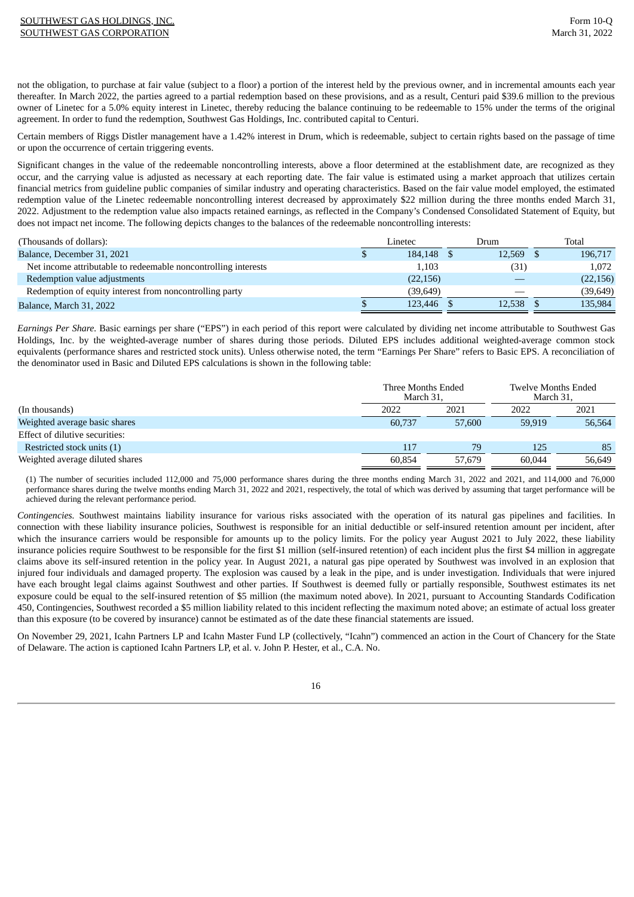not the obligation, to purchase at fair value (subject to a floor) a portion of the interest held by the previous owner, and in incremental amounts each year thereafter. In March 2022, the parties agreed to a partial redemption based on these provisions, and as a result, Centuri paid \$39.6 million to the previous owner of Linetec for a 5.0% equity interest in Linetec, thereby reducing the balance continuing to be redeemable to 15% under the terms of the original agreement. In order to fund the redemption, Southwest Gas Holdings, Inc. contributed capital to Centuri.

Certain members of Riggs Distler management have a 1.42% interest in Drum, which is redeemable, subject to certain rights based on the passage of time or upon the occurrence of certain triggering events.

Significant changes in the value of the redeemable noncontrolling interests, above a floor determined at the establishment date, are recognized as they occur, and the carrying value is adjusted as necessary at each reporting date. The fair value is estimated using a market approach that utilizes certain financial metrics from guideline public companies of similar industry and operating characteristics. Based on the fair value model employed, the estimated redemption value of the Linetec redeemable noncontrolling interest decreased by approximately \$22 million during the three months ended March 31, 2022. Adjustment to the redemption value also impacts retained earnings, as reflected in the Company's Condensed Consolidated Statement of Equity, but does not impact net income. The following depicts changes to the balances of the redeemable noncontrolling interests:

| (Thousands of dollars):                                        | Linetec   | Drum   | Total     |
|----------------------------------------------------------------|-----------|--------|-----------|
| Balance, December 31, 2021                                     | 184,148   | 12,569 | 196,717   |
| Net income attributable to redeemable noncontrolling interests | 1,103     | (31)   | 1,072     |
| Redemption value adjustments                                   | (22, 156) |        | (22, 156) |
| Redemption of equity interest from noncontrolling party        | (39,649)  |        | (39,649)  |
| Balance, March 31, 2022                                        | 123,446   | 12,538 | 135,984   |

*Earnings Per Share.* Basic earnings per share ("EPS") in each period of this report were calculated by dividing net income attributable to Southwest Gas Holdings, Inc. by the weighted-average number of shares during those periods. Diluted EPS includes additional weighted-average common stock equivalents (performance shares and restricted stock units). Unless otherwise noted, the term "Earnings Per Share" refers to Basic EPS. A reconciliation of the denominator used in Basic and Diluted EPS calculations is shown in the following table:

|                                 | Three Months Ended<br>March 31. |        | <b>Twelve Months Ended</b><br>March 31. |        |
|---------------------------------|---------------------------------|--------|-----------------------------------------|--------|
| (In thousands)                  | 2022                            | 2021   | 2022                                    | 2021   |
| Weighted average basic shares   | 60,737                          | 57,600 | 59,919                                  | 56,564 |
| Effect of dilutive securities:  |                                 |        |                                         |        |
| Restricted stock units (1)      | 117                             | 79     | 125                                     | 85     |
| Weighted average diluted shares | 60,854                          | 57,679 | 60.044                                  | 56.649 |

(1) The number of securities included 112,000 and 75,000 performance shares during the three months ending March 31, 2022 and 2021, and 114,000 and 76,000 performance shares during the twelve months ending March 31, 2022 and 2021, respectively, the total of which was derived by assuming that target performance will be achieved during the relevant performance period.

*Contingencies.* Southwest maintains liability insurance for various risks associated with the operation of its natural gas pipelines and facilities. In connection with these liability insurance policies, Southwest is responsible for an initial deductible or self-insured retention amount per incident, after which the insurance carriers would be responsible for amounts up to the policy limits. For the policy year August 2021 to July 2022, these liability insurance policies require Southwest to be responsible for the first \$1 million (self-insured retention) of each incident plus the first \$4 million in aggregate claims above its self-insured retention in the policy year. In August 2021, a natural gas pipe operated by Southwest was involved in an explosion that injured four individuals and damaged property. The explosion was caused by a leak in the pipe, and is under investigation. Individuals that were injured have each brought legal claims against Southwest and other parties. If Southwest is deemed fully or partially responsible, Southwest estimates its net exposure could be equal to the self-insured retention of \$5 million (the maximum noted above). In 2021, pursuant to Accounting Standards Codification 450, Contingencies, Southwest recorded a \$5 million liability related to this incident reflecting the maximum noted above; an estimate of actual loss greater than this exposure (to be covered by insurance) cannot be estimated as of the date these financial statements are issued.

On November 29, 2021, Icahn Partners LP and Icahn Master Fund LP (collectively, "Icahn") commenced an action in the Court of Chancery for the State of Delaware. The action is captioned Icahn Partners LP, et al. v. John P. Hester, et al., C.A. No.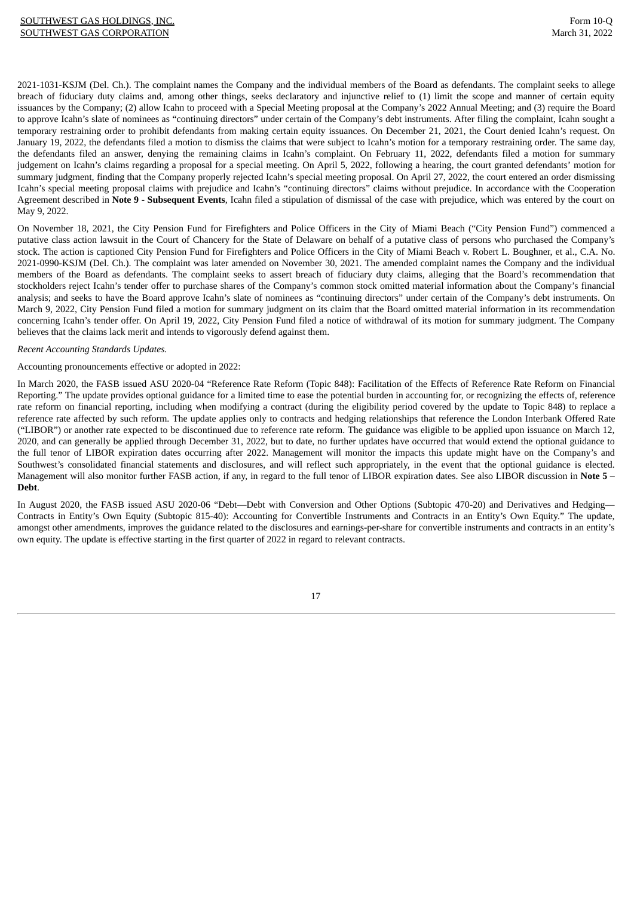2021-1031-KSJM (Del. Ch.). The complaint names the Company and the individual members of the Board as defendants. The complaint seeks to allege breach of fiduciary duty claims and, among other things, seeks declaratory and injunctive relief to (1) limit the scope and manner of certain equity issuances by the Company; (2) allow Icahn to proceed with a Special Meeting proposal at the Company's 2022 Annual Meeting; and (3) require the Board to approve Icahn's slate of nominees as "continuing directors" under certain of the Company's debt instruments. After filing the complaint, Icahn sought a temporary restraining order to prohibit defendants from making certain equity issuances. On December 21, 2021, the Court denied Icahn's request. On January 19, 2022, the defendants filed a motion to dismiss the claims that were subject to Icahn's motion for a temporary restraining order. The same day, the defendants filed an answer, denying the remaining claims in Icahn's complaint. On February 11, 2022, defendants filed a motion for summary judgement on Icahn's claims regarding a proposal for a special meeting. On April 5, 2022, following a hearing, the court granted defendants' motion for summary judgment, finding that the Company properly rejected Icahn's special meeting proposal. On April 27, 2022, the court entered an order dismissing Icahn's special meeting proposal claims with prejudice and Icahn's "continuing directors" claims without prejudice. In accordance with the Cooperation Agreement described in **Note 9 - Subsequent Events**, Icahn filed a stipulation of dismissal of the case with prejudice, which was entered by the court on May 9, 2022.

On November 18, 2021, the City Pension Fund for Firefighters and Police Officers in the City of Miami Beach ("City Pension Fund") commenced a putative class action lawsuit in the Court of Chancery for the State of Delaware on behalf of a putative class of persons who purchased the Company's stock. The action is captioned City Pension Fund for Firefighters and Police Officers in the City of Miami Beach v. Robert L. Boughner, et al., C.A. No. 2021-0990-KSJM (Del. Ch.). The complaint was later amended on November 30, 2021. The amended complaint names the Company and the individual members of the Board as defendants. The complaint seeks to assert breach of fiduciary duty claims, alleging that the Board's recommendation that stockholders reject Icahn's tender offer to purchase shares of the Company's common stock omitted material information about the Company's financial analysis; and seeks to have the Board approve Icahn's slate of nominees as "continuing directors" under certain of the Company's debt instruments. On March 9, 2022, City Pension Fund filed a motion for summary judgment on its claim that the Board omitted material information in its recommendation concerning Icahn's tender offer. On April 19, 2022, City Pension Fund filed a notice of withdrawal of its motion for summary judgment. The Company believes that the claims lack merit and intends to vigorously defend against them.

#### *Recent Accounting Standards Updates.*

#### Accounting pronouncements effective or adopted in 2022:

In March 2020, the FASB issued ASU 2020-04 "Reference Rate Reform (Topic 848): Facilitation of the Effects of Reference Rate Reform on Financial Reporting." The update provides optional guidance for a limited time to ease the potential burden in accounting for, or recognizing the effects of, reference rate reform on financial reporting, including when modifying a contract (during the eligibility period covered by the update to Topic 848) to replace a reference rate affected by such reform. The update applies only to contracts and hedging relationships that reference the London Interbank Offered Rate ("LIBOR") or another rate expected to be discontinued due to reference rate reform. The guidance was eligible to be applied upon issuance on March 12, 2020, and can generally be applied through December 31, 2022, but to date, no further updates have occurred that would extend the optional guidance to the full tenor of LIBOR expiration dates occurring after 2022. Management will monitor the impacts this update might have on the Company's and Southwest's consolidated financial statements and disclosures, and will reflect such appropriately, in the event that the optional guidance is elected. Management will also monitor further FASB action, if any, in regard to the full tenor of LIBOR expiration dates. See also LIBOR discussion in **Note 5 – Debt**.

In August 2020, the FASB issued ASU 2020-06 "Debt—Debt with Conversion and Other Options (Subtopic 470-20) and Derivatives and Hedging— Contracts in Entity's Own Equity (Subtopic 815-40): Accounting for Convertible Instruments and Contracts in an Entity's Own Equity." The update, amongst other amendments, improves the guidance related to the disclosures and earnings-per-share for convertible instruments and contracts in an entity's own equity. The update is effective starting in the first quarter of 2022 in regard to relevant contracts.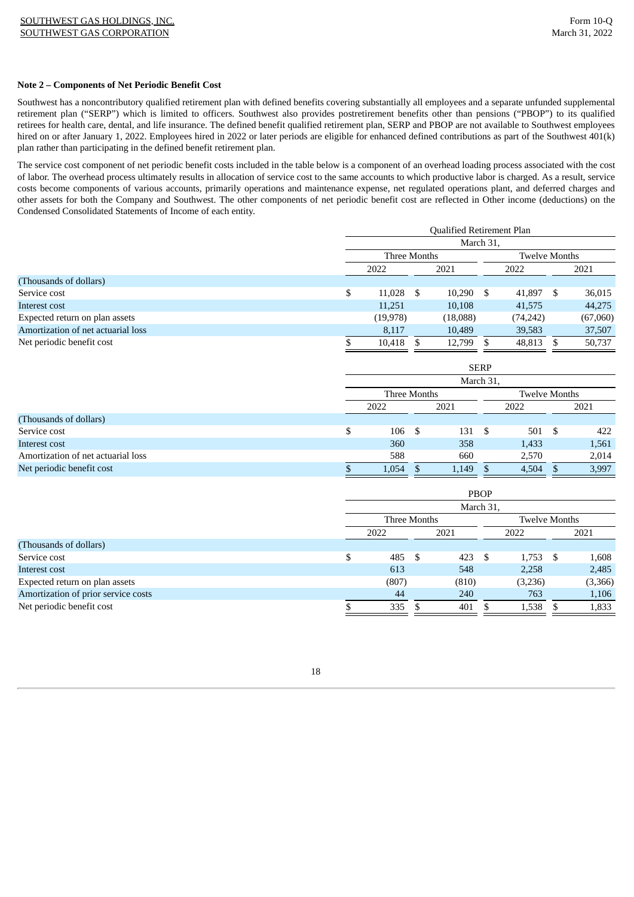#### **Note 2 – Components of Net Periodic Benefit Cost**

Southwest has a noncontributory qualified retirement plan with defined benefits covering substantially all employees and a separate unfunded supplemental retirement plan ("SERP") which is limited to officers. Southwest also provides postretirement benefits other than pensions ("PBOP") to its qualified retirees for health care, dental, and life insurance. The defined benefit qualified retirement plan, SERP and PBOP are not available to Southwest employees hired on or after January 1, 2022. Employees hired in 2022 or later periods are eligible for enhanced defined contributions as part of the Southwest 401(k) plan rather than participating in the defined benefit retirement plan.

The service cost component of net periodic benefit costs included in the table below is a component of an overhead loading process associated with the cost of labor. The overhead process ultimately results in allocation of service cost to the same accounts to which productive labor is charged. As a result, service costs become components of various accounts, primarily operations and maintenance expense, net regulated operations plant, and deferred charges and other assets for both the Company and Southwest. The other components of net periodic benefit cost are reflected in Other income (deductions) on the Condensed Consolidated Statements of Income of each entity.

|                                    |    | <b>Qualified Retirement Plan</b> |   |             |  |                      |    |          |  |  |  |  |  |
|------------------------------------|----|----------------------------------|---|-------------|--|----------------------|----|----------|--|--|--|--|--|
|                                    |    | March 31,                        |   |             |  |                      |    |          |  |  |  |  |  |
|                                    |    | Three Months                     |   |             |  | <b>Twelve Months</b> |    |          |  |  |  |  |  |
|                                    |    | 2022                             |   | 2021        |  | 2022                 |    | 2021     |  |  |  |  |  |
| (Thousands of dollars)             |    |                                  |   |             |  |                      |    |          |  |  |  |  |  |
| Service cost                       | \$ | 11,028                           | S | $10,290$ \$ |  | 41,897               | -S | 36,015   |  |  |  |  |  |
| Interest cost                      |    | 11,251                           |   | 10,108      |  | 41,575               |    | 44,275   |  |  |  |  |  |
| Expected return on plan assets     |    | (19, 978)                        |   | (18,088)    |  | (74, 242)            |    | (67,060) |  |  |  |  |  |
| Amortization of net actuarial loss |    | 8,117                            |   | 10,489      |  | 39,583               |    | 37,507   |  |  |  |  |  |
| Net periodic benefit cost          |    | 10,418                           |   | 12,799      |  | 48,813               |    | 50,737   |  |  |  |  |  |
|                                    |    | <b>SERP</b><br>March 31,         |   |             |  |                      |    |          |  |  |  |  |  |
|                                    |    |                                  |   |             |  |                      |    |          |  |  |  |  |  |
|                                    |    | Throa Months                     |   |             |  | Tuolin Monthe        |    |          |  |  |  |  |  |

|       |      | 2021  |              | 2022  |  | 2021            |
|-------|------|-------|--------------|-------|--|-----------------|
|       |      |       |              |       |  |                 |
| 106   |      | 131   |              | 501   |  | 422             |
| 360   |      | 358   |              | 1,433 |  | 1,561           |
| 588   |      | 660   |              | 2.570 |  | 2.014           |
| 1.054 |      | 1,149 |              | 4,504 |  | 3,997           |
|       | 2022 |       | Three Months |       |  | TMETAE MOIIIIIS |

|                                     | <b>PBOP</b> |              |  |       |                      |         |      |         |  |  |  |  |
|-------------------------------------|-------------|--------------|--|-------|----------------------|---------|------|---------|--|--|--|--|
|                                     | March 31,   |              |  |       |                      |         |      |         |  |  |  |  |
|                                     |             | Three Months |  |       | <b>Twelve Months</b> |         |      |         |  |  |  |  |
|                                     |             | 2022<br>2021 |  |       |                      | 2022    | 2021 |         |  |  |  |  |
| (Thousands of dollars)              |             |              |  |       |                      |         |      |         |  |  |  |  |
| Service cost                        | \$          | 485 \$       |  | 423   | - \$                 | 1,753   | S    | 1,608   |  |  |  |  |
| Interest cost                       |             | 613          |  | 548   |                      | 2,258   |      | 2,485   |  |  |  |  |
| Expected return on plan assets      |             | (807)        |  | (810) |                      | (3,236) |      | (3,366) |  |  |  |  |
| Amortization of prior service costs |             | 44           |  | 240   |                      | 763     |      | 1,106   |  |  |  |  |
| Net periodic benefit cost           |             | 335          |  | 401   |                      | 1,538   |      | 1,833   |  |  |  |  |

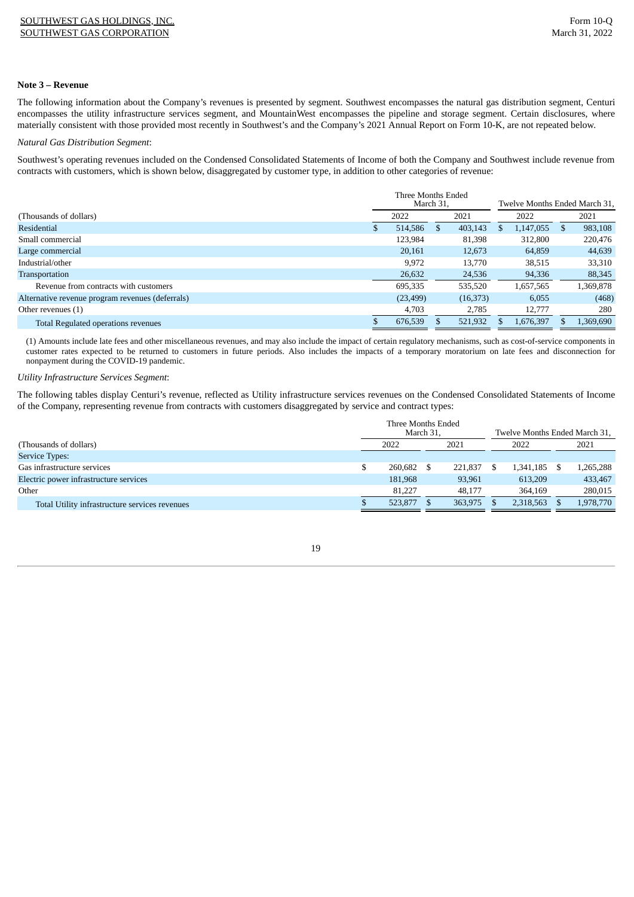#### **Note 3 – Revenue**

The following information about the Company's revenues is presented by segment. Southwest encompasses the natural gas distribution segment, Centuri encompasses the utility infrastructure services segment, and MountainWest encompasses the pipeline and storage segment. Certain disclosures, where materially consistent with those provided most recently in Southwest's and the Company's 2021 Annual Report on Form 10-K, are not repeated below.

#### *Natural Gas Distribution Segment*:

Southwest's operating revenues included on the Condensed Consolidated Statements of Income of both the Company and Southwest include revenue from contracts with customers, which is shown below, disaggregated by customer type, in addition to other categories of revenue:

|                                                  |     | Three Months Ended | March 31, |           | Twelve Months Ended March 31. |           |     |           |  |  |
|--------------------------------------------------|-----|--------------------|-----------|-----------|-------------------------------|-----------|-----|-----------|--|--|
| (Thousands of dollars)                           |     | 2022               | 2021      |           | 2022                          |           |     | 2021      |  |  |
| Residential                                      | - D | 514,586            | Ъ         | 403.143   |                               | 1.147.055 | \$. | 983,108   |  |  |
| Small commercial                                 |     | 123,984            |           | 81,398    |                               | 312,800   |     | 220,476   |  |  |
| Large commercial                                 |     | 20,161             |           | 12,673    |                               | 64,859    |     | 44,639    |  |  |
| Industrial/other                                 |     | 9.972              |           | 13,770    |                               | 38,515    |     | 33,310    |  |  |
| Transportation                                   |     | 26,632             |           | 24,536    |                               | 94,336    |     | 88,345    |  |  |
| Revenue from contracts with customers            |     | 695.335            |           | 535,520   |                               | 1,657,565 |     | 1,369,878 |  |  |
| Alternative revenue program revenues (deferrals) |     | (23, 499)          |           | (16, 373) |                               | 6,055     |     | (468)     |  |  |
| Other revenues (1)                               |     | 4,703              |           | 2,785     |                               | 12,777    |     | 280       |  |  |
| Total Regulated operations revenues              |     | 676,539            |           | 521,932   |                               | 1,676,397 |     | 1,369,690 |  |  |

(1) Amounts include late fees and other miscellaneous revenues, and may also include the impact of certain regulatory mechanisms, such as cost-of-service components in customer rates expected to be returned to customers in future periods. Also includes the impacts of a temporary moratorium on late fees and disconnection for nonpayment during the COVID-19 pandemic.

### *Utility Infrastructure Services Segment*:

The following tables display Centuri's revenue, reflected as Utility infrastructure services revenues on the Condensed Consolidated Statements of Income of the Company, representing revenue from contracts with customers disaggregated by service and contract types:

|                                                |              | Three Months Ended<br>March 31. |  |         | Twelve Months Ended March 31, |  |           |
|------------------------------------------------|--------------|---------------------------------|--|---------|-------------------------------|--|-----------|
| (Thousands of dollars)                         | 2021<br>2022 |                                 |  | 2022    | 2021                          |  |           |
| Service Types:                                 |              |                                 |  |         |                               |  |           |
| Gas infrastructure services                    |              | 260.682                         |  | 221.837 | 1,341,185                     |  | 1,265,288 |
| Electric power infrastructure services         |              | 181,968                         |  | 93.961  | 613.209                       |  | 433,467   |
| Other                                          |              | 81,227                          |  | 48.177  | 364,169                       |  | 280,015   |
| Total Utility infrastructure services revenues |              | 523,877                         |  | 363.975 | 2,318,563                     |  | 1,978,770 |

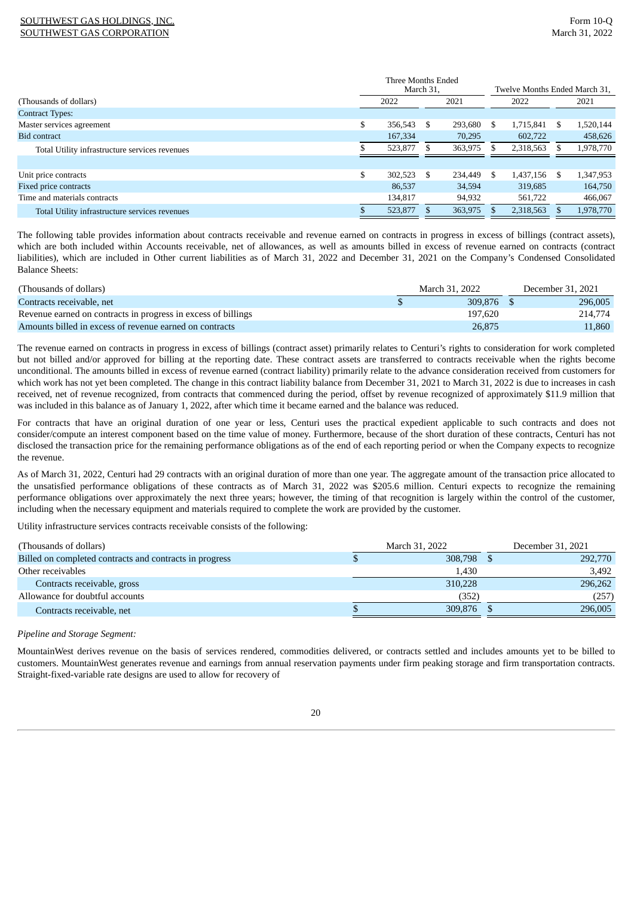#### SOUTHWEST GAS HOLDINGS, INC. The state of the state of the state of the state of the state of the state of the state of the state of the state of the state of the state of the state of the state of the state of the state o SOUTHWEST GAS CORPORATION March 31, 2022

|                                                | Three Months Ended<br>March 31, |      |         | Twelve Months Ended March 31, |              |      |           |  |  |
|------------------------------------------------|---------------------------------|------|---------|-------------------------------|--------------|------|-----------|--|--|
| (Thousands of dollars)                         | 2022                            | 2021 |         |                               | 2022         |      | 2021      |  |  |
| <b>Contract Types:</b>                         |                                 |      |         |                               |              |      |           |  |  |
| Master services agreement                      | 356,543                         | \$   | 293,680 | -S                            | 1,715,841    | - \$ | 1,520,144 |  |  |
| <b>Bid contract</b>                            | 167,334                         |      | 70.295  |                               | 602,722      |      | 458,626   |  |  |
| Total Utility infrastructure services revenues | 523,877                         |      | 363.975 |                               | 2,318,563    |      | 1,978,770 |  |  |
|                                                |                                 |      |         |                               |              |      |           |  |  |
| Unit price contracts                           | 302.523                         | \$   | 234,449 | -S                            | 1,437,156 \$ |      | 1,347,953 |  |  |
| Fixed price contracts                          | 86.537                          |      | 34,594  |                               | 319,685      |      | 164,750   |  |  |
| Time and materials contracts                   | 134,817                         |      | 94,932  |                               | 561,722      |      | 466,067   |  |  |
| Total Utility infrastructure services revenues | 523,877                         |      | 363,975 |                               | 2,318,563    |      | 1,978,770 |  |  |
|                                                |                                 |      |         |                               |              |      |           |  |  |

The following table provides information about contracts receivable and revenue earned on contracts in progress in excess of billings (contract assets), which are both included within Accounts receivable, net of allowances, as well as amounts billed in excess of revenue earned on contracts (contract liabilities), which are included in Other current liabilities as of March 31, 2022 and December 31, 2021 on the Company's Condensed Consolidated Balance Sheets:

| (Thousands of dollars)                                        | March 31, 2022 | December 31, 2021 |
|---------------------------------------------------------------|----------------|-------------------|
| Contracts receivable, net                                     | 309.876 \$     | 296,005           |
| Revenue earned on contracts in progress in excess of billings | 197.620        | 214,774           |
| Amounts billed in excess of revenue earned on contracts       | 26,875         | 11,860            |

The revenue earned on contracts in progress in excess of billings (contract asset) primarily relates to Centuri's rights to consideration for work completed but not billed and/or approved for billing at the reporting date. These contract assets are transferred to contracts receivable when the rights become unconditional. The amounts billed in excess of revenue earned (contract liability) primarily relate to the advance consideration received from customers for which work has not yet been completed. The change in this contract liability balance from December 31, 2021 to March 31, 2022 is due to increases in cash received, net of revenue recognized, from contracts that commenced during the period, offset by revenue recognized of approximately \$11.9 million that was included in this balance as of January 1, 2022, after which time it became earned and the balance was reduced.

For contracts that have an original duration of one year or less, Centuri uses the practical expedient applicable to such contracts and does not consider/compute an interest component based on the time value of money. Furthermore, because of the short duration of these contracts, Centuri has not disclosed the transaction price for the remaining performance obligations as of the end of each reporting period or when the Company expects to recognize the revenue.

As of March 31, 2022, Centuri had 29 contracts with an original duration of more than one year. The aggregate amount of the transaction price allocated to the unsatisfied performance obligations of these contracts as of March 31, 2022 was \$205.6 million. Centuri expects to recognize the remaining performance obligations over approximately the next three years; however, the timing of that recognition is largely within the control of the customer, including when the necessary equipment and materials required to complete the work are provided by the customer.

Utility infrastructure services contracts receivable consists of the following:

| (Thousands of dollars)                                  | March 31, 2022 | December 31, 2021 |         |  |  |
|---------------------------------------------------------|----------------|-------------------|---------|--|--|
| Billed on completed contracts and contracts in progress | 308,798        |                   | 292,770 |  |  |
| Other receivables                                       | 1.430          |                   | 3,492   |  |  |
| Contracts receivable, gross                             | 310,228        |                   | 296,262 |  |  |
| Allowance for doubtful accounts                         | (352)          |                   | (257)   |  |  |
| Contracts receivable, net                               | 309,876        |                   | 296,005 |  |  |

## *Pipeline and Storage Segment:*

MountainWest derives revenue on the basis of services rendered, commodities delivered, or contracts settled and includes amounts yet to be billed to customers. MountainWest generates revenue and earnings from annual reservation payments under firm peaking storage and firm transportation contracts. Straight-fixed-variable rate designs are used to allow for recovery of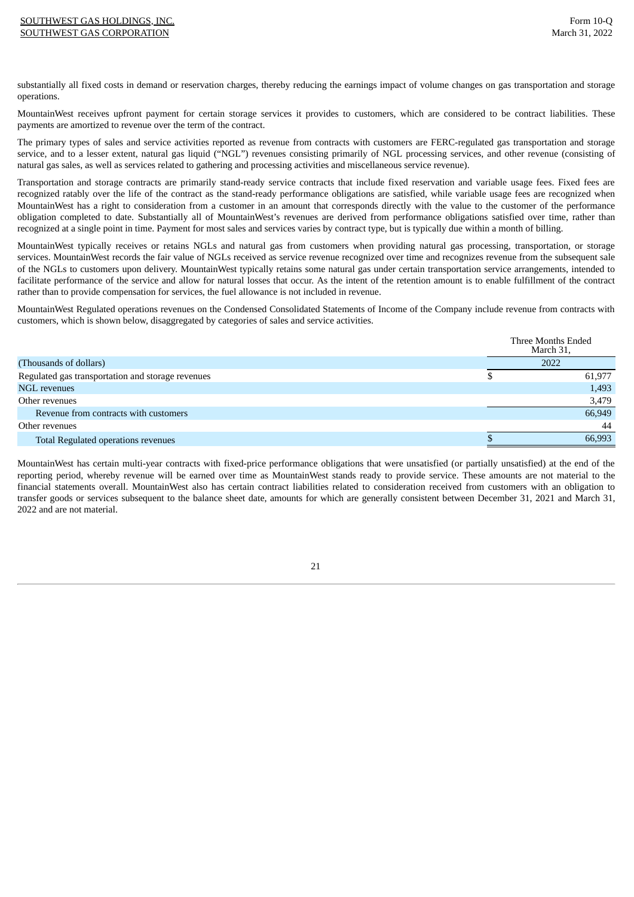substantially all fixed costs in demand or reservation charges, thereby reducing the earnings impact of volume changes on gas transportation and storage operations.

MountainWest receives upfront payment for certain storage services it provides to customers, which are considered to be contract liabilities. These payments are amortized to revenue over the term of the contract.

The primary types of sales and service activities reported as revenue from contracts with customers are FERC-regulated gas transportation and storage service, and to a lesser extent, natural gas liquid ("NGL") revenues consisting primarily of NGL processing services, and other revenue (consisting of natural gas sales, as well as services related to gathering and processing activities and miscellaneous service revenue).

Transportation and storage contracts are primarily stand-ready service contracts that include fixed reservation and variable usage fees. Fixed fees are recognized ratably over the life of the contract as the stand-ready performance obligations are satisfied, while variable usage fees are recognized when MountainWest has a right to consideration from a customer in an amount that corresponds directly with the value to the customer of the performance obligation completed to date. Substantially all of MountainWest's revenues are derived from performance obligations satisfied over time, rather than recognized at a single point in time. Payment for most sales and services varies by contract type, but is typically due within a month of billing.

MountainWest typically receives or retains NGLs and natural gas from customers when providing natural gas processing, transportation, or storage services. MountainWest records the fair value of NGLs received as service revenue recognized over time and recognizes revenue from the subsequent sale of the NGLs to customers upon delivery. MountainWest typically retains some natural gas under certain transportation service arrangements, intended to facilitate performance of the service and allow for natural losses that occur. As the intent of the retention amount is to enable fulfillment of the contract rather than to provide compensation for services, the fuel allowance is not included in revenue.

MountainWest Regulated operations revenues on the Condensed Consolidated Statements of Income of the Company include revenue from contracts with customers, which is shown below, disaggregated by categories of sales and service activities.

|                                                   | Three Months Ended<br>March 31, |
|---------------------------------------------------|---------------------------------|
| (Thousands of dollars)                            | 2022                            |
| Regulated gas transportation and storage revenues | 61,977                          |
| <b>NGL</b> revenues                               | 1,493                           |
| Other revenues                                    | 3,479                           |
| Revenue from contracts with customers             | 66,949                          |
| Other revenues                                    | 44                              |
| Total Regulated operations revenues               | 66,993                          |

MountainWest has certain multi-year contracts with fixed-price performance obligations that were unsatisfied (or partially unsatisfied) at the end of the reporting period, whereby revenue will be earned over time as MountainWest stands ready to provide service. These amounts are not material to the financial statements overall. MountainWest also has certain contract liabilities related to consideration received from customers with an obligation to transfer goods or services subsequent to the balance sheet date, amounts for which are generally consistent between December 31, 2021 and March 31, 2022 and are not material.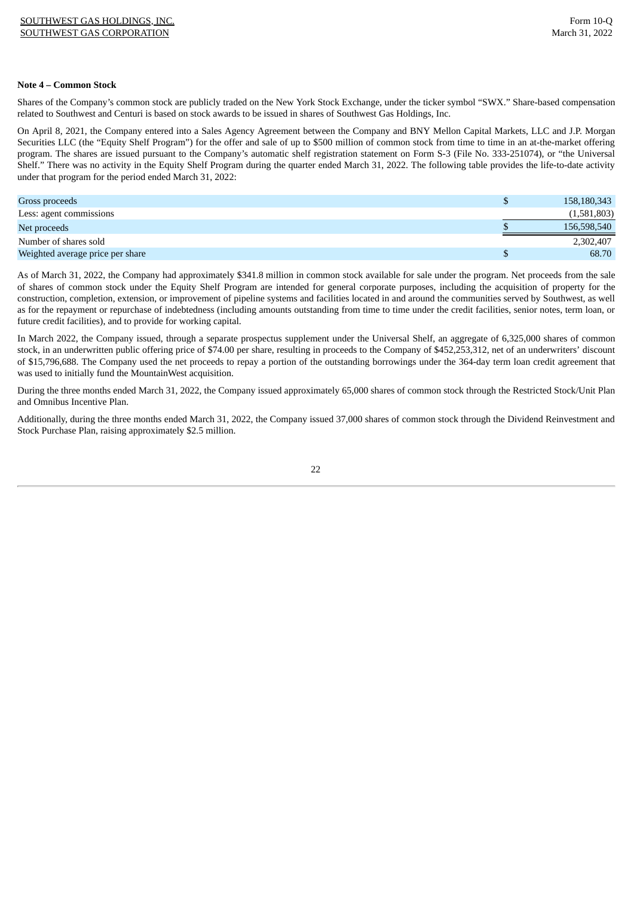#### **Note 4 – Common Stock**

Shares of the Company's common stock are publicly traded on the New York Stock Exchange, under the ticker symbol "SWX." Share-based compensation related to Southwest and Centuri is based on stock awards to be issued in shares of Southwest Gas Holdings, Inc.

On April 8, 2021, the Company entered into a Sales Agency Agreement between the Company and BNY Mellon Capital Markets, LLC and J.P. Morgan Securities LLC (the "Equity Shelf Program") for the offer and sale of up to \$500 million of common stock from time to time in an at-the-market offering program. The shares are issued pursuant to the Company's automatic shelf registration statement on Form S-3 (File No. 333-251074), or "the Universal Shelf." There was no activity in the Equity Shelf Program during the quarter ended March 31, 2022. The following table provides the life-to-date activity under that program for the period ended March 31, 2022:

| Gross proceeds                   | 158,180,343 |
|----------------------------------|-------------|
| Less: agent commissions          | (1,581,803) |
| Net proceeds                     | 156,598,540 |
| Number of shares sold            | 2,302,407   |
| Weighted average price per share | 68.70       |

As of March 31, 2022, the Company had approximately \$341.8 million in common stock available for sale under the program. Net proceeds from the sale of shares of common stock under the Equity Shelf Program are intended for general corporate purposes, including the acquisition of property for the construction, completion, extension, or improvement of pipeline systems and facilities located in and around the communities served by Southwest, as well as for the repayment or repurchase of indebtedness (including amounts outstanding from time to time under the credit facilities, senior notes, term loan, or future credit facilities), and to provide for working capital.

In March 2022, the Company issued, through a separate prospectus supplement under the Universal Shelf, an aggregate of 6,325,000 shares of common stock, in an underwritten public offering price of \$74.00 per share, resulting in proceeds to the Company of \$452,253,312, net of an underwriters' discount of \$15,796,688. The Company used the net proceeds to repay a portion of the outstanding borrowings under the 364-day term loan credit agreement that was used to initially fund the MountainWest acquisition.

During the three months ended March 31, 2022, the Company issued approximately 65,000 shares of common stock through the Restricted Stock/Unit Plan and Omnibus Incentive Plan.

Additionally, during the three months ended March 31, 2022, the Company issued 37,000 shares of common stock through the Dividend Reinvestment and Stock Purchase Plan, raising approximately \$2.5 million.

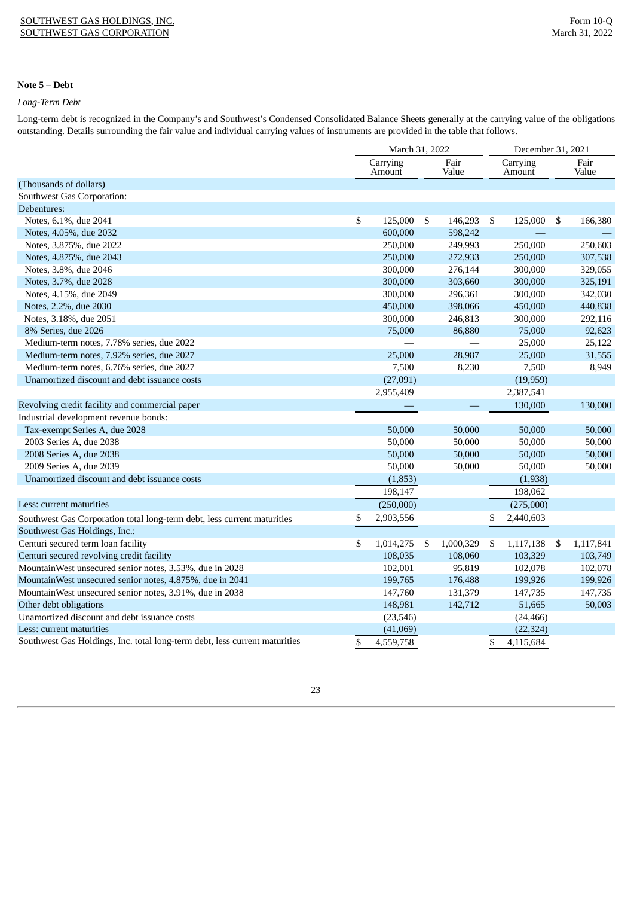# **Note 5 – Debt**

# *Long-Term Debt*

Long-term debt is recognized in the Company's and Southwest's Condensed Consolidated Balance Sheets generally at the carrying value of the obligations outstanding. Details surrounding the fair value and individual carrying values of instruments are provided in the table that follows.

|                                                                            | March 31, 2022     |     |               | December 31, 2021  |     |               |  |
|----------------------------------------------------------------------------|--------------------|-----|---------------|--------------------|-----|---------------|--|
|                                                                            | Carrying<br>Amount |     | Fair<br>Value | Carrying<br>Amount |     | Fair<br>Value |  |
| (Thousands of dollars)                                                     |                    |     |               |                    |     |               |  |
| Southwest Gas Corporation:                                                 |                    |     |               |                    |     |               |  |
| Debentures:                                                                |                    |     |               |                    |     |               |  |
| Notes, 6.1%, due 2041                                                      | \$<br>125,000      | -\$ | 146,293       | \$<br>125,000      | -\$ | 166,380       |  |
| Notes, 4.05%, due 2032                                                     | 600,000            |     | 598,242       |                    |     |               |  |
| Notes, 3.875%, due 2022                                                    | 250,000            |     | 249,993       | 250,000            |     | 250,603       |  |
| Notes, 4.875%, due 2043                                                    | 250,000            |     | 272,933       | 250,000            |     | 307,538       |  |
| Notes, 3.8%, due 2046                                                      | 300,000            |     | 276,144       | 300,000            |     | 329,055       |  |
| Notes, 3.7%, due 2028                                                      | 300,000            |     | 303,660       | 300,000            |     | 325,191       |  |
| Notes, 4.15%, due 2049                                                     | 300,000            |     | 296,361       | 300,000            |     | 342,030       |  |
| Notes, 2.2%, due 2030                                                      | 450,000            |     | 398,066       | 450,000            |     | 440,838       |  |
| Notes, 3.18%, due 2051                                                     | 300,000            |     | 246,813       | 300,000            |     | 292,116       |  |
| 8% Series, due 2026                                                        | 75,000             |     | 86,880        | 75,000             |     | 92,623        |  |
| Medium-term notes, 7.78% series, due 2022                                  |                    |     |               | 25,000             |     | 25,122        |  |
| Medium-term notes, 7.92% series, due 2027                                  | 25,000             |     | 28,987        | 25,000             |     | 31,555        |  |
| Medium-term notes, 6.76% series, due 2027                                  | 7,500              |     | 8,230         | 7,500              |     | 8,949         |  |
| Unamortized discount and debt issuance costs                               | (27,091)           |     |               | (19,959)           |     |               |  |
|                                                                            | 2,955,409          |     |               | 2,387,541          |     |               |  |
| Revolving credit facility and commercial paper                             |                    |     |               | 130,000            |     | 130,000       |  |
| Industrial development revenue bonds:                                      |                    |     |               |                    |     |               |  |
| Tax-exempt Series A, due 2028                                              | 50,000             |     | 50,000        | 50,000             |     | 50,000        |  |
| 2003 Series A, due 2038                                                    | 50,000             |     | 50,000        | 50,000             |     | 50,000        |  |
| 2008 Series A, due 2038                                                    | 50,000             |     | 50,000        | 50,000             |     | 50,000        |  |
| 2009 Series A, due 2039                                                    | 50,000             |     | 50,000        | 50,000             |     | 50,000        |  |
| Unamortized discount and debt issuance costs                               | (1,853)            |     |               | (1,938)            |     |               |  |
|                                                                            | 198,147            |     |               | 198,062            |     |               |  |
| Less: current maturities                                                   | (250,000)          |     |               | (275,000)          |     |               |  |
| Southwest Gas Corporation total long-term debt, less current maturities    | \$<br>2,903,556    |     |               | \$<br>2,440,603    |     |               |  |
| Southwest Gas Holdings, Inc.:                                              |                    |     |               |                    |     |               |  |
| Centuri secured term loan facility                                         | \$<br>1,014,275    | \$  | 1,000,329     | \$<br>1,117,138    | -\$ | 1,117,841     |  |
| Centuri secured revolving credit facility                                  | 108,035            |     | 108,060       | 103,329            |     | 103,749       |  |
| MountainWest unsecured senior notes, 3.53%, due in 2028                    | 102,001            |     | 95,819        | 102,078            |     | 102,078       |  |
| MountainWest unsecured senior notes, 4.875%, due in 2041                   | 199,765            |     | 176,488       | 199,926            |     | 199,926       |  |
| MountainWest unsecured senior notes, 3.91%, due in 2038                    | 147,760            |     | 131,379       | 147,735            |     | 147,735       |  |
| Other debt obligations                                                     | 148,981            |     | 142,712       | 51,665             |     | 50,003        |  |
| Unamortized discount and debt issuance costs                               | (23, 546)          |     |               | (24, 466)          |     |               |  |
| Less: current maturities                                                   | (41,069)           |     |               | (22, 324)          |     |               |  |
| Southwest Gas Holdings, Inc. total long-term debt, less current maturities | \$<br>4,559,758    |     |               | \$<br>4,115,684    |     |               |  |

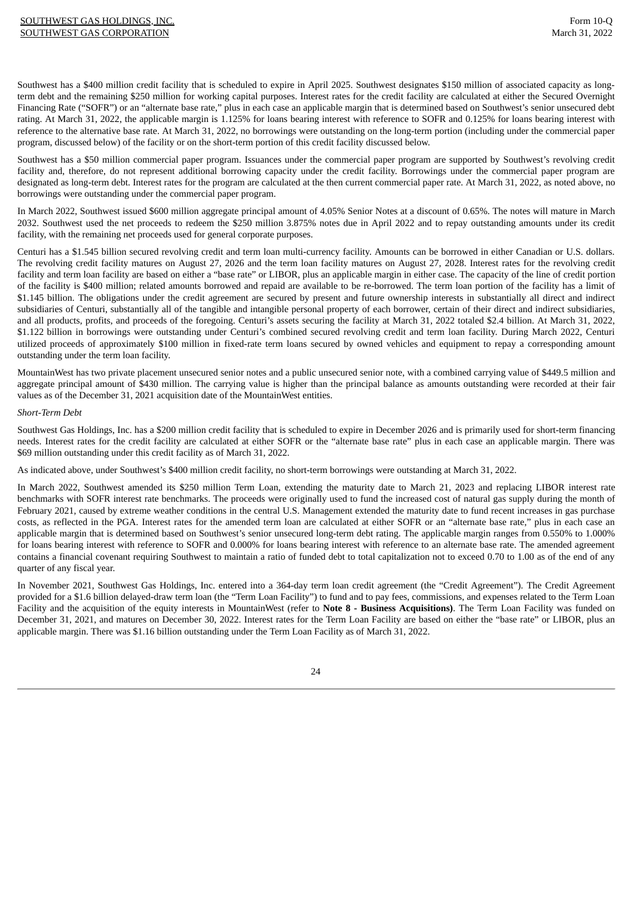Southwest has a \$400 million credit facility that is scheduled to expire in April 2025. Southwest designates \$150 million of associated capacity as longterm debt and the remaining \$250 million for working capital purposes. Interest rates for the credit facility are calculated at either the Secured Overnight Financing Rate ("SOFR") or an "alternate base rate," plus in each case an applicable margin that is determined based on Southwest's senior unsecured debt rating. At March 31, 2022, the applicable margin is 1.125% for loans bearing interest with reference to SOFR and 0.125% for loans bearing interest with reference to the alternative base rate. At March 31, 2022, no borrowings were outstanding on the long-term portion (including under the commercial paper program, discussed below) of the facility or on the short-term portion of this credit facility discussed below.

Southwest has a \$50 million commercial paper program. Issuances under the commercial paper program are supported by Southwest's revolving credit facility and, therefore, do not represent additional borrowing capacity under the credit facility. Borrowings under the commercial paper program are designated as long-term debt. Interest rates for the program are calculated at the then current commercial paper rate. At March 31, 2022, as noted above, no borrowings were outstanding under the commercial paper program.

In March 2022, Southwest issued \$600 million aggregate principal amount of 4.05% Senior Notes at a discount of 0.65%. The notes will mature in March 2032. Southwest used the net proceeds to redeem the \$250 million 3.875% notes due in April 2022 and to repay outstanding amounts under its credit facility, with the remaining net proceeds used for general corporate purposes.

Centuri has a \$1.545 billion secured revolving credit and term loan multi-currency facility. Amounts can be borrowed in either Canadian or U.S. dollars. The revolving credit facility matures on August 27, 2026 and the term loan facility matures on August 27, 2028. Interest rates for the revolving credit facility and term loan facility are based on either a "base rate" or LIBOR, plus an applicable margin in either case. The capacity of the line of credit portion of the facility is \$400 million; related amounts borrowed and repaid are available to be re-borrowed. The term loan portion of the facility has a limit of \$1.145 billion. The obligations under the credit agreement are secured by present and future ownership interests in substantially all direct and indirect subsidiaries of Centuri, substantially all of the tangible and intangible personal property of each borrower, certain of their direct and indirect subsidiaries, and all products, profits, and proceeds of the foregoing. Centuri's assets securing the facility at March 31, 2022 totaled \$2.4 billion. At March 31, 2022, \$1.122 billion in borrowings were outstanding under Centuri's combined secured revolving credit and term loan facility. During March 2022, Centuri utilized proceeds of approximately \$100 million in fixed-rate term loans secured by owned vehicles and equipment to repay a corresponding amount outstanding under the term loan facility.

MountainWest has two private placement unsecured senior notes and a public unsecured senior note, with a combined carrying value of \$449.5 million and aggregate principal amount of \$430 million. The carrying value is higher than the principal balance as amounts outstanding were recorded at their fair values as of the December 31, 2021 acquisition date of the MountainWest entities.

### *Short-Term Debt*

Southwest Gas Holdings, Inc. has a \$200 million credit facility that is scheduled to expire in December 2026 and is primarily used for short-term financing needs. Interest rates for the credit facility are calculated at either SOFR or the "alternate base rate" plus in each case an applicable margin. There was \$69 million outstanding under this credit facility as of March 31, 2022.

As indicated above, under Southwest's \$400 million credit facility, no short-term borrowings were outstanding at March 31, 2022.

In March 2022, Southwest amended its \$250 million Term Loan, extending the maturity date to March 21, 2023 and replacing LIBOR interest rate benchmarks with SOFR interest rate benchmarks. The proceeds were originally used to fund the increased cost of natural gas supply during the month of February 2021, caused by extreme weather conditions in the central U.S. Management extended the maturity date to fund recent increases in gas purchase costs, as reflected in the PGA. Interest rates for the amended term loan are calculated at either SOFR or an "alternate base rate," plus in each case an applicable margin that is determined based on Southwest's senior unsecured long-term debt rating. The applicable margin ranges from 0.550% to 1.000% for loans bearing interest with reference to SOFR and 0.000% for loans bearing interest with reference to an alternate base rate. The amended agreement contains a financial covenant requiring Southwest to maintain a ratio of funded debt to total capitalization not to exceed 0.70 to 1.00 as of the end of any quarter of any fiscal year.

In November 2021, Southwest Gas Holdings, Inc. entered into a 364-day term loan credit agreement (the "Credit Agreement"). The Credit Agreement provided for a \$1.6 billion delayed-draw term loan (the "Term Loan Facility") to fund and to pay fees, commissions, and expenses related to the Term Loan Facility and the acquisition of the equity interests in MountainWest (refer to **Note 8 - Business Acquisitions)**. The Term Loan Facility was funded on December 31, 2021, and matures on December 30, 2022. Interest rates for the Term Loan Facility are based on either the "base rate" or LIBOR, plus an applicable margin. There was \$1.16 billion outstanding under the Term Loan Facility as of March 31, 2022.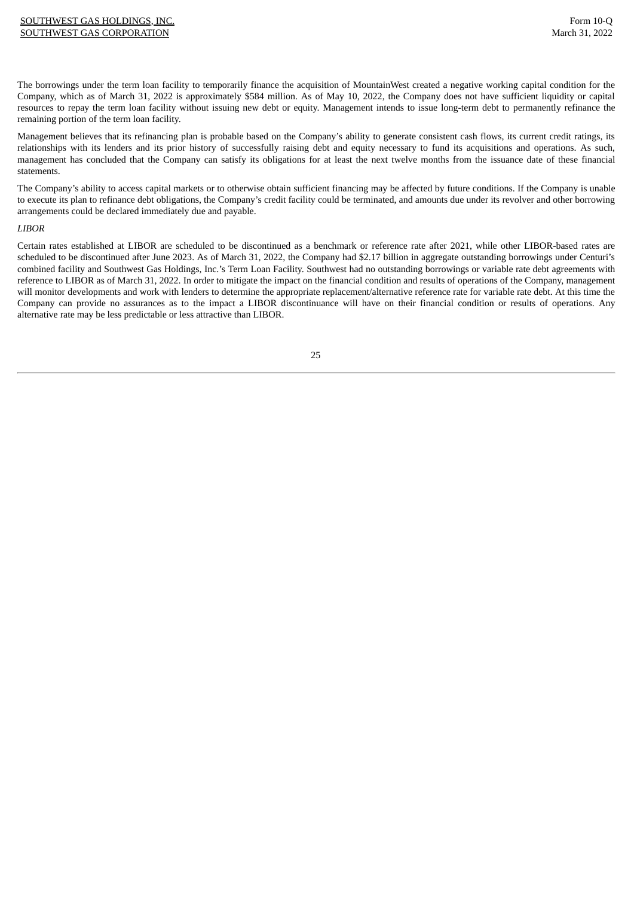The borrowings under the term loan facility to temporarily finance the acquisition of MountainWest created a negative working capital condition for the Company, which as of March 31, 2022 is approximately \$584 million. As of May 10, 2022, the Company does not have sufficient liquidity or capital resources to repay the term loan facility without issuing new debt or equity. Management intends to issue long-term debt to permanently refinance the remaining portion of the term loan facility.

Management believes that its refinancing plan is probable based on the Company's ability to generate consistent cash flows, its current credit ratings, its relationships with its lenders and its prior history of successfully raising debt and equity necessary to fund its acquisitions and operations. As such, management has concluded that the Company can satisfy its obligations for at least the next twelve months from the issuance date of these financial statements.

The Company's ability to access capital markets or to otherwise obtain sufficient financing may be affected by future conditions. If the Company is unable to execute its plan to refinance debt obligations, the Company's credit facility could be terminated, and amounts due under its revolver and other borrowing arrangements could be declared immediately due and payable.

### *LIBOR*

Certain rates established at LIBOR are scheduled to be discontinued as a benchmark or reference rate after 2021, while other LIBOR-based rates are scheduled to be discontinued after June 2023. As of March 31, 2022, the Company had \$2.17 billion in aggregate outstanding borrowings under Centuri's combined facility and Southwest Gas Holdings, Inc.'s Term Loan Facility. Southwest had no outstanding borrowings or variable rate debt agreements with reference to LIBOR as of March 31, 2022. In order to mitigate the impact on the financial condition and results of operations of the Company, management will monitor developments and work with lenders to determine the appropriate replacement/alternative reference rate for variable rate debt. At this time the Company can provide no assurances as to the impact a LIBOR discontinuance will have on their financial condition or results of operations. Any alternative rate may be less predictable or less attractive than LIBOR.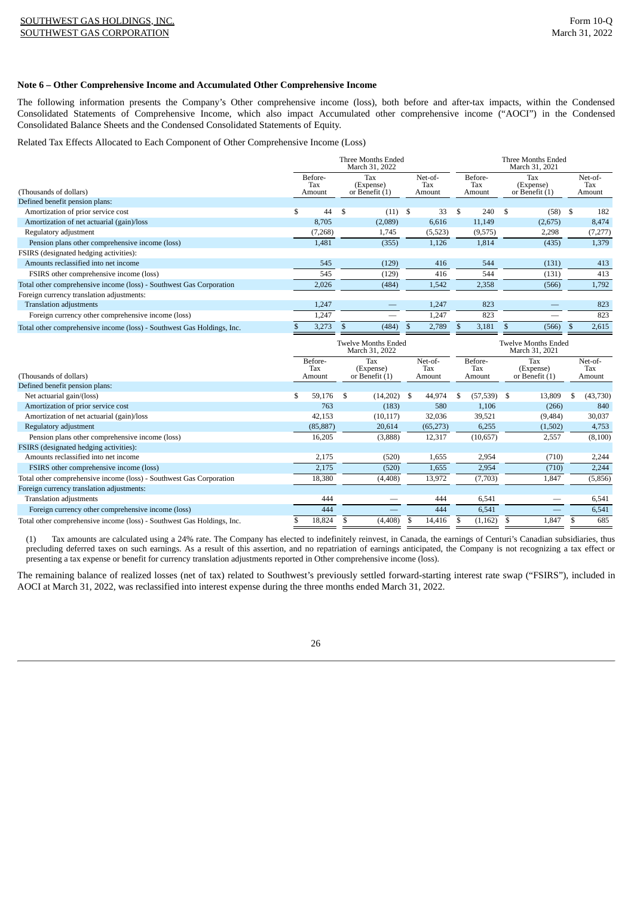### **Note 6 – Other Comprehensive Income and Accumulated Other Comprehensive Income**

The following information presents the Company's Other comprehensive income (loss), both before and after-tax impacts, within the Condensed Consolidated Statements of Comprehensive Income, which also impact Accumulated other comprehensive income ("AOCI") in the Condensed Consolidated Balance Sheets and the Condensed Consolidated Statements of Equity.

#### Related Tax Effects Allocated to Each Component of Other Comprehensive Income (Loss)

|                                                                        |                          | Three Months Ended<br>March 31, 2022 |                          |                          | Three Months Ended                   |                          |
|------------------------------------------------------------------------|--------------------------|--------------------------------------|--------------------------|--------------------------|--------------------------------------|--------------------------|
| (Thousands of dollars)                                                 | Before-<br>Tax<br>Amount | Tax<br>(Expense)<br>or Benefit (1)   | Net-of-<br>Tax<br>Amount | Before-<br>Tax<br>Amount | Tax<br>(Expense)<br>or Benefit $(1)$ | Net-of-<br>Tax<br>Amount |
| Defined benefit pension plans:                                         |                          |                                      |                          |                          |                                      |                          |
| Amortization of prior service cost                                     | 44<br>\$                 | \$<br>(11)                           | 33<br>-\$                | -S<br>240                | (58)<br>S.                           | 182<br>- \$              |
| Amortization of net actuarial (gain)/loss                              | 8,705                    | (2,089)                              | 6,616                    | 11,149                   | (2,675)                              | 8,474                    |
| Regulatory adjustment                                                  | (7,268)                  | 1,745                                | (5,523)                  | (9,575)                  | 2,298                                | (7, 277)                 |
| Pension plans other comprehensive income (loss)                        | 1,481                    | (355)                                | 1,126                    | 1,814                    | (435)                                | 1,379                    |
| FSIRS (designated hedging activities):                                 |                          |                                      |                          |                          |                                      |                          |
| Amounts reclassified into net income                                   | 545                      | (129)                                | 416                      | 544                      | (131)                                | 413                      |
| FSIRS other comprehensive income (loss)                                | 545                      | (129)                                | 416                      | 544                      | (131)                                | 413                      |
| Total other comprehensive income (loss) - Southwest Gas Corporation    | 2,026                    | (484)                                | 1,542                    | 2,358                    | (566)                                | 1,792                    |
| Foreign currency translation adjustments:                              |                          |                                      |                          |                          |                                      |                          |
| <b>Translation adjustments</b>                                         | 1,247                    |                                      | 1,247                    | 823                      |                                      | 823                      |
| Foreign currency other comprehensive income (loss)                     | 1,247                    |                                      | 1,247                    | 823                      |                                      | 823                      |
| Total other comprehensive income (loss) - Southwest Gas Holdings, Inc. | 3,273                    | (484)                                | 2,789                    | 3,181                    | (566)                                | 2,615                    |

|                                                                        |                          |   | <b>Twelve Months Ended</b><br>March 31, 2022 |   |                          |                          |               | <b>Twelve Months Ended</b>         |  |                          |
|------------------------------------------------------------------------|--------------------------|---|----------------------------------------------|---|--------------------------|--------------------------|---------------|------------------------------------|--|--------------------------|
| (Thousands of dollars)                                                 | Before-<br>Tax<br>Amount |   | Tax<br>(Expense)<br>or Benefit (1)           |   | Net-of-<br>Tax<br>Amount | Before-<br>Tax<br>Amount |               | Tax<br>(Expense)<br>or Benefit (1) |  | Net-of-<br>Tax<br>Amount |
| Defined benefit pension plans:                                         |                          |   |                                              |   |                          |                          |               |                                    |  |                          |
| Net actuarial gain/(loss)                                              | \$<br>59,176             | S | (14,202)                                     | S | 44,974                   | S                        | $(57,539)$ \$ | 13,809                             |  | (43,730)                 |
| Amortization of prior service cost                                     | 763                      |   | (183)                                        |   | 580                      |                          | 1,106         | (266)                              |  | 840                      |
| Amortization of net actuarial (gain)/loss                              | 42,153                   |   | (10, 117)                                    |   | 32,036                   |                          | 39,521        | (9,484)                            |  | 30,037                   |
| Regulatory adjustment                                                  | (85, 887)                |   | 20,614                                       |   | (65, 273)                |                          | 6,255         | (1,502)                            |  | 4,753                    |
| Pension plans other comprehensive income (loss)                        | 16,205                   |   | (3,888)                                      |   | 12,317                   |                          | (10,657)      | 2,557                              |  | (8,100)                  |
| FSIRS (designated hedging activities):                                 |                          |   |                                              |   |                          |                          |               |                                    |  |                          |
| Amounts reclassified into net income                                   | 2,175                    |   | (520)                                        |   | 1,655                    |                          | 2,954         | (710)                              |  | 2,244                    |
| FSIRS other comprehensive income (loss)                                | 2,175                    |   | (520)                                        |   | 1,655                    |                          | 2,954         | (710)                              |  | 2,244                    |
| Total other comprehensive income (loss) - Southwest Gas Corporation    | 18,380                   |   | (4, 408)                                     |   | 13,972                   |                          | (7,703)       | 1,847                              |  | (5,856)                  |
| Foreign currency translation adjustments:                              |                          |   |                                              |   |                          |                          |               |                                    |  |                          |
| Translation adjustments                                                | 444                      |   |                                              |   | 444                      |                          | 6,541         |                                    |  | 6,541                    |
| Foreign currency other comprehensive income (loss)                     | 444                      |   |                                              |   | 444                      |                          | 6,541         |                                    |  | 6,541                    |
| Total other comprehensive income (loss) - Southwest Gas Holdings, Inc. | 18,824                   |   | (4, 408)                                     |   | 14,416                   |                          | (1, 162)      | 1,847                              |  | 685                      |

(1) Tax amounts are calculated using a 24% rate. The Company has elected to indefinitely reinvest, in Canada, the earnings of Centuri's Canadian subsidiaries, thus precluding deferred taxes on such earnings. As a result of this assertion, and no repatriation of earnings anticipated, the Company is not recognizing a tax effect or presenting a tax expense or benefit for currency translation adjustments reported in Other comprehensive income (loss).

The remaining balance of realized losses (net of tax) related to Southwest's previously settled forward-starting interest rate swap ("FSIRS"), included in AOCI at March 31, 2022, was reclassified into interest expense during the three months ended March 31, 2022.

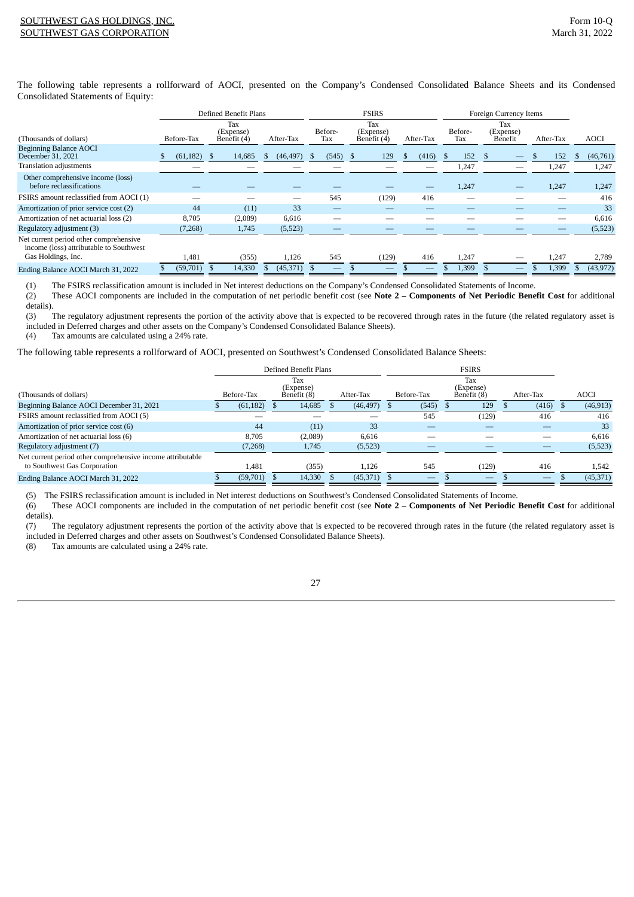The following table represents a rollforward of AOCI, presented on the Company's Condensed Consolidated Balance Sheets and its Condensed Consolidated Statements of Equity:

|                                                                                                         |            | Defined Benefit Plans             |                |                    | <b>FSIRS</b>                      |            | Foreign Currency Items |                             |           |             |
|---------------------------------------------------------------------------------------------------------|------------|-----------------------------------|----------------|--------------------|-----------------------------------|------------|------------------------|-----------------------------|-----------|-------------|
| (Thousands of dollars)                                                                                  | Before-Tax | Tax<br>(Expense)<br>Benefit $(4)$ | After-Tax      | Before-<br>Tax     | Tax<br>(Expense)<br>Benefit $(4)$ | After-Tax  | Before-<br>Tax         | Tax<br>(Expense)<br>Benefit | After-Tax | <b>AOCI</b> |
| <b>Beginning Balance AOCI</b><br>December 31, 2021                                                      | (61, 182)  | 14,685<br>-\$                     | (46, 497)<br>S | $(545)$ \$<br>- \$ | 129                               | (416)<br>S | 152<br>-S              | -\$                         | 152       | (46, 761)   |
| Translation adjustments                                                                                 |            |                                   |                |                    |                                   |            | 1,247                  |                             | 1,247     | 1,247       |
| Other comprehensive income (loss)<br>before reclassifications                                           |            |                                   |                |                    |                                   |            | 1,247                  |                             | 1,247     | 1,247       |
| FSIRS amount reclassified from AOCI (1)                                                                 |            |                                   |                | 545                | (129)                             | 416        |                        |                             |           | 416         |
| Amortization of prior service cost (2)                                                                  | 44         | (11)                              | 33             |                    |                                   |            |                        |                             |           | 33          |
| Amortization of net actuarial loss (2)                                                                  | 8,705      | (2,089)                           | 6,616          |                    |                                   |            |                        |                             |           | 6,616       |
| Regulatory adjustment (3)                                                                               | (7,268)    | 1,745                             | (5,523)        |                    |                                   |            |                        |                             |           | (5, 523)    |
| Net current period other comprehensive<br>income (loss) attributable to Southwest<br>Gas Holdings, Inc. | 1,481      | (355)                             | 1,126          | 545                | (129)                             | 416        | 1,247                  |                             | 1,247     | 2,789       |
| Ending Balance AOCI March 31, 2022                                                                      | (59,701)   | 14,330                            | $(45,371)$ \$  |                    |                                   | --         | 1,399                  |                             | 1,399     | (43, 972)   |

(1) The FSIRS reclassification amount is included in Net interest deductions on the Company's Condensed Consolidated Statements of Income.<br>(2) These AOCI components are included in the computation of net periodic benefit c (2) These AOCI components are included in the computation of net periodic benefit cost (see **Note 2 – Components of Net Periodic Benefit Cost** for additional details).

(3) The regulatory adjustment represents the portion of the activity above that is expected to be recovered through rates in the future (the related regulatory asset is included in Deferred charges and other assets on the Company's Condensed Consolidated Balance Sheets).

(4) Tax amounts are calculated using a 24% rate.

The following table represents a rollforward of AOCI, presented on Southwest's Condensed Consolidated Balance Sheets:

|                                                                                            |                                                            |           | Defined Benefit Plans |         |  |               |                                                            |                   |  |                          |  |                          |           |
|--------------------------------------------------------------------------------------------|------------------------------------------------------------|-----------|-----------------------|---------|--|---------------|------------------------------------------------------------|-------------------|--|--------------------------|--|--------------------------|-----------|
| (Thousands of dollars)                                                                     | Tax<br>(Expense)<br>Before-Tax<br>After-Tax<br>Benefit (8) |           |                       |         |  |               | Tax<br>(Expense)<br>Before-Tax<br>Benefit (8)<br>After-Tax |                   |  |                          |  |                          | AOCI      |
| Beginning Balance AOCI December 31, 2021                                                   |                                                            | (61, 182) |                       | 14,685  |  | (46, 497)     |                                                            | (545)             |  | 129                      |  | (416)                    | (46, 913) |
| FSIRS amount reclassified from AOCI (5)                                                    |                                                            |           |                       |         |  |               |                                                            | 545               |  | (129)                    |  | 416                      | 416       |
| Amortization of prior service cost (6)                                                     |                                                            | 44        |                       | (11)    |  | 33            |                                                            |                   |  |                          |  |                          | 33        |
| Amortization of net actuarial loss (6)                                                     |                                                            | 8.705     |                       | (2,089) |  | 6.616         |                                                            |                   |  |                          |  |                          | 6,616     |
| Regulatory adjustment (7)                                                                  |                                                            | (7,268)   |                       | 1,745   |  | (5, 523)      |                                                            |                   |  |                          |  |                          | (5,523)   |
| Net current period other comprehensive income attributable<br>to Southwest Gas Corporation |                                                            | 1,481     |                       | (355)   |  | 1.126         |                                                            | 545               |  | (129)                    |  | 416                      | 1,542     |
| Ending Balance AOCI March 31, 2022                                                         |                                                            | (59,701)  |                       | 14,330  |  | $(45,371)$ \$ |                                                            | $\qquad \qquad -$ |  | $\overline{\phantom{m}}$ |  | $\overline{\phantom{m}}$ | (45, 371) |

(5) The FSIRS reclassification amount is included in Net interest deductions on Southwest's Condensed Consolidated Statements of Income.<br>(6) These AOCI components are included in the computation of net periodic benefit cos

(6) These AOCI components are included in the computation of net periodic benefit cost (see **Note 2 – Components of Net Periodic Benefit Cost** for additional details).

(7) The regulatory adjustment represents the portion of the activity above that is expected to be recovered through rates in the future (the related regulatory asset is included in Deferred charges and other assets on Southwest's Condensed Consolidated Balance Sheets).

(8) Tax amounts are calculated using a 24% rate.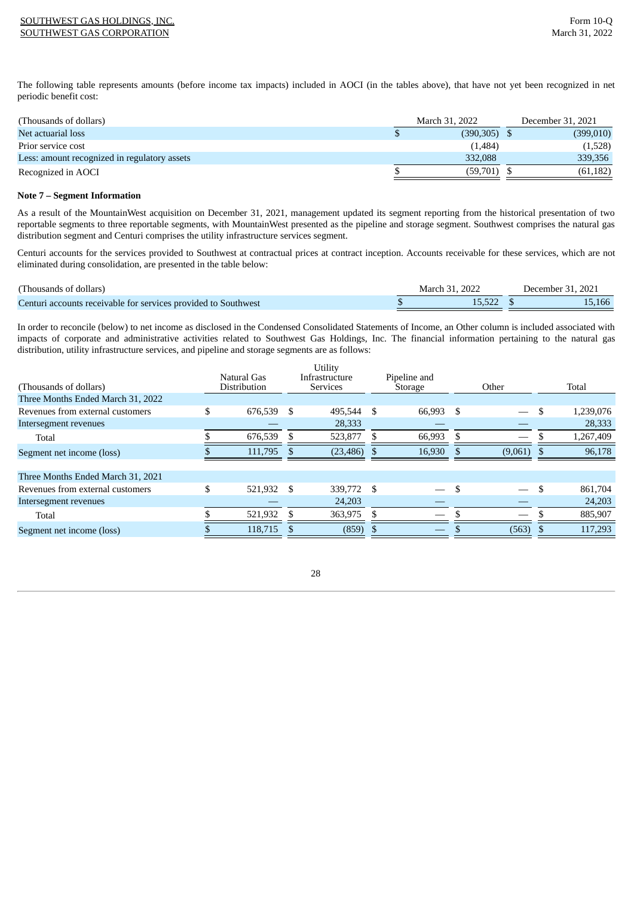The following table represents amounts (before income tax impacts) included in AOCI (in the tables above), that have not yet been recognized in net periodic benefit cost:

| (Thousands of dollars)                       | March 31, 2022 |                | December 31, 2021 |
|----------------------------------------------|----------------|----------------|-------------------|
| Net actuarial loss                           |                | $(390,305)$ \$ | (399,010)         |
| Prior service cost                           |                | (1,484)        | (1,528)           |
| Less: amount recognized in regulatory assets |                | 332,088        | 339,356           |
| Recognized in AOCI                           |                | (59,701)       | (61, 182)         |

#### **Note 7 – Segment Information**

As a result of the MountainWest acquisition on December 31, 2021, management updated its segment reporting from the historical presentation of two reportable segments to three reportable segments, with MountainWest presented as the pipeline and storage segment. Southwest comprises the natural gas distribution segment and Centuri comprises the utility infrastructure services segment.

Centuri accounts for the services provided to Southwest at contractual prices at contract inception. Accounts receivable for these services, which are not eliminated during consolidation, are presented in the table below:

| Thousands of dollars)                                          | 2022<br>March 31 | December 31, 2021 |
|----------------------------------------------------------------|------------------|-------------------|
| Centuri accounts receivable for services provided to Southwest | 15.522           | 15,166            |

In order to reconcile (below) to net income as disclosed in the Condensed Consolidated Statements of Income, an Other column is included associated with impacts of corporate and administrative activities related to Southwest Gas Holdings, Inc. The financial information pertaining to the natural gas distribution, utility infrastructure services, and pipeline and storage segments are as follows:

|                                   |                             |     | Utility                           |      |                         |     |         |    |           |  |  |
|-----------------------------------|-----------------------------|-----|-----------------------------------|------|-------------------------|-----|---------|----|-----------|--|--|
| (Thousands of dollars)            | Natural Gas<br>Distribution |     | Infrastructure<br><b>Services</b> |      | Pipeline and<br>Storage |     | Other   |    | Total     |  |  |
| Three Months Ended March 31, 2022 |                             |     |                                   |      |                         |     |         |    |           |  |  |
| Revenues from external customers  | 676,539                     | \$  | 495.544                           | - \$ | 66,993                  | \$. |         | \$ | 1,239,076 |  |  |
| Intersegment revenues             |                             |     | 28,333                            |      |                         |     |         |    | 28,333    |  |  |
| Total                             | 676,539                     |     | 523,877                           |      | 66,993                  |     |         |    | 1,267,409 |  |  |
| Segment net income (loss)         | 111.795                     | \$. | $(23, 486)$ \$                    |      | 16,930                  |     | (9,061) | -S | 96,178    |  |  |
|                                   |                             |     |                                   |      |                         |     |         |    |           |  |  |
| Three Months Ended March 31, 2021 |                             |     |                                   |      |                         |     |         |    |           |  |  |
| Revenues from external customers  | \$<br>521,932               | \$  | 339.772 \$                        |      |                         |     |         | \$ | 861,704   |  |  |
| Intersegment revenues             |                             |     | 24,203                            |      |                         |     |         |    | 24,203    |  |  |
| Total                             | 521,932                     |     | 363,975                           |      |                         |     |         |    | 885,907   |  |  |
| Segment net income (loss)         | 118,715                     |     | (859)                             |      |                         |     | (563)   |    | 117,293   |  |  |
|                                   |                             |     |                                   |      |                         |     |         |    |           |  |  |

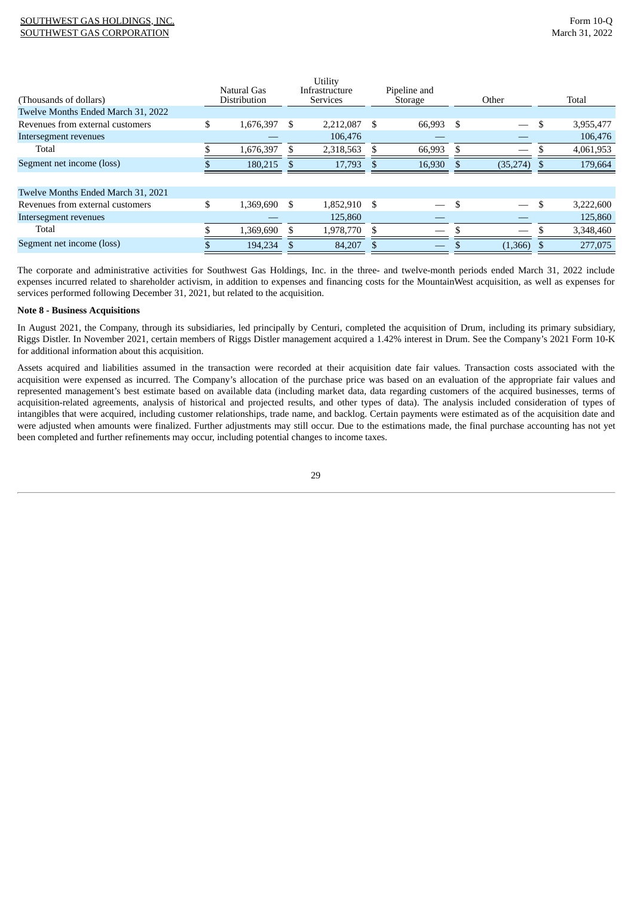### SOUTHWEST GAS HOLDINGS, INC. The state of the state of the state of the state of the state of the state of the state of the state of the state of the state of the state of the state of the state of the state of the state o SOUTHWEST GAS CORPORATION March 31, 2022

| (Thousands of dollars)             | Natural Gas<br>Distribution | Utility<br>Infrastructure<br><b>Services</b> |     | Pipeline and<br>Storage |     | Other     |     | Total     |
|------------------------------------|-----------------------------|----------------------------------------------|-----|-------------------------|-----|-----------|-----|-----------|
| Twelve Months Ended March 31, 2022 |                             |                                              |     |                         |     |           |     |           |
| Revenues from external customers   | 1,676,397                   | \$<br>2,212,087                              | S   | 66,993                  | \$. |           |     | 3,955,477 |
| Intersegment revenues              |                             | 106,476                                      |     |                         |     |           |     | 106,476   |
| Total                              | 1,676,397                   | 2,318,563                                    |     | 66,993                  |     |           |     | 4,061,953 |
| Segment net income (loss)          | 180,215                     | 17,793                                       |     | 16,930                  |     | (35, 274) | -S  | 179,664   |
|                                    |                             |                                              |     |                         |     |           |     |           |
| Twelve Months Ended March 31, 2021 |                             |                                              |     |                         |     |           |     |           |
| Revenues from external customers   | 1,369,690                   | \$<br>1,852,910                              | -\$ |                         |     |           | \$. | 3,222,600 |
| Intersegment revenues              |                             | 125,860                                      |     |                         |     |           |     | 125,860   |
| Total                              | 1,369,690                   | 1,978,770                                    |     |                         |     |           |     | 3,348,460 |
| Segment net income (loss)          | 194.234                     | 84,207                                       |     |                         |     | (1, 366)  |     | 277,075   |

The corporate and administrative activities for Southwest Gas Holdings, Inc. in the three- and twelve-month periods ended March 31, 2022 include expenses incurred related to shareholder activism, in addition to expenses and financing costs for the MountainWest acquisition, as well as expenses for services performed following December 31, 2021, but related to the acquisition.

#### **Note 8 - Business Acquisitions**

In August 2021, the Company, through its subsidiaries, led principally by Centuri, completed the acquisition of Drum, including its primary subsidiary, Riggs Distler. In November 2021, certain members of Riggs Distler management acquired a 1.42% interest in Drum. See the Company's 2021 Form 10-K for additional information about this acquisition.

Assets acquired and liabilities assumed in the transaction were recorded at their acquisition date fair values. Transaction costs associated with the acquisition were expensed as incurred. The Company's allocation of the purchase price was based on an evaluation of the appropriate fair values and represented management's best estimate based on available data (including market data, data regarding customers of the acquired businesses, terms of acquisition-related agreements, analysis of historical and projected results, and other types of data). The analysis included consideration of types of intangibles that were acquired, including customer relationships, trade name, and backlog. Certain payments were estimated as of the acquisition date and were adjusted when amounts were finalized. Further adjustments may still occur. Due to the estimations made, the final purchase accounting has not yet been completed and further refinements may occur, including potential changes to income taxes.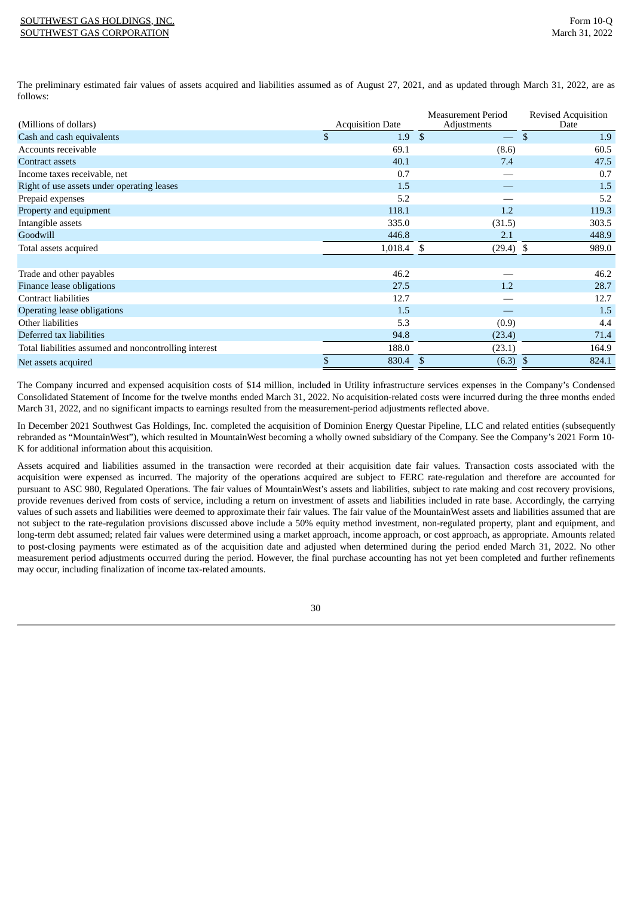### SOUTHWEST GAS HOLDINGS, INC. The state of the state of the state of the state of the state of the state of the state of the state of the state of the state of the state of the state of the state of the state of the state o SOUTHWEST GAS CORPORATION March 31, 2022

The preliminary estimated fair values of assets acquired and liabilities assumed as of August 27, 2021, and as updated through March 31, 2022, are as follows:

| (Millions of dollars)                                 | <b>Acquisition Date</b> |      | <b>Measurement Period</b><br>Adjustments | <b>Revised Acquisition</b><br>Date |
|-------------------------------------------------------|-------------------------|------|------------------------------------------|------------------------------------|
| Cash and cash equivalents                             | \$<br>1.9               | \$   |                                          | $\mathbb{S}$<br>1.9                |
| Accounts receivable                                   | 69.1                    |      | (8.6)                                    | 60.5                               |
| <b>Contract assets</b>                                | 40.1                    |      | 7.4                                      | 47.5                               |
| Income taxes receivable, net                          | 0.7                     |      |                                          | 0.7                                |
| Right of use assets under operating leases            | 1.5                     |      |                                          | 1.5                                |
| Prepaid expenses                                      | 5.2                     |      |                                          | 5.2                                |
| Property and equipment                                | 118.1                   |      | 1.2                                      | 119.3                              |
| Intangible assets                                     | 335.0                   |      | (31.5)                                   | 303.5                              |
| Goodwill                                              | 446.8                   |      | 2.1                                      | 448.9                              |
| Total assets acquired                                 | 1,018.4                 | - \$ | $(29.4)$ \$                              | 989.0                              |
|                                                       |                         |      |                                          |                                    |
| Trade and other payables                              | 46.2                    |      |                                          | 46.2                               |
| Finance lease obligations                             | 27.5                    |      | 1.2                                      | 28.7                               |
| <b>Contract liabilities</b>                           | 12.7                    |      |                                          | 12.7                               |
| Operating lease obligations                           | 1.5                     |      |                                          | 1.5                                |
| Other liabilities                                     | 5.3                     |      | (0.9)                                    | 4.4                                |
| Deferred tax liabilities                              | 94.8                    |      | (23.4)                                   | 71.4                               |
| Total liabilities assumed and noncontrolling interest | 188.0                   |      | (23.1)                                   | 164.9                              |
| Net assets acquired                                   | 830.4                   |      | (6.3)                                    | 824.1<br>- \$                      |

The Company incurred and expensed acquisition costs of \$14 million, included in Utility infrastructure services expenses in the Company's Condensed Consolidated Statement of Income for the twelve months ended March 31, 2022. No acquisition-related costs were incurred during the three months ended March 31, 2022, and no significant impacts to earnings resulted from the measurement-period adjustments reflected above.

In December 2021 Southwest Gas Holdings, Inc. completed the acquisition of Dominion Energy Questar Pipeline, LLC and related entities (subsequently rebranded as "MountainWest"), which resulted in MountainWest becoming a wholly owned subsidiary of the Company. See the Company's 2021 Form 10- K for additional information about this acquisition.

Assets acquired and liabilities assumed in the transaction were recorded at their acquisition date fair values. Transaction costs associated with the acquisition were expensed as incurred. The majority of the operations acquired are subject to FERC rate-regulation and therefore are accounted for pursuant to ASC 980, Regulated Operations. The fair values of MountainWest's assets and liabilities, subject to rate making and cost recovery provisions, provide revenues derived from costs of service, including a return on investment of assets and liabilities included in rate base. Accordingly, the carrying values of such assets and liabilities were deemed to approximate their fair values. The fair value of the MountainWest assets and liabilities assumed that are not subject to the rate-regulation provisions discussed above include a 50% equity method investment, non-regulated property, plant and equipment, and long-term debt assumed; related fair values were determined using a market approach, income approach, or cost approach, as appropriate. Amounts related to post-closing payments were estimated as of the acquisition date and adjusted when determined during the period ended March 31, 2022. No other measurement period adjustments occurred during the period. However, the final purchase accounting has not yet been completed and further refinements may occur, including finalization of income tax-related amounts.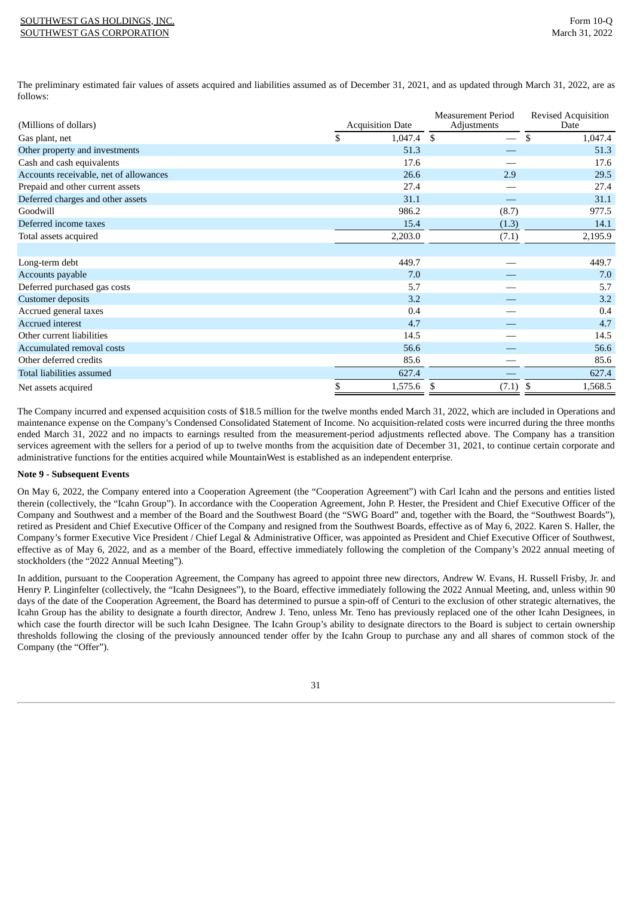The preliminary estimated fair values of assets acquired and liabilities assumed as of December 31, 2021, and as updated through March 31, 2022, are as follows:

| (Millions of dollars)                  | <b>Acquisition Date</b> | <b>Measurement Period</b><br>Adjustments | <b>Revised Acquisition</b><br>Date |  |
|----------------------------------------|-------------------------|------------------------------------------|------------------------------------|--|
| Gas plant, net                         | \$<br>$1,047.4$ \$      |                                          | \$<br>1,047.4                      |  |
| Other property and investments         | 51.3                    |                                          | 51.3                               |  |
| Cash and cash equivalents              | 17.6                    |                                          | 17.6                               |  |
| Accounts receivable, net of allowances | 26.6                    | 2.9                                      | 29.5                               |  |
| Prepaid and other current assets       | 27.4                    |                                          | 27.4                               |  |
| Deferred charges and other assets      | 31.1                    |                                          | 31.1                               |  |
| Goodwill                               | 986.2                   | (8.7)                                    | 977.5                              |  |
| Deferred income taxes                  | 15.4                    | (1.3)                                    | 14.1                               |  |
| Total assets acquired                  | 2,203.0                 | (7.1)                                    | 2,195.9                            |  |
|                                        |                         |                                          |                                    |  |
| Long-term debt                         | 449.7                   |                                          | 449.7                              |  |
| Accounts payable                       | 7.0                     |                                          | 7.0                                |  |
| Deferred purchased gas costs           | 5.7                     |                                          | 5.7                                |  |
| Customer deposits                      | 3.2                     |                                          | 3.2                                |  |
| Accrued general taxes                  | 0.4                     |                                          | 0.4                                |  |
| <b>Accrued</b> interest                | 4.7                     |                                          | 4.7                                |  |
| Other current liabilities              | 14.5                    |                                          | 14.5                               |  |
| Accumulated removal costs              | 56.6                    |                                          | 56.6                               |  |
| Other deferred credits                 | 85.6                    |                                          | 85.6                               |  |
| Total liabilities assumed              | 627.4                   |                                          | 627.4                              |  |
| Net assets acquired                    | \$<br>1,575.6           | (7.1)<br>\$                              | \$<br>1,568.5                      |  |

The Company incurred and expensed acquisition costs of \$18.5 million for the twelve months ended March 31, 2022, which are included in Operations and maintenance expense on the Company's Condensed Consolidated Statement of Income. No acquisition-related costs were incurred during the three months ended March 31, 2022 and no impacts to earnings resulted from the measurement-period adjustments reflected above. The Company has a transition services agreement with the sellers for a period of up to twelve months from the acquisition date of December 31, 2021, to continue certain corporate and administrative functions for the entities acquired while MountainWest is established as an independent enterprise.

### **Note 9 - Subsequent Events**

On May 6, 2022, the Company entered into a Cooperation Agreement (the "Cooperation Agreement") with Carl Icahn and the persons and entities listed therein (collectively, the "Icahn Group"). In accordance with the Cooperation Agreement, John P. Hester, the President and Chief Executive Officer of the Company and Southwest and a member of the Board and the Southwest Board (the "SWG Board" and, together with the Board, the "Southwest Boards"), retired as President and Chief Executive Officer of the Company and resigned from the Southwest Boards, effective as of May 6, 2022. Karen S. Haller, the Company's former Executive Vice President / Chief Legal & Administrative Officer, was appointed as President and Chief Executive Officer of Southwest, effective as of May 6, 2022, and as a member of the Board, effective immediately following the completion of the Company's 2022 annual meeting of stockholders (the "2022 Annual Meeting").

In addition, pursuant to the Cooperation Agreement, the Company has agreed to appoint three new directors, Andrew W. Evans, H. Russell Frisby, Jr. and Henry P. Linginfelter (collectively, the "Icahn Designees"), to the Board, effective immediately following the 2022 Annual Meeting, and, unless within 90 days of the date of the Cooperation Agreement, the Board has determined to pursue a spin-off of Centuri to the exclusion of other strategic alternatives, the Icahn Group has the ability to designate a fourth director, Andrew J. Teno, unless Mr. Teno has previously replaced one of the other Icahn Designees, in which case the fourth director will be such Icahn Designee. The Icahn Group's ability to designate directors to the Board is subject to certain ownership thresholds following the closing of the previously announced tender offer by the Icahn Group to purchase any and all shares of common stock of the Company (the "Offer").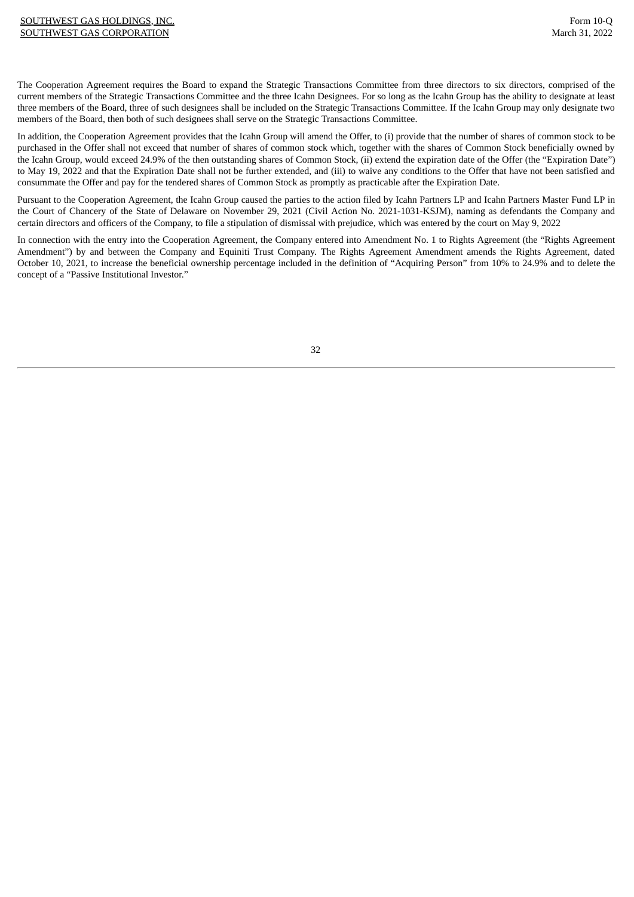The Cooperation Agreement requires the Board to expand the Strategic Transactions Committee from three directors to six directors, comprised of the current members of the Strategic Transactions Committee and the three Icahn Designees. For so long as the Icahn Group has the ability to designate at least three members of the Board, three of such designees shall be included on the Strategic Transactions Committee. If the Icahn Group may only designate two members of the Board, then both of such designees shall serve on the Strategic Transactions Committee.

In addition, the Cooperation Agreement provides that the Icahn Group will amend the Offer, to (i) provide that the number of shares of common stock to be purchased in the Offer shall not exceed that number of shares of common stock which, together with the shares of Common Stock beneficially owned by the Icahn Group, would exceed 24.9% of the then outstanding shares of Common Stock, (ii) extend the expiration date of the Offer (the "Expiration Date") to May 19, 2022 and that the Expiration Date shall not be further extended, and (iii) to waive any conditions to the Offer that have not been satisfied and consummate the Offer and pay for the tendered shares of Common Stock as promptly as practicable after the Expiration Date.

Pursuant to the Cooperation Agreement, the Icahn Group caused the parties to the action filed by Icahn Partners LP and Icahn Partners Master Fund LP in the Court of Chancery of the State of Delaware on November 29, 2021 (Civil Action No. 2021-1031-KSJM), naming as defendants the Company and certain directors and officers of the Company, to file a stipulation of dismissal with prejudice, which was entered by the court on May 9, 2022

In connection with the entry into the Cooperation Agreement, the Company entered into Amendment No. 1 to Rights Agreement (the "Rights Agreement Amendment") by and between the Company and Equiniti Trust Company. The Rights Agreement Amendment amends the Rights Agreement, dated October 10, 2021, to increase the beneficial ownership percentage included in the definition of "Acquiring Person" from 10% to 24.9% and to delete the concept of a "Passive Institutional Investor."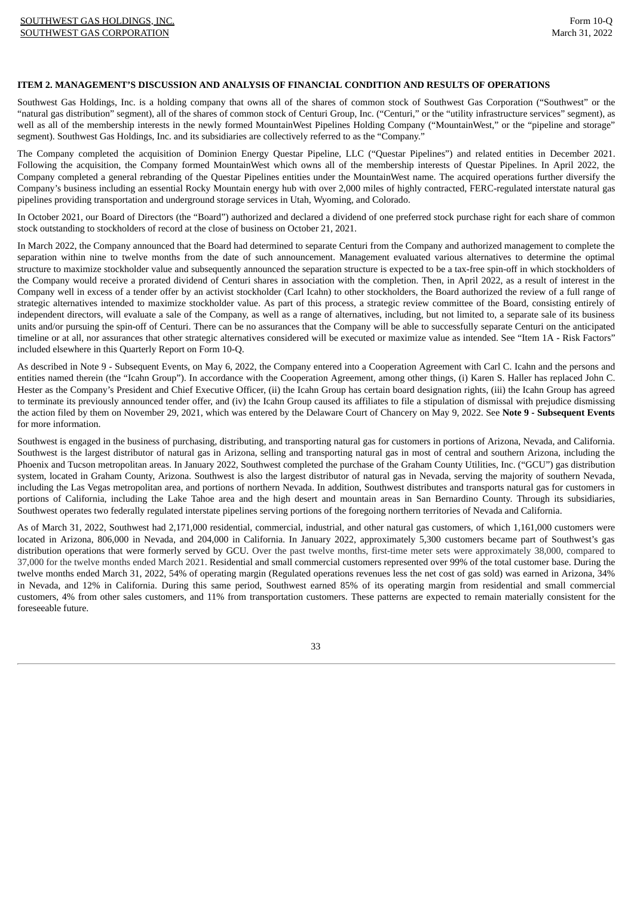#### **ITEM 2. MANAGEMENT'S DISCUSSION AND ANALYSIS OF FINANCIAL CONDITION AND RESULTS OF OPERATIONS**

Southwest Gas Holdings, Inc. is a holding company that owns all of the shares of common stock of Southwest Gas Corporation ("Southwest" or the "natural gas distribution" segment), all of the shares of common stock of Centuri Group, Inc. ("Centuri," or the "utility infrastructure services" segment), as well as all of the membership interests in the newly formed MountainWest Pipelines Holding Company ("MountainWest," or the "pipeline and storage" segment). Southwest Gas Holdings, Inc. and its subsidiaries are collectively referred to as the "Company."

The Company completed the acquisition of Dominion Energy Questar Pipeline, LLC ("Questar Pipelines") and related entities in December 2021. Following the acquisition, the Company formed MountainWest which owns all of the membership interests of Questar Pipelines. In April 2022, the Company completed a general rebranding of the Questar Pipelines entities under the MountainWest name. The acquired operations further diversify the Company's business including an essential Rocky Mountain energy hub with over 2,000 miles of highly contracted, FERC-regulated interstate natural gas pipelines providing transportation and underground storage services in Utah, Wyoming, and Colorado.

In October 2021, our Board of Directors (the "Board") authorized and declared a dividend of one preferred stock purchase right for each share of common stock outstanding to stockholders of record at the close of business on October 21, 2021.

In March 2022, the Company announced that the Board had determined to separate Centuri from the Company and authorized management to complete the separation within nine to twelve months from the date of such announcement. Management evaluated various alternatives to determine the optimal structure to maximize stockholder value and subsequently announced the separation structure is expected to be a tax-free spin-off in which stockholders of the Company would receive a prorated dividend of Centuri shares in association with the completion. Then, in April 2022, as a result of interest in the Company well in excess of a tender offer by an activist stockholder (Carl Icahn) to other stockholders, the Board authorized the review of a full range of strategic alternatives intended to maximize stockholder value. As part of this process, a strategic review committee of the Board, consisting entirely of independent directors, will evaluate a sale of the Company, as well as a range of alternatives, including, but not limited to, a separate sale of its business units and/or pursuing the spin-off of Centuri. There can be no assurances that the Company will be able to successfully separate Centuri on the anticipated timeline or at all, nor assurances that other strategic alternatives considered will be executed or maximize value as intended. See "Item 1A - Risk Factors" included elsewhere in this Quarterly Report on Form 10-Q.

As described in Note 9 - Subsequent Events, on May 6, 2022, the Company entered into a Cooperation Agreement with Carl C. Icahn and the persons and entities named therein (the "Icahn Group"). In accordance with the Cooperation Agreement, among other things, (i) Karen S. Haller has replaced John C. Hester as the Company's President and Chief Executive Officer, (ii) the Icahn Group has certain board designation rights, (iii) the Icahn Group has agreed to terminate its previously announced tender offer, and (iv) the Icahn Group caused its affiliates to file a stipulation of dismissal with prejudice dismissing the action filed by them on November 29, 2021, which was entered by the Delaware Court of Chancery on May 9, 2022. See **Note 9 - Subsequent Events** for more information.

Southwest is engaged in the business of purchasing, distributing, and transporting natural gas for customers in portions of Arizona, Nevada, and California. Southwest is the largest distributor of natural gas in Arizona, selling and transporting natural gas in most of central and southern Arizona, including the Phoenix and Tucson metropolitan areas. In January 2022, Southwest completed the purchase of the Graham County Utilities, Inc. ("GCU") gas distribution system, located in Graham County, Arizona. Southwest is also the largest distributor of natural gas in Nevada, serving the majority of southern Nevada, including the Las Vegas metropolitan area, and portions of northern Nevada. In addition, Southwest distributes and transports natural gas for customers in portions of California, including the Lake Tahoe area and the high desert and mountain areas in San Bernardino County. Through its subsidiaries, Southwest operates two federally regulated interstate pipelines serving portions of the foregoing northern territories of Nevada and California.

As of March 31, 2022, Southwest had 2,171,000 residential, commercial, industrial, and other natural gas customers, of which 1,161,000 customers were located in Arizona, 806,000 in Nevada, and 204,000 in California. In January 2022, approximately 5,300 customers became part of Southwest's gas distribution operations that were formerly served by GCU. Over the past twelve months, first-time meter sets were approximately 38,000, compared to 37,000 for the twelve months ended March 2021. Residential and small commercial customers represented over 99% of the total customer base. During the twelve months ended March 31, 2022, 54% of operating margin (Regulated operations revenues less the net cost of gas sold) was earned in Arizona, 34% in Nevada, and 12% in California. During this same period, Southwest earned 85% of its operating margin from residential and small commercial customers, 4% from other sales customers, and 11% from transportation customers. These patterns are expected to remain materially consistent for the foreseeable future.

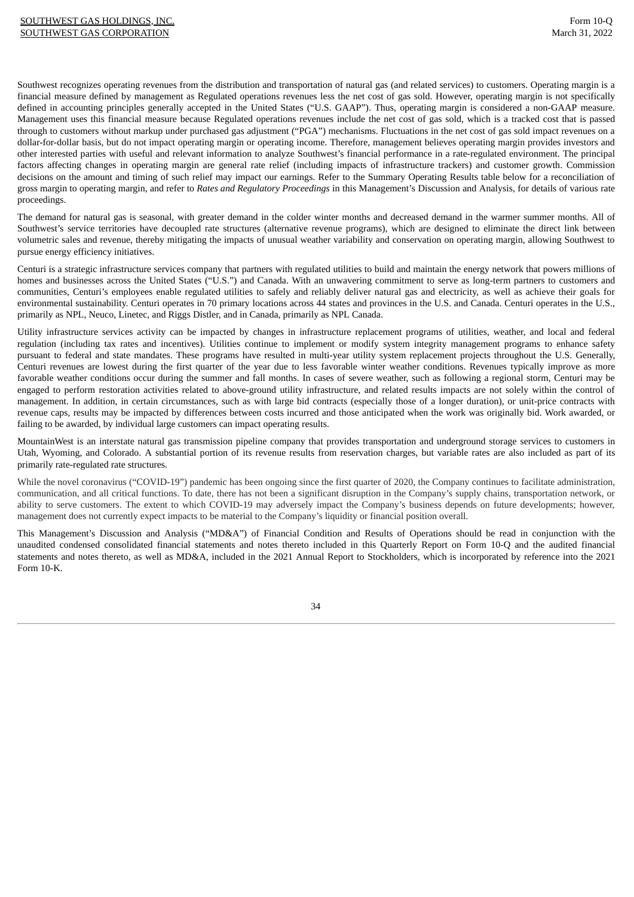Southwest recognizes operating revenues from the distribution and transportation of natural gas (and related services) to customers. Operating margin is a financial measure defined by management as Regulated operations revenues less the net cost of gas sold. However, operating margin is not specifically defined in accounting principles generally accepted in the United States ("U.S. GAAP"). Thus, operating margin is considered a non-GAAP measure. Management uses this financial measure because Regulated operations revenues include the net cost of gas sold, which is a tracked cost that is passed through to customers without markup under purchased gas adjustment ("PGA") mechanisms. Fluctuations in the net cost of gas sold impact revenues on a dollar-for-dollar basis, but do not impact operating margin or operating income. Therefore, management believes operating margin provides investors and other interested parties with useful and relevant information to analyze Southwest's financial performance in a rate-regulated environment. The principal factors affecting changes in operating margin are general rate relief (including impacts of infrastructure trackers) and customer growth. Commission decisions on the amount and timing of such relief may impact our earnings. Refer to the Summary Operating Results table below for a reconciliation of gross margin to operating margin, and refer to *Rates and Regulatory Proceedings* in this Management's Discussion and Analysis, for details of various rate proceedings.

The demand for natural gas is seasonal, with greater demand in the colder winter months and decreased demand in the warmer summer months. All of Southwest's service territories have decoupled rate structures (alternative revenue programs), which are designed to eliminate the direct link between volumetric sales and revenue, thereby mitigating the impacts of unusual weather variability and conservation on operating margin, allowing Southwest to pursue energy efficiency initiatives.

Centuri is a strategic infrastructure services company that partners with regulated utilities to build and maintain the energy network that powers millions of homes and businesses across the United States ("U.S.") and Canada. With an unwavering commitment to serve as long-term partners to customers and communities, Centuri's employees enable regulated utilities to safely and reliably deliver natural gas and electricity, as well as achieve their goals for environmental sustainability. Centuri operates in 70 primary locations across 44 states and provinces in the U.S. and Canada. Centuri operates in the U.S., primarily as NPL, Neuco, Linetec, and Riggs Distler, and in Canada, primarily as NPL Canada.

Utility infrastructure services activity can be impacted by changes in infrastructure replacement programs of utilities, weather, and local and federal regulation (including tax rates and incentives). Utilities continue to implement or modify system integrity management programs to enhance safety pursuant to federal and state mandates. These programs have resulted in multi-year utility system replacement projects throughout the U.S. Generally, Centuri revenues are lowest during the first quarter of the year due to less favorable winter weather conditions. Revenues typically improve as more favorable weather conditions occur during the summer and fall months. In cases of severe weather, such as following a regional storm, Centuri may be engaged to perform restoration activities related to above-ground utility infrastructure, and related results impacts are not solely within the control of management. In addition, in certain circumstances, such as with large bid contracts (especially those of a longer duration), or unit-price contracts with revenue caps, results may be impacted by differences between costs incurred and those anticipated when the work was originally bid. Work awarded, or failing to be awarded, by individual large customers can impact operating results.

MountainWest is an interstate natural gas transmission pipeline company that provides transportation and underground storage services to customers in Utah, Wyoming, and Colorado. A substantial portion of its revenue results from reservation charges, but variable rates are also included as part of its primarily rate-regulated rate structures.

While the novel coronavirus ("COVID-19") pandemic has been ongoing since the first quarter of 2020, the Company continues to facilitate administration, communication, and all critical functions. To date, there has not been a significant disruption in the Company's supply chains, transportation network, or ability to serve customers. The extent to which COVID-19 may adversely impact the Company's business depends on future developments; however, management does not currently expect impacts to be material to the Company's liquidity or financial position overall.

This Management's Discussion and Analysis ("MD&A") of Financial Condition and Results of Operations should be read in conjunction with the unaudited condensed consolidated financial statements and notes thereto included in this Quarterly Report on Form 10-Q and the audited financial statements and notes thereto, as well as MD&A, included in the 2021 Annual Report to Stockholders, which is incorporated by reference into the 2021 Form 10-K.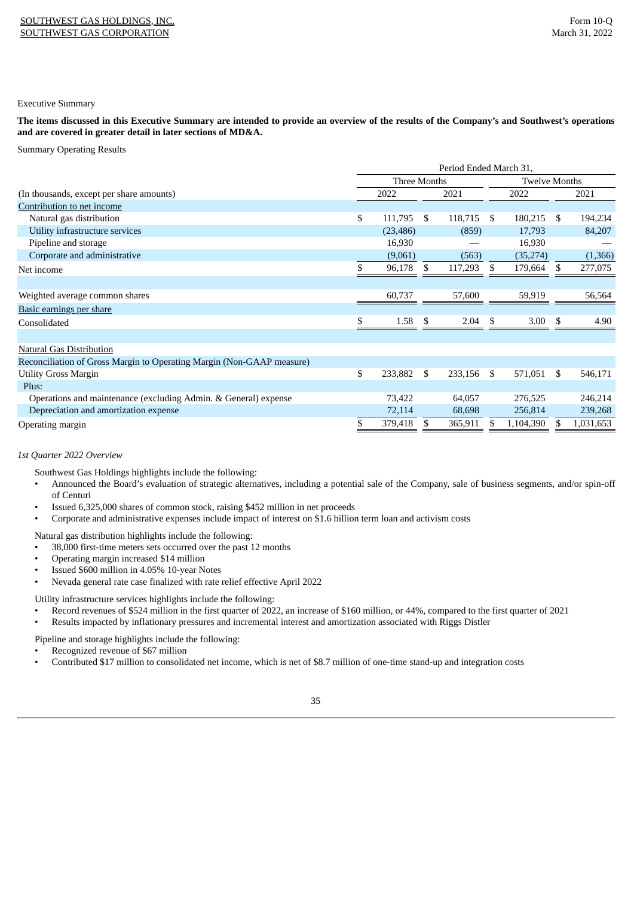### Executive Summary

The items discussed in this Executive Summary are intended to provide an overview of the results of the Company's and Southwest's operations **and are covered in greater detail in later sections of MD&A.**

Summary Operating Results

|                                                                       | Period Ended March 31, |              |    |         |                      |           |      |           |  |
|-----------------------------------------------------------------------|------------------------|--------------|----|---------|----------------------|-----------|------|-----------|--|
|                                                                       | Three Months           |              |    |         | <b>Twelve Months</b> |           |      |           |  |
| (In thousands, except per share amounts)                              |                        | 2022<br>2021 |    |         | 2022                 |           | 2021 |           |  |
| Contribution to net income                                            |                        |              |    |         |                      |           |      |           |  |
| Natural gas distribution                                              | \$                     | 111,795      | \$ | 118,715 | \$.                  | 180,215   | -S   | 194,234   |  |
| Utility infrastructure services                                       |                        | (23, 486)    |    | (859)   |                      | 17,793    |      | 84,207    |  |
| Pipeline and storage                                                  |                        | 16,930       |    |         |                      | 16,930    |      |           |  |
| Corporate and administrative                                          |                        | (9,061)      |    | (563)   |                      | (35, 274) |      | (1,366)   |  |
| Net income                                                            |                        | 96,178       |    | 117,293 | \$.                  | 179,664   | -S   | 277,075   |  |
|                                                                       |                        |              |    |         |                      |           |      |           |  |
| Weighted average common shares                                        |                        | 60,737       |    | 57,600  |                      | 59,919    |      | 56,564    |  |
| Basic earnings per share                                              |                        |              |    |         |                      |           |      |           |  |
| Consolidated                                                          | \$.                    | 1.58         | S. | 2.04    | \$                   | 3.00      | \$   | 4.90      |  |
|                                                                       |                        |              |    |         |                      |           |      |           |  |
| <b>Natural Gas Distribution</b>                                       |                        |              |    |         |                      |           |      |           |  |
| Reconciliation of Gross Margin to Operating Margin (Non-GAAP measure) |                        |              |    |         |                      |           |      |           |  |
| Utility Gross Margin                                                  | \$                     | 233,882      | \$ | 233,156 | S.                   | 571,051   | -S   | 546,171   |  |
| Plus:                                                                 |                        |              |    |         |                      |           |      |           |  |
| Operations and maintenance (excluding Admin. & General) expense       |                        | 73,422       |    | 64,057  |                      | 276,525   |      | 246,214   |  |
| Depreciation and amortization expense                                 |                        | 72,114       |    | 68,698  |                      | 256,814   |      | 239,268   |  |
| Operating margin                                                      | \$                     | 379,418      | S  | 365,911 | \$.                  | 1,104,390 | -S   | 1,031,653 |  |

### *1st Quarter 2022 Overview*

Southwest Gas Holdings highlights include the following:

- Announced the Board's evaluation of strategic alternatives, including a potential sale of the Company, sale of business segments, and/or spin-off of Centuri
- Issued 6,325,000 shares of common stock, raising \$452 million in net proceeds
- Corporate and administrative expenses include impact of interest on \$1.6 billion term loan and activism costs

Natural gas distribution highlights include the following:

- 38,000 first-time meters sets occurred over the past 12 months
- Operating margin increased \$14 million
- Issued \$600 million in 4.05% 10-year Notes
- Nevada general rate case finalized with rate relief effective April 2022

Utility infrastructure services highlights include the following:

- Record revenues of \$524 million in the first quarter of 2022, an increase of \$160 million, or 44%, compared to the first quarter of 2021
- Results impacted by inflationary pressures and incremental interest and amortization associated with Riggs Distler

Pipeline and storage highlights include the following:

- Recognized revenue of \$67 million
- Contributed \$17 million to consolidated net income, which is net of \$8.7 million of one-time stand-up and integration costs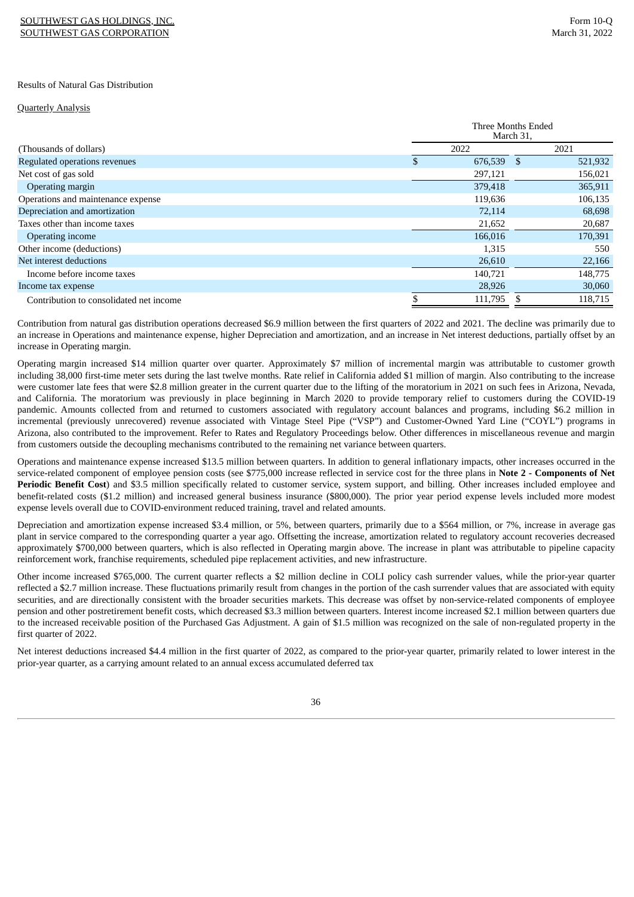#### Results of Natural Gas Distribution

#### Quarterly Analysis

|                                         | Three Months Ended<br>March 31, |         |  |  |  |  |
|-----------------------------------------|---------------------------------|---------|--|--|--|--|
| (Thousands of dollars)                  | 2022                            | 2021    |  |  |  |  |
| Regulated operations revenues           | \$<br>676,539<br>- \$           | 521,932 |  |  |  |  |
| Net cost of gas sold                    | 297,121                         | 156,021 |  |  |  |  |
| Operating margin                        | 379,418                         | 365,911 |  |  |  |  |
| Operations and maintenance expense      | 119,636                         | 106,135 |  |  |  |  |
| Depreciation and amortization           | 72,114                          | 68,698  |  |  |  |  |
| Taxes other than income taxes           | 21,652                          | 20,687  |  |  |  |  |
| Operating income                        | 166,016                         | 170,391 |  |  |  |  |
| Other income (deductions)               | 1,315                           | 550     |  |  |  |  |
| Net interest deductions                 | 26,610                          | 22,166  |  |  |  |  |
| Income before income taxes              | 140,721                         | 148,775 |  |  |  |  |
| Income tax expense                      | 28,926                          | 30,060  |  |  |  |  |
| Contribution to consolidated net income | 111,795                         | 118,715 |  |  |  |  |

Contribution from natural gas distribution operations decreased \$6.9 million between the first quarters of 2022 and 2021. The decline was primarily due to an increase in Operations and maintenance expense, higher Depreciation and amortization, and an increase in Net interest deductions, partially offset by an increase in Operating margin.

Operating margin increased \$14 million quarter over quarter. Approximately \$7 million of incremental margin was attributable to customer growth including 38,000 first-time meter sets during the last twelve months. Rate relief in California added \$1 million of margin. Also contributing to the increase were customer late fees that were \$2.8 million greater in the current quarter due to the lifting of the moratorium in 2021 on such fees in Arizona, Nevada, and California. The moratorium was previously in place beginning in March 2020 to provide temporary relief to customers during the COVID-19 pandemic. Amounts collected from and returned to customers associated with regulatory account balances and programs, including \$6.2 million in incremental (previously unrecovered) revenue associated with Vintage Steel Pipe ("VSP") and Customer-Owned Yard Line ("COYL") programs in Arizona, also contributed to the improvement. Refer to Rates and Regulatory Proceedings below. Other differences in miscellaneous revenue and margin from customers outside the decoupling mechanisms contributed to the remaining net variance between quarters.

Operations and maintenance expense increased \$13.5 million between quarters. In addition to general inflationary impacts, other increases occurred in the service-related component of employee pension costs (see \$775,000 increase reflected in service cost for the three plans in **Note 2 - Components of Net Periodic Benefit Cost**) and \$3.5 million specifically related to customer service, system support, and billing. Other increases included employee and benefit-related costs (\$1.2 million) and increased general business insurance (\$800,000). The prior year period expense levels included more modest expense levels overall due to COVID-environment reduced training, travel and related amounts.

Depreciation and amortization expense increased \$3.4 million, or 5%, between quarters, primarily due to a \$564 million, or 7%, increase in average gas plant in service compared to the corresponding quarter a year ago. Offsetting the increase, amortization related to regulatory account recoveries decreased approximately \$700,000 between quarters, which is also reflected in Operating margin above. The increase in plant was attributable to pipeline capacity reinforcement work, franchise requirements, scheduled pipe replacement activities, and new infrastructure.

Other income increased \$765,000. The current quarter reflects a \$2 million decline in COLI policy cash surrender values, while the prior-year quarter reflected a \$2.7 million increase. These fluctuations primarily result from changes in the portion of the cash surrender values that are associated with equity securities, and are directionally consistent with the broader securities markets. This decrease was offset by non-service-related components of employee pension and other postretirement benefit costs, which decreased \$3.3 million between quarters. Interest income increased \$2.1 million between quarters due to the increased receivable position of the Purchased Gas Adjustment. A gain of \$1.5 million was recognized on the sale of non-regulated property in the first quarter of 2022.

Net interest deductions increased \$4.4 million in the first quarter of 2022, as compared to the prior-year quarter, primarily related to lower interest in the prior-year quarter, as a carrying amount related to an annual excess accumulated deferred tax

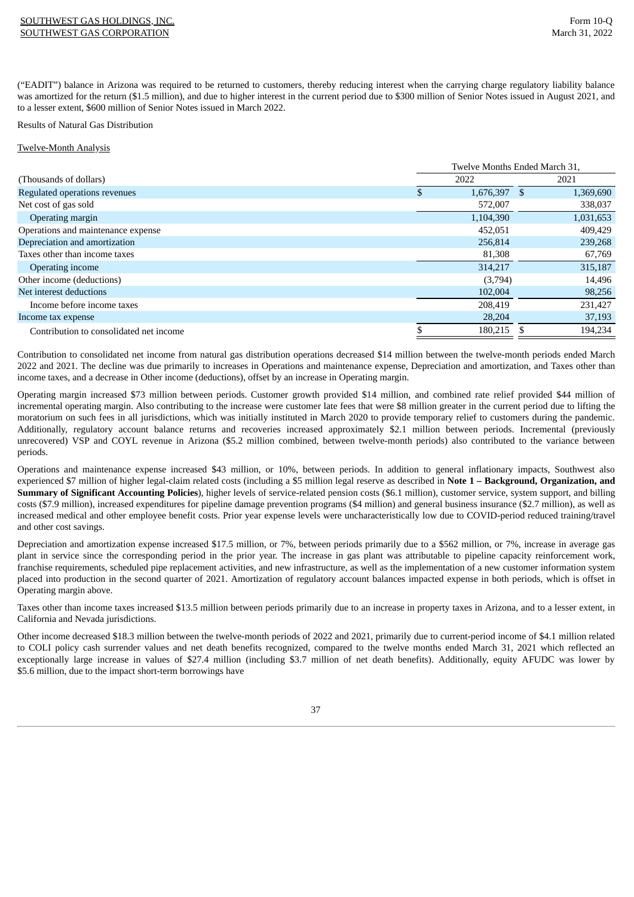("EADIT") balance in Arizona was required to be returned to customers, thereby reducing interest when the carrying charge regulatory liability balance was amortized for the return (\$1.5 million), and due to higher interest in the current period due to \$300 million of Senior Notes issued in August 2021, and to a lesser extent, \$600 million of Senior Notes issued in March 2022.

Results of Natural Gas Distribution

#### Twelve-Month Analysis

|                                         |     | Twelve Months Ended March 31, |      |           |  |
|-----------------------------------------|-----|-------------------------------|------|-----------|--|
| (Thousands of dollars)                  |     | 2022                          | 2021 |           |  |
| Regulated operations revenues           | \$. | 1,676,397                     | -S   | 1,369,690 |  |
| Net cost of gas sold                    |     | 572,007                       |      | 338,037   |  |
| Operating margin                        |     | 1,104,390                     |      | 1,031,653 |  |
| Operations and maintenance expense      |     | 452.051                       |      | 409,429   |  |
| Depreciation and amortization           |     | 256,814                       |      | 239,268   |  |
| Taxes other than income taxes           |     | 81,308                        |      | 67,769    |  |
| Operating income                        |     | 314.217                       |      | 315,187   |  |
| Other income (deductions)               |     | (3,794)                       |      | 14,496    |  |
| Net interest deductions                 |     | 102,004                       |      | 98,256    |  |
| Income before income taxes              |     | 208,419                       |      | 231,427   |  |
| Income tax expense                      |     | 28,204                        |      | 37,193    |  |
| Contribution to consolidated net income |     | 180.215                       |      | 194.234   |  |

Contribution to consolidated net income from natural gas distribution operations decreased \$14 million between the twelve-month periods ended March 2022 and 2021. The decline was due primarily to increases in Operations and maintenance expense, Depreciation and amortization, and Taxes other than income taxes, and a decrease in Other income (deductions), offset by an increase in Operating margin.

Operating margin increased \$73 million between periods. Customer growth provided \$14 million, and combined rate relief provided \$44 million of incremental operating margin. Also contributing to the increase were customer late fees that were \$8 million greater in the current period due to lifting the moratorium on such fees in all jurisdictions, which was initially instituted in March 2020 to provide temporary relief to customers during the pandemic. Additionally, regulatory account balance returns and recoveries increased approximately \$2.1 million between periods. Incremental (previously unrecovered) VSP and COYL revenue in Arizona (\$5.2 million combined, between twelve-month periods) also contributed to the variance between periods.

Operations and maintenance expense increased \$43 million, or 10%, between periods. In addition to general inflationary impacts, Southwest also experienced \$7 million of higher legal-claim related costs (including a \$5 million legal reserve as described in **Note 1 – Background, Organization, and Summary of Significant Accounting Policies**), higher levels of service-related pension costs (\$6.1 million), customer service, system support, and billing costs (\$7.9 million), increased expenditures for pipeline damage prevention programs (\$4 million) and general business insurance (\$2.7 million), as well as increased medical and other employee benefit costs. Prior year expense levels were uncharacteristically low due to COVID-period reduced training/travel and other cost savings.

Depreciation and amortization expense increased \$17.5 million, or 7%, between periods primarily due to a \$562 million, or 7%, increase in average gas plant in service since the corresponding period in the prior year. The increase in gas plant was attributable to pipeline capacity reinforcement work, franchise requirements, scheduled pipe replacement activities, and new infrastructure, as well as the implementation of a new customer information system placed into production in the second quarter of 2021. Amortization of regulatory account balances impacted expense in both periods, which is offset in Operating margin above.

Taxes other than income taxes increased \$13.5 million between periods primarily due to an increase in property taxes in Arizona, and to a lesser extent, in California and Nevada jurisdictions.

Other income decreased \$18.3 million between the twelve-month periods of 2022 and 2021, primarily due to current-period income of \$4.1 million related to COLI policy cash surrender values and net death benefits recognized, compared to the twelve months ended March 31, 2021 which reflected an exceptionally large increase in values of \$27.4 million (including \$3.7 million of net death benefits). Additionally, equity AFUDC was lower by \$5.6 million, due to the impact short-term borrowings have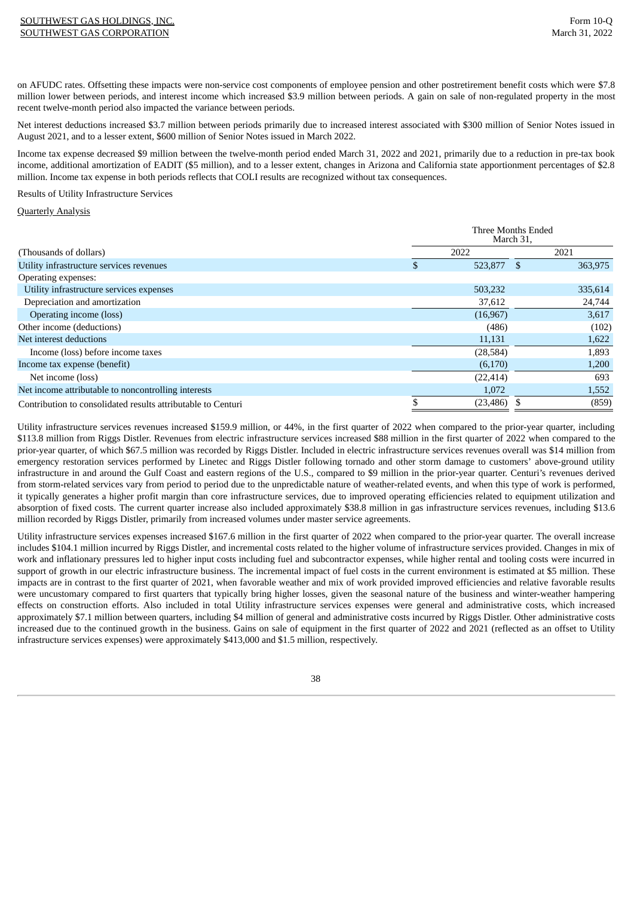on AFUDC rates. Offsetting these impacts were non-service cost components of employee pension and other postretirement benefit costs which were \$7.8 million lower between periods, and interest income which increased \$3.9 million between periods. A gain on sale of non-regulated property in the most recent twelve-month period also impacted the variance between periods.

Net interest deductions increased \$3.7 million between periods primarily due to increased interest associated with \$300 million of Senior Notes issued in August 2021, and to a lesser extent, \$600 million of Senior Notes issued in March 2022.

Income tax expense decreased \$9 million between the twelve-month period ended March 31, 2022 and 2021, primarily due to a reduction in pre-tax book income, additional amortization of EADIT (\$5 million), and to a lesser extent, changes in Arizona and California state apportionment percentages of \$2.8 million. Income tax expense in both periods reflects that COLI results are recognized without tax consequences.

Results of Utility Infrastructure Services

Quarterly Analysis

|                                                              | Three Months Ended<br>March 31, |  |         |  |  |
|--------------------------------------------------------------|---------------------------------|--|---------|--|--|
| (Thousands of dollars)                                       | 2022                            |  |         |  |  |
| Utility infrastructure services revenues                     | 523,877 \$                      |  | 363,975 |  |  |
| Operating expenses:                                          |                                 |  |         |  |  |
| Utility infrastructure services expenses                     | 503,232                         |  | 335,614 |  |  |
| Depreciation and amortization                                | 37,612                          |  | 24,744  |  |  |
| Operating income (loss)                                      | (16,967)                        |  | 3,617   |  |  |
| Other income (deductions)                                    | (486)                           |  | (102)   |  |  |
| Net interest deductions                                      | 11,131                          |  | 1,622   |  |  |
| Income (loss) before income taxes                            | (28, 584)                       |  | 1,893   |  |  |
| Income tax expense (benefit)                                 | (6,170)                         |  | 1,200   |  |  |
| Net income (loss)                                            | (22, 414)                       |  | 693     |  |  |
| Net income attributable to noncontrolling interests          | 1,072                           |  | 1,552   |  |  |
| Contribution to consolidated results attributable to Centuri | (23, 486)                       |  | (859)   |  |  |

Utility infrastructure services revenues increased \$159.9 million, or 44%, in the first quarter of 2022 when compared to the prior-year quarter, including \$113.8 million from Riggs Distler. Revenues from electric infrastructure services increased \$88 million in the first quarter of 2022 when compared to the prior-year quarter, of which \$67.5 million was recorded by Riggs Distler. Included in electric infrastructure services revenues overall was \$14 million from emergency restoration services performed by Linetec and Riggs Distler following tornado and other storm damage to customers' above-ground utility infrastructure in and around the Gulf Coast and eastern regions of the U.S., compared to \$9 million in the prior-year quarter. Centuri's revenues derived from storm-related services vary from period to period due to the unpredictable nature of weather-related events, and when this type of work is performed, it typically generates a higher profit margin than core infrastructure services, due to improved operating efficiencies related to equipment utilization and absorption of fixed costs. The current quarter increase also included approximately \$38.8 million in gas infrastructure services revenues, including \$13.6 million recorded by Riggs Distler, primarily from increased volumes under master service agreements.

Utility infrastructure services expenses increased \$167.6 million in the first quarter of 2022 when compared to the prior-year quarter. The overall increase includes \$104.1 million incurred by Riggs Distler, and incremental costs related to the higher volume of infrastructure services provided. Changes in mix of work and inflationary pressures led to higher input costs including fuel and subcontractor expenses, while higher rental and tooling costs were incurred in support of growth in our electric infrastructure business. The incremental impact of fuel costs in the current environment is estimated at \$5 million. These impacts are in contrast to the first quarter of 2021, when favorable weather and mix of work provided improved efficiencies and relative favorable results were uncustomary compared to first quarters that typically bring higher losses, given the seasonal nature of the business and winter-weather hampering effects on construction efforts. Also included in total Utility infrastructure services expenses were general and administrative costs, which increased approximately \$7.1 million between quarters, including \$4 million of general and administrative costs incurred by Riggs Distler. Other administrative costs increased due to the continued growth in the business. Gains on sale of equipment in the first quarter of 2022 and 2021 (reflected as an offset to Utility infrastructure services expenses) were approximately \$413,000 and \$1.5 million, respectively.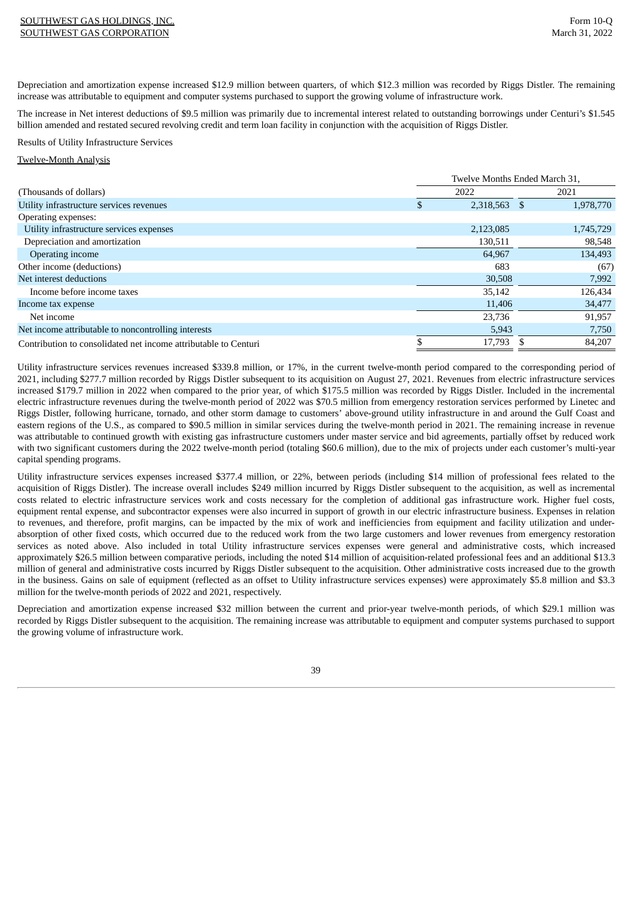Depreciation and amortization expense increased \$12.9 million between quarters, of which \$12.3 million was recorded by Riggs Distler. The remaining increase was attributable to equipment and computer systems purchased to support the growing volume of infrastructure work.

The increase in Net interest deductions of \$9.5 million was primarily due to incremental interest related to outstanding borrowings under Centuri's \$1.545 billion amended and restated secured revolving credit and term loan facility in conjunction with the acquisition of Riggs Distler.

Results of Utility Infrastructure Services

# Twelve-Month Analysis

|                                                                 |  | Twelve Months Ended March 31, |  |           |  |  |
|-----------------------------------------------------------------|--|-------------------------------|--|-----------|--|--|
| (Thousands of dollars)                                          |  | 2022                          |  | 2021      |  |  |
| Utility infrastructure services revenues                        |  | 2,318,563                     |  | 1,978,770 |  |  |
| Operating expenses:                                             |  |                               |  |           |  |  |
| Utility infrastructure services expenses                        |  | 2,123,085                     |  | 1,745,729 |  |  |
| Depreciation and amortization                                   |  | 130,511                       |  | 98,548    |  |  |
| Operating income                                                |  | 64.967                        |  | 134,493   |  |  |
| Other income (deductions)                                       |  | 683                           |  | (67)      |  |  |
| Net interest deductions                                         |  | 30,508                        |  | 7,992     |  |  |
| Income before income taxes                                      |  | 35,142                        |  | 126,434   |  |  |
| Income tax expense                                              |  | 11,406                        |  | 34,477    |  |  |
| Net income                                                      |  | 23,736                        |  | 91,957    |  |  |
| Net income attributable to noncontrolling interests             |  | 5,943                         |  | 7,750     |  |  |
| Contribution to consolidated net income attributable to Centuri |  | 17.793                        |  | 84.207    |  |  |

Utility infrastructure services revenues increased \$339.8 million, or 17%, in the current twelve-month period compared to the corresponding period of 2021, including \$277.7 million recorded by Riggs Distler subsequent to its acquisition on August 27, 2021. Revenues from electric infrastructure services increased \$179.7 million in 2022 when compared to the prior year, of which \$175.5 million was recorded by Riggs Distler. Included in the incremental electric infrastructure revenues during the twelve-month period of 2022 was \$70.5 million from emergency restoration services performed by Linetec and Riggs Distler, following hurricane, tornado, and other storm damage to customers' above-ground utility infrastructure in and around the Gulf Coast and eastern regions of the U.S., as compared to \$90.5 million in similar services during the twelve-month period in 2021. The remaining increase in revenue was attributable to continued growth with existing gas infrastructure customers under master service and bid agreements, partially offset by reduced work with two significant customers during the 2022 twelve-month period (totaling \$60.6 million), due to the mix of projects under each customer's multi-year capital spending programs.

Utility infrastructure services expenses increased \$377.4 million, or 22%, between periods (including \$14 million of professional fees related to the acquisition of Riggs Distler). The increase overall includes \$249 million incurred by Riggs Distler subsequent to the acquisition, as well as incremental costs related to electric infrastructure services work and costs necessary for the completion of additional gas infrastructure work. Higher fuel costs, equipment rental expense, and subcontractor expenses were also incurred in support of growth in our electric infrastructure business. Expenses in relation to revenues, and therefore, profit margins, can be impacted by the mix of work and inefficiencies from equipment and facility utilization and underabsorption of other fixed costs, which occurred due to the reduced work from the two large customers and lower revenues from emergency restoration services as noted above. Also included in total Utility infrastructure services expenses were general and administrative costs, which increased approximately \$26.5 million between comparative periods, including the noted \$14 million of acquisition-related professional fees and an additional \$13.3 million of general and administrative costs incurred by Riggs Distler subsequent to the acquisition. Other administrative costs increased due to the growth in the business. Gains on sale of equipment (reflected as an offset to Utility infrastructure services expenses) were approximately \$5.8 million and \$3.3 million for the twelve-month periods of 2022 and 2021, respectively.

Depreciation and amortization expense increased \$32 million between the current and prior-year twelve-month periods, of which \$29.1 million was recorded by Riggs Distler subsequent to the acquisition. The remaining increase was attributable to equipment and computer systems purchased to support the growing volume of infrastructure work.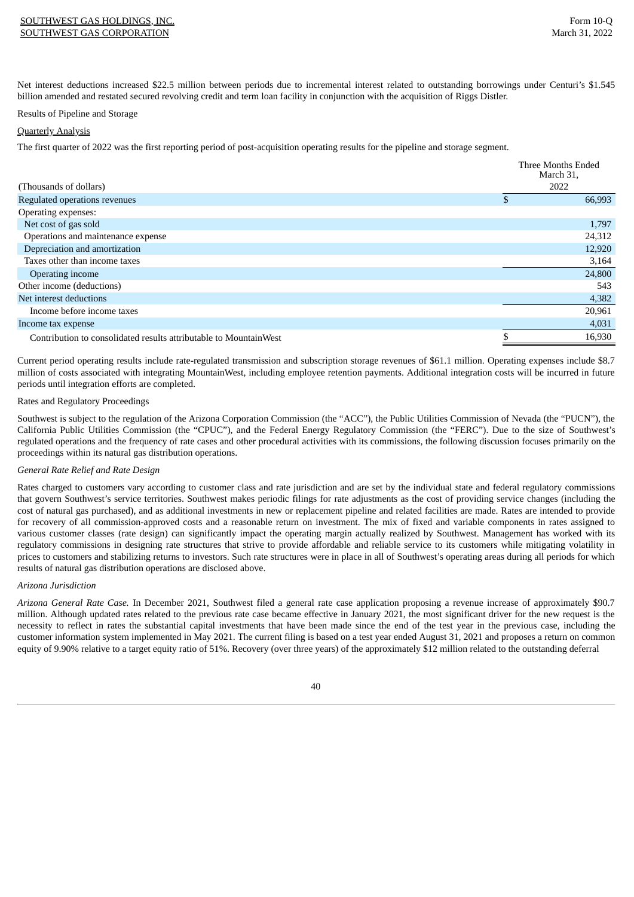Net interest deductions increased \$22.5 million between periods due to incremental interest related to outstanding borrowings under Centuri's \$1.545 billion amended and restated secured revolving credit and term loan facility in conjunction with the acquisition of Riggs Distler.

Results of Pipeline and Storage

# Quarterly Analysis

The first quarter of 2022 was the first reporting period of post-acquisition operating results for the pipeline and storage segment.

|                                                                    | Three Months Ended<br>March 31, |  |
|--------------------------------------------------------------------|---------------------------------|--|
| (Thousands of dollars)                                             | 2022                            |  |
| Regulated operations revenues                                      | 66,993                          |  |
| Operating expenses:                                                |                                 |  |
| Net cost of gas sold                                               | 1,797                           |  |
| Operations and maintenance expense                                 | 24,312                          |  |
| Depreciation and amortization                                      | 12,920                          |  |
| Taxes other than income taxes                                      | 3,164                           |  |
| Operating income                                                   | 24,800                          |  |
| Other income (deductions)                                          | 543                             |  |
| Net interest deductions                                            | 4,382                           |  |
| Income before income taxes                                         | 20,961                          |  |
| Income tax expense                                                 | 4,031                           |  |
| Contribution to consolidated results attributable to Mountain West | 16,930                          |  |

Current period operating results include rate-regulated transmission and subscription storage revenues of \$61.1 million. Operating expenses include \$8.7 million of costs associated with integrating MountainWest, including employee retention payments. Additional integration costs will be incurred in future periods until integration efforts are completed.

### Rates and Regulatory Proceedings

Southwest is subject to the regulation of the Arizona Corporation Commission (the "ACC"), the Public Utilities Commission of Nevada (the "PUCN"), the California Public Utilities Commission (the "CPUC"), and the Federal Energy Regulatory Commission (the "FERC"). Due to the size of Southwest's regulated operations and the frequency of rate cases and other procedural activities with its commissions, the following discussion focuses primarily on the proceedings within its natural gas distribution operations.

### *General Rate Relief and Rate Design*

Rates charged to customers vary according to customer class and rate jurisdiction and are set by the individual state and federal regulatory commissions that govern Southwest's service territories. Southwest makes periodic filings for rate adjustments as the cost of providing service changes (including the cost of natural gas purchased), and as additional investments in new or replacement pipeline and related facilities are made. Rates are intended to provide for recovery of all commission-approved costs and a reasonable return on investment. The mix of fixed and variable components in rates assigned to various customer classes (rate design) can significantly impact the operating margin actually realized by Southwest. Management has worked with its regulatory commissions in designing rate structures that strive to provide affordable and reliable service to its customers while mitigating volatility in prices to customers and stabilizing returns to investors. Such rate structures were in place in all of Southwest's operating areas during all periods for which results of natural gas distribution operations are disclosed above.

#### *Arizona Jurisdiction*

*Arizona General Rate Case.* In December 2021, Southwest filed a general rate case application proposing a revenue increase of approximately \$90.7 million. Although updated rates related to the previous rate case became effective in January 2021, the most significant driver for the new request is the necessity to reflect in rates the substantial capital investments that have been made since the end of the test year in the previous case, including the customer information system implemented in May 2021. The current filing is based on a test year ended August 31, 2021 and proposes a return on common equity of 9.90% relative to a target equity ratio of 51%. Recovery (over three years) of the approximately \$12 million related to the outstanding deferral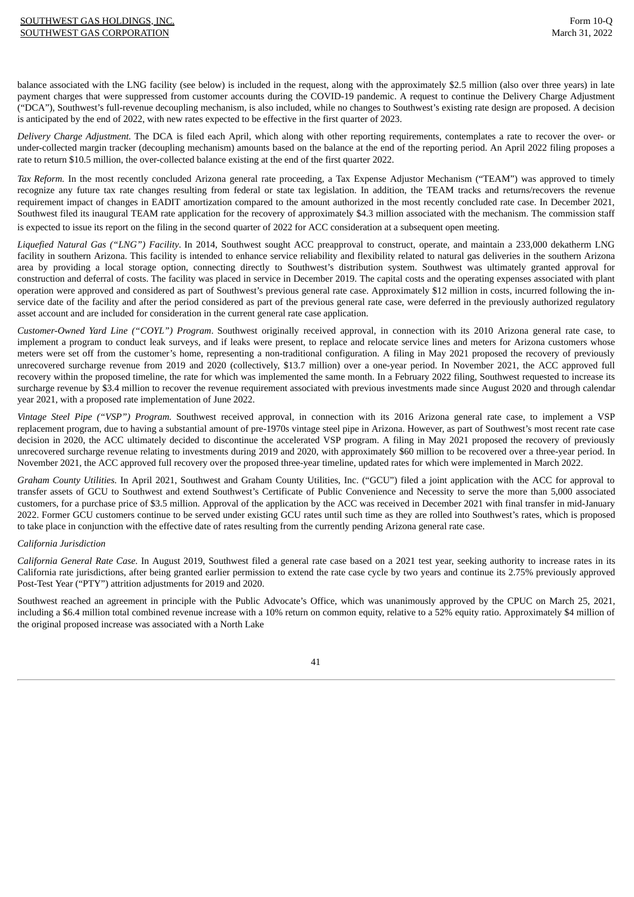### SOUTHWEST GAS HOLDINGS, INC. The state of the state of the state of the state of the state of the state of the state of the state of the state of the state of the state of the state of the state of the state of the state o SOUTHWEST GAS CORPORATION March 31, 2022

balance associated with the LNG facility (see below) is included in the request, along with the approximately \$2.5 million (also over three years) in late payment charges that were suppressed from customer accounts during the COVID-19 pandemic. A request to continue the Delivery Charge Adjustment ("DCA"), Southwest's full-revenue decoupling mechanism, is also included, while no changes to Southwest's existing rate design are proposed. A decision is anticipated by the end of 2022, with new rates expected to be effective in the first quarter of 2023.

*Delivery Charge Adjustment.* The DCA is filed each April, which along with other reporting requirements, contemplates a rate to recover the over- or under-collected margin tracker (decoupling mechanism) amounts based on the balance at the end of the reporting period. An April 2022 filing proposes a rate to return \$10.5 million, the over-collected balance existing at the end of the first quarter 2022.

*Tax Reform.* In the most recently concluded Arizona general rate proceeding, a Tax Expense Adjustor Mechanism ("TEAM") was approved to timely recognize any future tax rate changes resulting from federal or state tax legislation. In addition, the TEAM tracks and returns/recovers the revenue requirement impact of changes in EADIT amortization compared to the amount authorized in the most recently concluded rate case. In December 2021, Southwest filed its inaugural TEAM rate application for the recovery of approximately \$4.3 million associated with the mechanism. The commission staff is expected to issue its report on the filing in the second quarter of 2022 for ACC consideration at a subsequent open meeting.

*Liquefied Natural Gas ("LNG") Facility*. In 2014, Southwest sought ACC preapproval to construct, operate, and maintain a 233,000 dekatherm LNG facility in southern Arizona. This facility is intended to enhance service reliability and flexibility related to natural gas deliveries in the southern Arizona area by providing a local storage option, connecting directly to Southwest's distribution system. Southwest was ultimately granted approval for construction and deferral of costs. The facility was placed in service in December 2019. The capital costs and the operating expenses associated with plant operation were approved and considered as part of Southwest's previous general rate case. Approximately \$12 million in costs, incurred following the inservice date of the facility and after the period considered as part of the previous general rate case, were deferred in the previously authorized regulatory asset account and are included for consideration in the current general rate case application.

*Customer-Owned Yard Line ("COYL") Program*. Southwest originally received approval, in connection with its 2010 Arizona general rate case, to implement a program to conduct leak surveys, and if leaks were present, to replace and relocate service lines and meters for Arizona customers whose meters were set off from the customer's home, representing a non-traditional configuration. A filing in May 2021 proposed the recovery of previously unrecovered surcharge revenue from 2019 and 2020 (collectively, \$13.7 million) over a one-year period. In November 2021, the ACC approved full recovery within the proposed timeline, the rate for which was implemented the same month. In a February 2022 filing, Southwest requested to increase its surcharge revenue by \$3.4 million to recover the revenue requirement associated with previous investments made since August 2020 and through calendar year 2021, with a proposed rate implementation of June 2022.

*Vintage Steel Pipe ("VSP") Program.* Southwest received approval, in connection with its 2016 Arizona general rate case, to implement a VSP replacement program, due to having a substantial amount of pre-1970s vintage steel pipe in Arizona. However, as part of Southwest's most recent rate case decision in 2020, the ACC ultimately decided to discontinue the accelerated VSP program. A filing in May 2021 proposed the recovery of previously unrecovered surcharge revenue relating to investments during 2019 and 2020, with approximately \$60 million to be recovered over a three-year period. In November 2021, the ACC approved full recovery over the proposed three-year timeline, updated rates for which were implemented in March 2022.

*Graham County Utilities.* In April 2021, Southwest and Graham County Utilities, Inc. ("GCU") filed a joint application with the ACC for approval to transfer assets of GCU to Southwest and extend Southwest's Certificate of Public Convenience and Necessity to serve the more than 5,000 associated customers, for a purchase price of \$3.5 million. Approval of the application by the ACC was received in December 2021 with final transfer in mid-January 2022. Former GCU customers continue to be served under existing GCU rates until such time as they are rolled into Southwest's rates, which is proposed to take place in conjunction with the effective date of rates resulting from the currently pending Arizona general rate case.

# *California Jurisdiction*

*California General Rate Case.* In August 2019, Southwest filed a general rate case based on a 2021 test year, seeking authority to increase rates in its California rate jurisdictions, after being granted earlier permission to extend the rate case cycle by two years and continue its 2.75% previously approved Post-Test Year ("PTY") attrition adjustments for 2019 and 2020.

Southwest reached an agreement in principle with the Public Advocate's Office, which was unanimously approved by the CPUC on March 25, 2021, including a \$6.4 million total combined revenue increase with a 10% return on common equity, relative to a 52% equity ratio. Approximately \$4 million of the original proposed increase was associated with a North Lake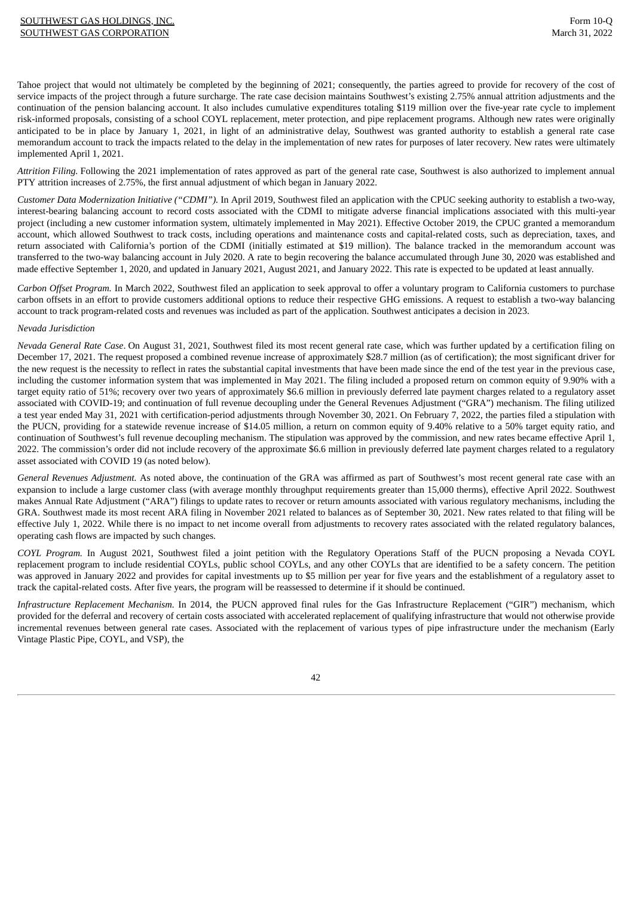Tahoe project that would not ultimately be completed by the beginning of 2021; consequently, the parties agreed to provide for recovery of the cost of service impacts of the project through a future surcharge. The rate case decision maintains Southwest's existing 2.75% annual attrition adjustments and the continuation of the pension balancing account. It also includes cumulative expenditures totaling \$119 million over the five-year rate cycle to implement risk-informed proposals, consisting of a school COYL replacement, meter protection, and pipe replacement programs. Although new rates were originally anticipated to be in place by January 1, 2021, in light of an administrative delay, Southwest was granted authority to establish a general rate case memorandum account to track the impacts related to the delay in the implementation of new rates for purposes of later recovery. New rates were ultimately implemented April 1, 2021.

*Attrition Filing.* Following the 2021 implementation of rates approved as part of the general rate case, Southwest is also authorized to implement annual PTY attrition increases of 2.75%, the first annual adjustment of which began in January 2022.

*Customer Data Modernization Initiative ("CDMI").* In April 2019, Southwest filed an application with the CPUC seeking authority to establish a two-way, interest-bearing balancing account to record costs associated with the CDMI to mitigate adverse financial implications associated with this multi-year project (including a new customer information system, ultimately implemented in May 2021). Effective October 2019, the CPUC granted a memorandum account, which allowed Southwest to track costs, including operations and maintenance costs and capital-related costs, such as depreciation, taxes, and return associated with California's portion of the CDMI (initially estimated at \$19 million). The balance tracked in the memorandum account was transferred to the two-way balancing account in July 2020. A rate to begin recovering the balance accumulated through June 30, 2020 was established and made effective September 1, 2020, and updated in January 2021, August 2021, and January 2022. This rate is expected to be updated at least annually.

*Carbon Offset Program.* In March 2022, Southwest filed an application to seek approval to offer a voluntary program to California customers to purchase carbon offsets in an effort to provide customers additional options to reduce their respective GHG emissions. A request to establish a two-way balancing account to track program-related costs and revenues was included as part of the application. Southwest anticipates a decision in 2023.

### *Nevada Jurisdiction*

*Nevada General Rate Case*. On August 31, 2021, Southwest filed its most recent general rate case, which was further updated by a certification filing on December 17, 2021. The request proposed a combined revenue increase of approximately \$28.7 million (as of certification); the most significant driver for the new request is the necessity to reflect in rates the substantial capital investments that have been made since the end of the test year in the previous case, including the customer information system that was implemented in May 2021. The filing included a proposed return on common equity of 9.90% with a target equity ratio of 51%; recovery over two years of approximately \$6.6 million in previously deferred late payment charges related to a regulatory asset associated with COVID-19; and continuation of full revenue decoupling under the General Revenues Adjustment ("GRA") mechanism. The filing utilized a test year ended May 31, 2021 with certification-period adjustments through November 30, 2021. On February 7, 2022, the parties filed a stipulation with the PUCN, providing for a statewide revenue increase of \$14.05 million, a return on common equity of 9.40% relative to a 50% target equity ratio, and continuation of Southwest's full revenue decoupling mechanism. The stipulation was approved by the commission, and new rates became effective April 1, 2022. The commission's order did not include recovery of the approximate \$6.6 million in previously deferred late payment charges related to a regulatory asset associated with COVID 19 (as noted below).

*General Revenues Adjustment.* As noted above, the continuation of the GRA was affirmed as part of Southwest's most recent general rate case with an expansion to include a large customer class (with average monthly throughput requirements greater than 15,000 therms), effective April 2022. Southwest makes Annual Rate Adjustment ("ARA") filings to update rates to recover or return amounts associated with various regulatory mechanisms, including the GRA. Southwest made its most recent ARA filing in November 2021 related to balances as of September 30, 2021. New rates related to that filing will be effective July 1, 2022. While there is no impact to net income overall from adjustments to recovery rates associated with the related regulatory balances, operating cash flows are impacted by such changes.

*COYL Program.* In August 2021, Southwest filed a joint petition with the Regulatory Operations Staff of the PUCN proposing a Nevada COYL replacement program to include residential COYLs, public school COYLs, and any other COYLs that are identified to be a safety concern. The petition was approved in January 2022 and provides for capital investments up to \$5 million per year for five years and the establishment of a regulatory asset to track the capital-related costs. After five years, the program will be reassessed to determine if it should be continued.

*Infrastructure Replacement Mechanism.* In 2014, the PUCN approved final rules for the Gas Infrastructure Replacement ("GIR") mechanism, which provided for the deferral and recovery of certain costs associated with accelerated replacement of qualifying infrastructure that would not otherwise provide incremental revenues between general rate cases. Associated with the replacement of various types of pipe infrastructure under the mechanism (Early Vintage Plastic Pipe, COYL, and VSP), the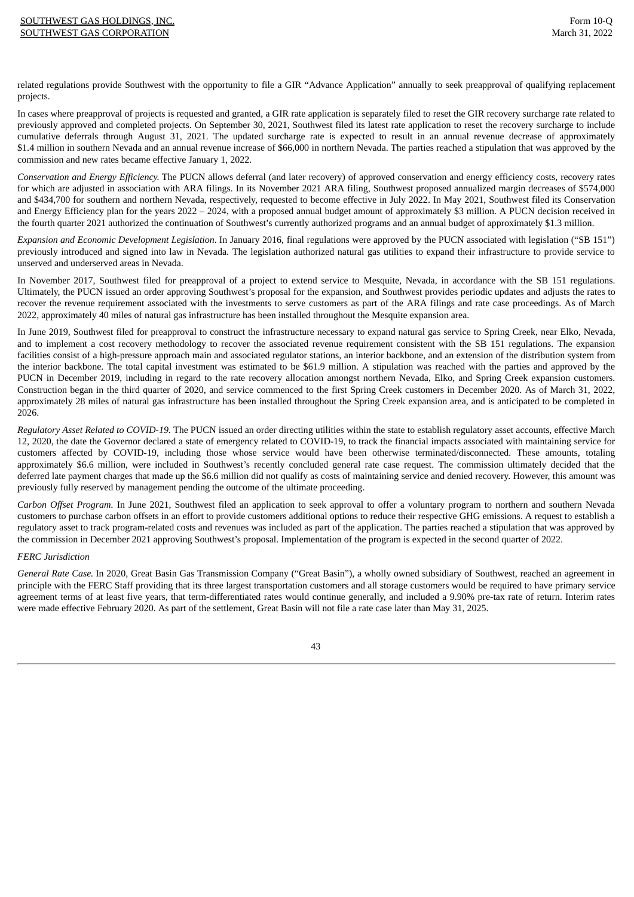related regulations provide Southwest with the opportunity to file a GIR "Advance Application" annually to seek preapproval of qualifying replacement projects.

In cases where preapproval of projects is requested and granted, a GIR rate application is separately filed to reset the GIR recovery surcharge rate related to previously approved and completed projects. On September 30, 2021, Southwest filed its latest rate application to reset the recovery surcharge to include cumulative deferrals through August 31, 2021. The updated surcharge rate is expected to result in an annual revenue decrease of approximately \$1.4 million in southern Nevada and an annual revenue increase of \$66,000 in northern Nevada. The parties reached a stipulation that was approved by the commission and new rates became effective January 1, 2022.

*Conservation and Energy Efficiency.* The PUCN allows deferral (and later recovery) of approved conservation and energy efficiency costs, recovery rates for which are adjusted in association with ARA filings. In its November 2021 ARA filing, Southwest proposed annualized margin decreases of \$574,000 and \$434,700 for southern and northern Nevada, respectively, requested to become effective in July 2022. In May 2021, Southwest filed its Conservation and Energy Efficiency plan for the years 2022 – 2024, with a proposed annual budget amount of approximately \$3 million. A PUCN decision received in the fourth quarter 2021 authorized the continuation of Southwest's currently authorized programs and an annual budget of approximately \$1.3 million.

*Expansion and Economic Development Legislation*. In January 2016, final regulations were approved by the PUCN associated with legislation ("SB 151") previously introduced and signed into law in Nevada. The legislation authorized natural gas utilities to expand their infrastructure to provide service to unserved and underserved areas in Nevada.

In November 2017, Southwest filed for preapproval of a project to extend service to Mesquite, Nevada, in accordance with the SB 151 regulations. Ultimately, the PUCN issued an order approving Southwest's proposal for the expansion, and Southwest provides periodic updates and adjusts the rates to recover the revenue requirement associated with the investments to serve customers as part of the ARA filings and rate case proceedings. As of March 2022, approximately 40 miles of natural gas infrastructure has been installed throughout the Mesquite expansion area.

In June 2019, Southwest filed for preapproval to construct the infrastructure necessary to expand natural gas service to Spring Creek, near Elko, Nevada, and to implement a cost recovery methodology to recover the associated revenue requirement consistent with the SB 151 regulations. The expansion facilities consist of a high-pressure approach main and associated regulator stations, an interior backbone, and an extension of the distribution system from the interior backbone. The total capital investment was estimated to be \$61.9 million. A stipulation was reached with the parties and approved by the PUCN in December 2019, including in regard to the rate recovery allocation amongst northern Nevada, Elko, and Spring Creek expansion customers. Construction began in the third quarter of 2020, and service commenced to the first Spring Creek customers in December 2020. As of March 31, 2022, approximately 28 miles of natural gas infrastructure has been installed throughout the Spring Creek expansion area, and is anticipated to be completed in 2026.

*Regulatory Asset Related to COVID-19.* The PUCN issued an order directing utilities within the state to establish regulatory asset accounts, effective March 12, 2020, the date the Governor declared a state of emergency related to COVID-19, to track the financial impacts associated with maintaining service for customers affected by COVID-19, including those whose service would have been otherwise terminated/disconnected. These amounts, totaling approximately \$6.6 million, were included in Southwest's recently concluded general rate case request. The commission ultimately decided that the deferred late payment charges that made up the \$6.6 million did not qualify as costs of maintaining service and denied recovery. However, this amount was previously fully reserved by management pending the outcome of the ultimate proceeding.

*Carbon Offset Program.* In June 2021, Southwest filed an application to seek approval to offer a voluntary program to northern and southern Nevada customers to purchase carbon offsets in an effort to provide customers additional options to reduce their respective GHG emissions. A request to establish a regulatory asset to track program-related costs and revenues was included as part of the application. The parties reached a stipulation that was approved by the commission in December 2021 approving Southwest's proposal. Implementation of the program is expected in the second quarter of 2022.

### *FERC Jurisdiction*

*General Rate Case.* In 2020, Great Basin Gas Transmission Company ("Great Basin"), a wholly owned subsidiary of Southwest, reached an agreement in principle with the FERC Staff providing that its three largest transportation customers and all storage customers would be required to have primary service agreement terms of at least five years, that term-differentiated rates would continue generally, and included a 9.90% pre-tax rate of return. Interim rates were made effective February 2020. As part of the settlement, Great Basin will not file a rate case later than May 31, 2025.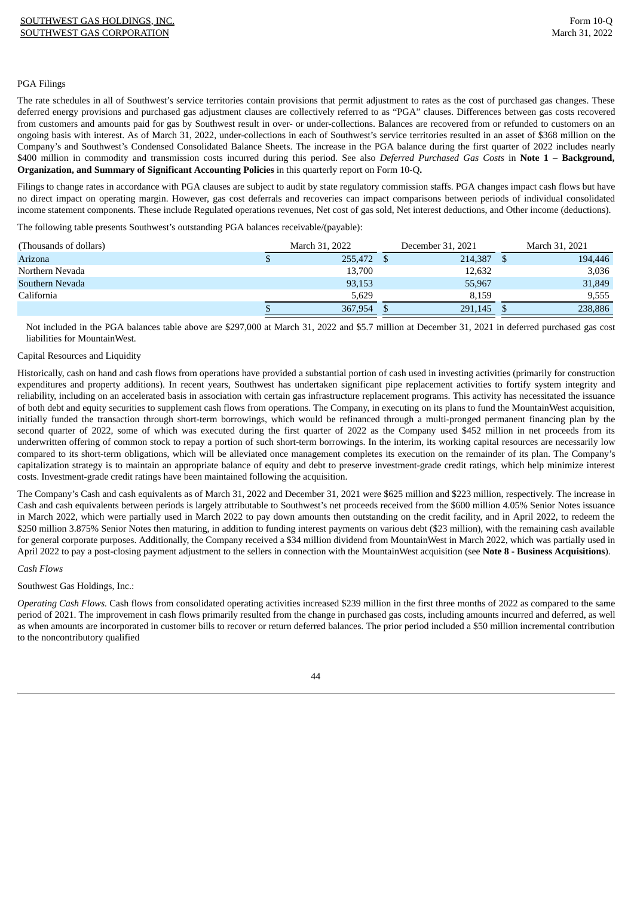### PGA Filings

The rate schedules in all of Southwest's service territories contain provisions that permit adjustment to rates as the cost of purchased gas changes. These deferred energy provisions and purchased gas adjustment clauses are collectively referred to as "PGA" clauses. Differences between gas costs recovered from customers and amounts paid for gas by Southwest result in over- or under-collections. Balances are recovered from or refunded to customers on an ongoing basis with interest. As of March 31, 2022, under-collections in each of Southwest's service territories resulted in an asset of \$368 million on the Company's and Southwest's Condensed Consolidated Balance Sheets. The increase in the PGA balance during the first quarter of 2022 includes nearly \$400 million in commodity and transmission costs incurred during this period. See also *Deferred Purchased Gas Costs* in **Note 1 – Background, Organization, and Summary of Significant Accounting Policies** in this quarterly report on Form 10-Q**.**

Filings to change rates in accordance with PGA clauses are subject to audit by state regulatory commission staffs. PGA changes impact cash flows but have no direct impact on operating margin. However, gas cost deferrals and recoveries can impact comparisons between periods of individual consolidated income statement components. These include Regulated operations revenues, Net cost of gas sold, Net interest deductions, and Other income (deductions).

The following table presents Southwest's outstanding PGA balances receivable/(payable):

| (Thousands of dollars) | March 31, 2022 |         | December 31, 2021 |  | March 31, 2021 |
|------------------------|----------------|---------|-------------------|--|----------------|
| Arizona                |                | 255,472 | 214,387           |  | 194,446        |
| Northern Nevada        |                | 13,700  | 12,632            |  | 3,036          |
| Southern Nevada        |                | 93,153  | 55,967            |  | 31,849         |
| California             |                | 5.629   | 8,159             |  | 9,555          |
|                        |                | 367,954 | 291,145           |  | 238,886        |

Not included in the PGA balances table above are \$297,000 at March 31, 2022 and \$5.7 million at December 31, 2021 in deferred purchased gas cost liabilities for MountainWest.

### Capital Resources and Liquidity

Historically, cash on hand and cash flows from operations have provided a substantial portion of cash used in investing activities (primarily for construction expenditures and property additions). In recent years, Southwest has undertaken significant pipe replacement activities to fortify system integrity and reliability, including on an accelerated basis in association with certain gas infrastructure replacement programs. This activity has necessitated the issuance of both debt and equity securities to supplement cash flows from operations. The Company, in executing on its plans to fund the MountainWest acquisition, initially funded the transaction through short-term borrowings, which would be refinanced through a multi-pronged permanent financing plan by the second quarter of 2022, some of which was executed during the first quarter of 2022 as the Company used \$452 million in net proceeds from its underwritten offering of common stock to repay a portion of such short-term borrowings. In the interim, its working capital resources are necessarily low compared to its short-term obligations, which will be alleviated once management completes its execution on the remainder of its plan. The Company's capitalization strategy is to maintain an appropriate balance of equity and debt to preserve investment-grade credit ratings, which help minimize interest costs. Investment-grade credit ratings have been maintained following the acquisition.

The Company's Cash and cash equivalents as of March 31, 2022 and December 31, 2021 were \$625 million and \$223 million, respectively. The increase in Cash and cash equivalents between periods is largely attributable to Southwest's net proceeds received from the \$600 million 4.05% Senior Notes issuance in March 2022, which were partially used in March 2022 to pay down amounts then outstanding on the credit facility, and in April 2022, to redeem the \$250 million 3.875% Senior Notes then maturing, in addition to funding interest payments on various debt (\$23 million), with the remaining cash available for general corporate purposes. Additionally, the Company received a \$34 million dividend from MountainWest in March 2022, which was partially used in April 2022 to pay a post-closing payment adjustment to the sellers in connection with the MountainWest acquisition (see **Note 8 - Business Acquisitions**).

# *Cash Flows*

### Southwest Gas Holdings, Inc.:

*Operating Cash Flows.* Cash flows from consolidated operating activities increased \$239 million in the first three months of 2022 as compared to the same period of 2021. The improvement in cash flows primarily resulted from the change in purchased gas costs, including amounts incurred and deferred, as well as when amounts are incorporated in customer bills to recover or return deferred balances. The prior period included a \$50 million incremental contribution to the noncontributory qualified

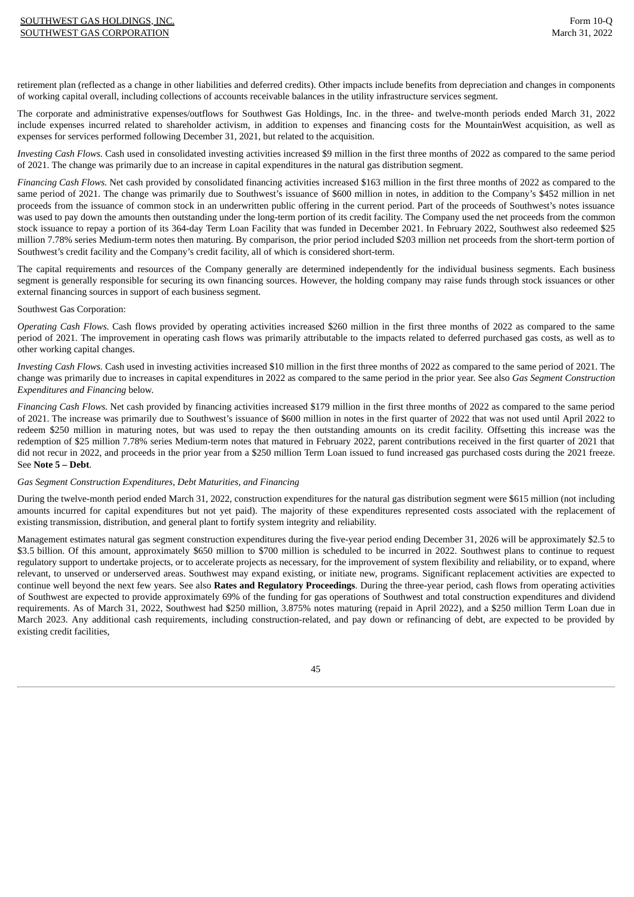retirement plan (reflected as a change in other liabilities and deferred credits). Other impacts include benefits from depreciation and changes in components of working capital overall, including collections of accounts receivable balances in the utility infrastructure services segment.

The corporate and administrative expenses/outflows for Southwest Gas Holdings, Inc. in the three- and twelve-month periods ended March 31, 2022 include expenses incurred related to shareholder activism, in addition to expenses and financing costs for the MountainWest acquisition, as well as expenses for services performed following December 31, 2021, but related to the acquisition.

*Investing Cash Flows.* Cash used in consolidated investing activities increased \$9 million in the first three months of 2022 as compared to the same period of 2021. The change was primarily due to an increase in capital expenditures in the natural gas distribution segment.

*Financing Cash Flows.* Net cash provided by consolidated financing activities increased \$163 million in the first three months of 2022 as compared to the same period of 2021. The change was primarily due to Southwest's issuance of \$600 million in notes, in addition to the Company's \$452 million in net proceeds from the issuance of common stock in an underwritten public offering in the current period. Part of the proceeds of Southwest's notes issuance was used to pay down the amounts then outstanding under the long-term portion of its credit facility. The Company used the net proceeds from the common stock issuance to repay a portion of its 364-day Term Loan Facility that was funded in December 2021. In February 2022, Southwest also redeemed \$25 million 7.78% series Medium-term notes then maturing. By comparison, the prior period included \$203 million net proceeds from the short-term portion of Southwest's credit facility and the Company's credit facility, all of which is considered short-term.

The capital requirements and resources of the Company generally are determined independently for the individual business segments. Each business segment is generally responsible for securing its own financing sources. However, the holding company may raise funds through stock issuances or other external financing sources in support of each business segment.

#### Southwest Gas Corporation:

*Operating Cash Flows.* Cash flows provided by operating activities increased \$260 million in the first three months of 2022 as compared to the same period of 2021. The improvement in operating cash flows was primarily attributable to the impacts related to deferred purchased gas costs, as well as to other working capital changes.

*Investing Cash Flows.* Cash used in investing activities increased \$10 million in the first three months of 2022 as compared to the same period of 2021. The change was primarily due to increases in capital expenditures in 2022 as compared to the same period in the prior year. See also *Gas Segment Construction Expenditures and Financing* below.

*Financing Cash Flows.* Net cash provided by financing activities increased \$179 million in the first three months of 2022 as compared to the same period of 2021. The increase was primarily due to Southwest's issuance of \$600 million in notes in the first quarter of 2022 that was not used until April 2022 to redeem \$250 million in maturing notes, but was used to repay the then outstanding amounts on its credit facility. Offsetting this increase was the redemption of \$25 million 7.78% series Medium-term notes that matured in February 2022, parent contributions received in the first quarter of 2021 that did not recur in 2022, and proceeds in the prior year from a \$250 million Term Loan issued to fund increased gas purchased costs during the 2021 freeze. See **Note 5 – Debt**.

### *Gas Segment Construction Expenditures, Debt Maturities, and Financing*

During the twelve-month period ended March 31, 2022, construction expenditures for the natural gas distribution segment were \$615 million (not including amounts incurred for capital expenditures but not yet paid). The majority of these expenditures represented costs associated with the replacement of existing transmission, distribution, and general plant to fortify system integrity and reliability.

Management estimates natural gas segment construction expenditures during the five-year period ending December 31, 2026 will be approximately \$2.5 to \$3.5 billion. Of this amount, approximately \$650 million to \$700 million is scheduled to be incurred in 2022. Southwest plans to continue to request regulatory support to undertake projects, or to accelerate projects as necessary, for the improvement of system flexibility and reliability, or to expand, where relevant, to unserved or underserved areas. Southwest may expand existing, or initiate new, programs. Significant replacement activities are expected to continue well beyond the next few years. See also **Rates and Regulatory Proceedings**. During the three-year period, cash flows from operating activities of Southwest are expected to provide approximately 69% of the funding for gas operations of Southwest and total construction expenditures and dividend requirements. As of March 31, 2022, Southwest had \$250 million, 3.875% notes maturing (repaid in April 2022), and a \$250 million Term Loan due in March 2023. Any additional cash requirements, including construction-related, and pay down or refinancing of debt, are expected to be provided by existing credit facilities,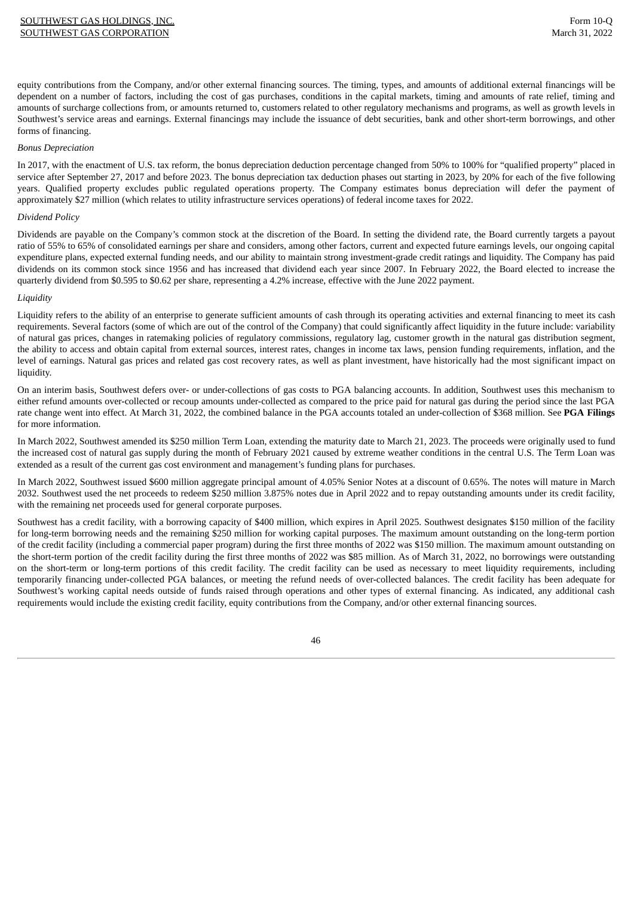equity contributions from the Company, and/or other external financing sources. The timing, types, and amounts of additional external financings will be dependent on a number of factors, including the cost of gas purchases, conditions in the capital markets, timing and amounts of rate relief, timing and amounts of surcharge collections from, or amounts returned to, customers related to other regulatory mechanisms and programs, as well as growth levels in Southwest's service areas and earnings. External financings may include the issuance of debt securities, bank and other short-term borrowings, and other forms of financing.

#### *Bonus Depreciation*

In 2017, with the enactment of U.S. tax reform, the bonus depreciation deduction percentage changed from 50% to 100% for "qualified property" placed in service after September 27, 2017 and before 2023. The bonus depreciation tax deduction phases out starting in 2023, by 20% for each of the five following years. Qualified property excludes public regulated operations property. The Company estimates bonus depreciation will defer the payment of approximately \$27 million (which relates to utility infrastructure services operations) of federal income taxes for 2022.

### *Dividend Policy*

Dividends are payable on the Company's common stock at the discretion of the Board. In setting the dividend rate, the Board currently targets a payout ratio of 55% to 65% of consolidated earnings per share and considers, among other factors, current and expected future earnings levels, our ongoing capital expenditure plans, expected external funding needs, and our ability to maintain strong investment-grade credit ratings and liquidity. The Company has paid dividends on its common stock since 1956 and has increased that dividend each year since 2007. In February 2022, the Board elected to increase the quarterly dividend from \$0.595 to \$0.62 per share, representing a 4.2% increase, effective with the June 2022 payment.

#### *Liquidity*

Liquidity refers to the ability of an enterprise to generate sufficient amounts of cash through its operating activities and external financing to meet its cash requirements. Several factors (some of which are out of the control of the Company) that could significantly affect liquidity in the future include: variability of natural gas prices, changes in ratemaking policies of regulatory commissions, regulatory lag, customer growth in the natural gas distribution segment, the ability to access and obtain capital from external sources, interest rates, changes in income tax laws, pension funding requirements, inflation, and the level of earnings. Natural gas prices and related gas cost recovery rates, as well as plant investment, have historically had the most significant impact on liquidity.

On an interim basis, Southwest defers over- or under-collections of gas costs to PGA balancing accounts. In addition, Southwest uses this mechanism to either refund amounts over-collected or recoup amounts under-collected as compared to the price paid for natural gas during the period since the last PGA rate change went into effect. At March 31, 2022, the combined balance in the PGA accounts totaled an under-collection of \$368 million. See **PGA Filings** for more information.

In March 2022, Southwest amended its \$250 million Term Loan, extending the maturity date to March 21, 2023. The proceeds were originally used to fund the increased cost of natural gas supply during the month of February 2021 caused by extreme weather conditions in the central U.S. The Term Loan was extended as a result of the current gas cost environment and management's funding plans for purchases.

In March 2022, Southwest issued \$600 million aggregate principal amount of 4.05% Senior Notes at a discount of 0.65%. The notes will mature in March 2032. Southwest used the net proceeds to redeem \$250 million 3.875% notes due in April 2022 and to repay outstanding amounts under its credit facility, with the remaining net proceeds used for general corporate purposes.

Southwest has a credit facility, with a borrowing capacity of \$400 million, which expires in April 2025. Southwest designates \$150 million of the facility for long-term borrowing needs and the remaining \$250 million for working capital purposes. The maximum amount outstanding on the long-term portion of the credit facility (including a commercial paper program) during the first three months of 2022 was \$150 million. The maximum amount outstanding on the short-term portion of the credit facility during the first three months of 2022 was \$85 million. As of March 31, 2022, no borrowings were outstanding on the short-term or long-term portions of this credit facility. The credit facility can be used as necessary to meet liquidity requirements, including temporarily financing under-collected PGA balances, or meeting the refund needs of over-collected balances. The credit facility has been adequate for Southwest's working capital needs outside of funds raised through operations and other types of external financing. As indicated, any additional cash requirements would include the existing credit facility, equity contributions from the Company, and/or other external financing sources.

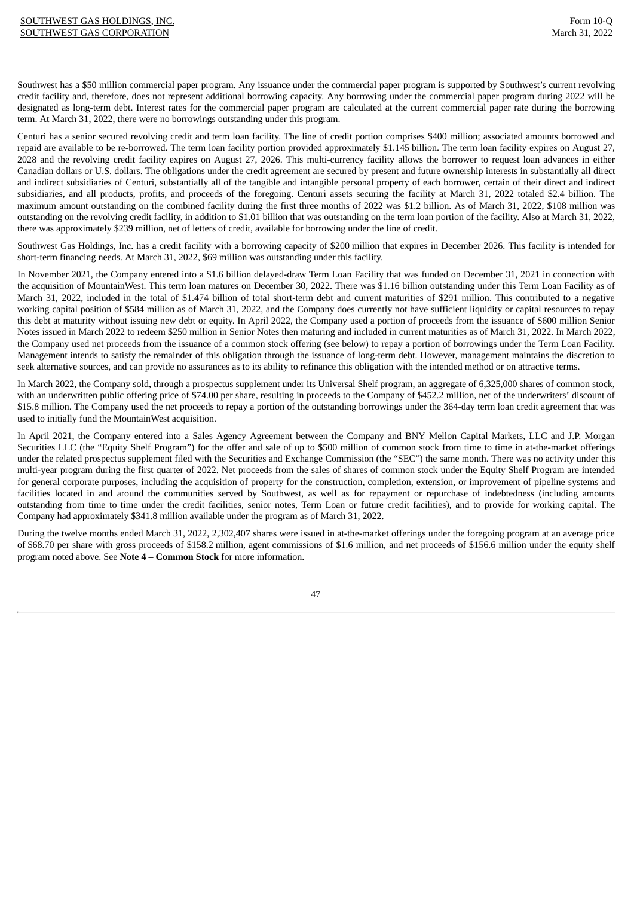Southwest has a \$50 million commercial paper program. Any issuance under the commercial paper program is supported by Southwest's current revolving credit facility and, therefore, does not represent additional borrowing capacity. Any borrowing under the commercial paper program during 2022 will be designated as long-term debt. Interest rates for the commercial paper program are calculated at the current commercial paper rate during the borrowing term. At March 31, 2022, there were no borrowings outstanding under this program.

Centuri has a senior secured revolving credit and term loan facility. The line of credit portion comprises \$400 million; associated amounts borrowed and repaid are available to be re-borrowed. The term loan facility portion provided approximately \$1.145 billion. The term loan facility expires on August 27, 2028 and the revolving credit facility expires on August 27, 2026. This multi-currency facility allows the borrower to request loan advances in either Canadian dollars or U.S. dollars. The obligations under the credit agreement are secured by present and future ownership interests in substantially all direct and indirect subsidiaries of Centuri, substantially all of the tangible and intangible personal property of each borrower, certain of their direct and indirect subsidiaries, and all products, profits, and proceeds of the foregoing. Centuri assets securing the facility at March 31, 2022 totaled \$2.4 billion. The maximum amount outstanding on the combined facility during the first three months of 2022 was \$1.2 billion. As of March 31, 2022, \$108 million was outstanding on the revolving credit facility, in addition to \$1.01 billion that was outstanding on the term loan portion of the facility. Also at March 31, 2022, there was approximately \$239 million, net of letters of credit, available for borrowing under the line of credit.

Southwest Gas Holdings, Inc. has a credit facility with a borrowing capacity of \$200 million that expires in December 2026. This facility is intended for short-term financing needs. At March 31, 2022, \$69 million was outstanding under this facility.

In November 2021, the Company entered into a \$1.6 billion delayed-draw Term Loan Facility that was funded on December 31, 2021 in connection with the acquisition of MountainWest. This term loan matures on December 30, 2022. There was \$1.16 billion outstanding under this Term Loan Facility as of March 31, 2022, included in the total of \$1.474 billion of total short-term debt and current maturities of \$291 million. This contributed to a negative working capital position of \$584 million as of March 31, 2022, and the Company does currently not have sufficient liquidity or capital resources to repay this debt at maturity without issuing new debt or equity. In April 2022, the Company used a portion of proceeds from the issuance of \$600 million Senior Notes issued in March 2022 to redeem \$250 million in Senior Notes then maturing and included in current maturities as of March 31, 2022. In March 2022, the Company used net proceeds from the issuance of a common stock offering (see below) to repay a portion of borrowings under the Term Loan Facility. Management intends to satisfy the remainder of this obligation through the issuance of long-term debt. However, management maintains the discretion to seek alternative sources, and can provide no assurances as to its ability to refinance this obligation with the intended method or on attractive terms.

In March 2022, the Company sold, through a prospectus supplement under its Universal Shelf program, an aggregate of 6,325,000 shares of common stock, with an underwritten public offering price of \$74.00 per share, resulting in proceeds to the Company of \$452.2 million, net of the underwriters' discount of \$15.8 million. The Company used the net proceeds to repay a portion of the outstanding borrowings under the 364-day term loan credit agreement that was used to initially fund the MountainWest acquisition.

In April 2021, the Company entered into a Sales Agency Agreement between the Company and BNY Mellon Capital Markets, LLC and J.P. Morgan Securities LLC (the "Equity Shelf Program") for the offer and sale of up to \$500 million of common stock from time to time in at-the-market offerings under the related prospectus supplement filed with the Securities and Exchange Commission (the "SEC") the same month. There was no activity under this multi-year program during the first quarter of 2022. Net proceeds from the sales of shares of common stock under the Equity Shelf Program are intended for general corporate purposes, including the acquisition of property for the construction, completion, extension, or improvement of pipeline systems and facilities located in and around the communities served by Southwest, as well as for repayment or repurchase of indebtedness (including amounts outstanding from time to time under the credit facilities, senior notes, Term Loan or future credit facilities), and to provide for working capital. The Company had approximately \$341.8 million available under the program as of March 31, 2022.

During the twelve months ended March 31, 2022, 2,302,407 shares were issued in at-the-market offerings under the foregoing program at an average price of \$68.70 per share with gross proceeds of \$158.2 million, agent commissions of \$1.6 million, and net proceeds of \$156.6 million under the equity shelf program noted above. See **Note 4 – Common Stock** for more information.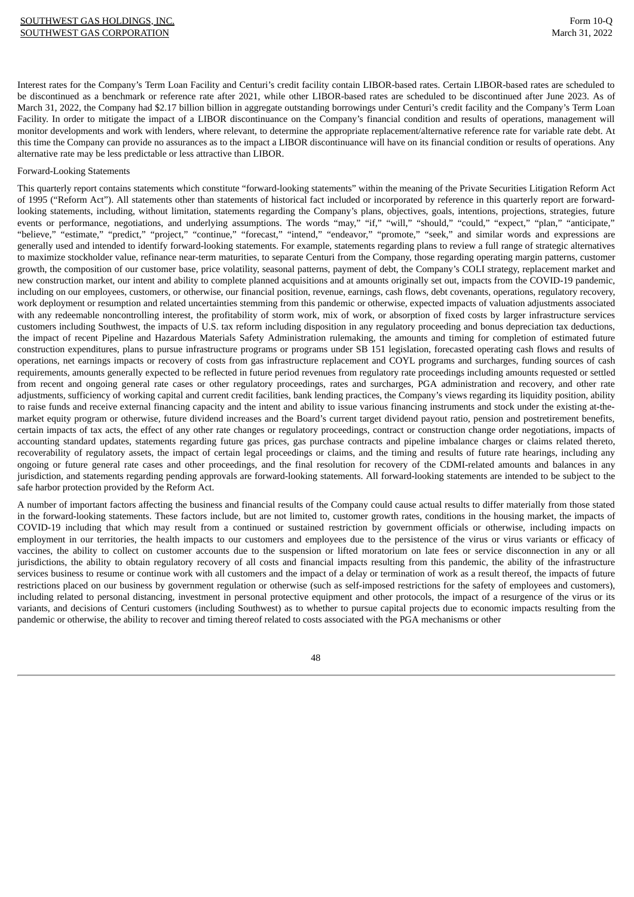Interest rates for the Company's Term Loan Facility and Centuri's credit facility contain LIBOR-based rates. Certain LIBOR-based rates are scheduled to be discontinued as a benchmark or reference rate after 2021, while other LIBOR-based rates are scheduled to be discontinued after June 2023. As of March 31, 2022, the Company had \$2.17 billion billion in aggregate outstanding borrowings under Centuri's credit facility and the Company's Term Loan Facility. In order to mitigate the impact of a LIBOR discontinuance on the Company's financial condition and results of operations, management will monitor developments and work with lenders, where relevant, to determine the appropriate replacement/alternative reference rate for variable rate debt. At this time the Company can provide no assurances as to the impact a LIBOR discontinuance will have on its financial condition or results of operations. Any alternative rate may be less predictable or less attractive than LIBOR.

### Forward-Looking Statements

This quarterly report contains statements which constitute "forward-looking statements" within the meaning of the Private Securities Litigation Reform Act of 1995 ("Reform Act"). All statements other than statements of historical fact included or incorporated by reference in this quarterly report are forwardlooking statements, including, without limitation, statements regarding the Company's plans, objectives, goals, intentions, projections, strategies, future events or performance, negotiations, and underlying assumptions. The words "may," "if," "will," "should," "could," "expect," "plan," "anticipate," "believe," "estimate," "predict," "project," "continue," "forecast," "intend," "endeavor," "promote," "seek," and similar words and expressions are generally used and intended to identify forward-looking statements. For example, statements regarding plans to review a full range of strategic alternatives to maximize stockholder value, refinance near-term maturities, to separate Centuri from the Company, those regarding operating margin patterns, customer growth, the composition of our customer base, price volatility, seasonal patterns, payment of debt, the Company's COLI strategy, replacement market and new construction market, our intent and ability to complete planned acquisitions and at amounts originally set out, impacts from the COVID-19 pandemic, including on our employees, customers, or otherwise, our financial position, revenue, earnings, cash flows, debt covenants, operations, regulatory recovery, work deployment or resumption and related uncertainties stemming from this pandemic or otherwise, expected impacts of valuation adjustments associated with any redeemable noncontrolling interest, the profitability of storm work, mix of work, or absorption of fixed costs by larger infrastructure services customers including Southwest, the impacts of U.S. tax reform including disposition in any regulatory proceeding and bonus depreciation tax deductions, the impact of recent Pipeline and Hazardous Materials Safety Administration rulemaking, the amounts and timing for completion of estimated future construction expenditures, plans to pursue infrastructure programs or programs under SB 151 legislation, forecasted operating cash flows and results of operations, net earnings impacts or recovery of costs from gas infrastructure replacement and COYL programs and surcharges, funding sources of cash requirements, amounts generally expected to be reflected in future period revenues from regulatory rate proceedings including amounts requested or settled from recent and ongoing general rate cases or other regulatory proceedings, rates and surcharges, PGA administration and recovery, and other rate adjustments, sufficiency of working capital and current credit facilities, bank lending practices, the Company's views regarding its liquidity position, ability to raise funds and receive external financing capacity and the intent and ability to issue various financing instruments and stock under the existing at-themarket equity program or otherwise, future dividend increases and the Board's current target dividend payout ratio, pension and postretirement benefits, certain impacts of tax acts, the effect of any other rate changes or regulatory proceedings, contract or construction change order negotiations, impacts of accounting standard updates, statements regarding future gas prices, gas purchase contracts and pipeline imbalance charges or claims related thereto, recoverability of regulatory assets, the impact of certain legal proceedings or claims, and the timing and results of future rate hearings, including any ongoing or future general rate cases and other proceedings, and the final resolution for recovery of the CDMI-related amounts and balances in any jurisdiction, and statements regarding pending approvals are forward-looking statements. All forward-looking statements are intended to be subject to the safe harbor protection provided by the Reform Act.

A number of important factors affecting the business and financial results of the Company could cause actual results to differ materially from those stated in the forward-looking statements. These factors include, but are not limited to, customer growth rates, conditions in the housing market, the impacts of COVID-19 including that which may result from a continued or sustained restriction by government officials or otherwise, including impacts on employment in our territories, the health impacts to our customers and employees due to the persistence of the virus or virus variants or efficacy of vaccines, the ability to collect on customer accounts due to the suspension or lifted moratorium on late fees or service disconnection in any or all jurisdictions, the ability to obtain regulatory recovery of all costs and financial impacts resulting from this pandemic, the ability of the infrastructure services business to resume or continue work with all customers and the impact of a delay or termination of work as a result thereof, the impacts of future restrictions placed on our business by government regulation or otherwise (such as self-imposed restrictions for the safety of employees and customers), including related to personal distancing, investment in personal protective equipment and other protocols, the impact of a resurgence of the virus or its variants, and decisions of Centuri customers (including Southwest) as to whether to pursue capital projects due to economic impacts resulting from the pandemic or otherwise, the ability to recover and timing thereof related to costs associated with the PGA mechanisms or other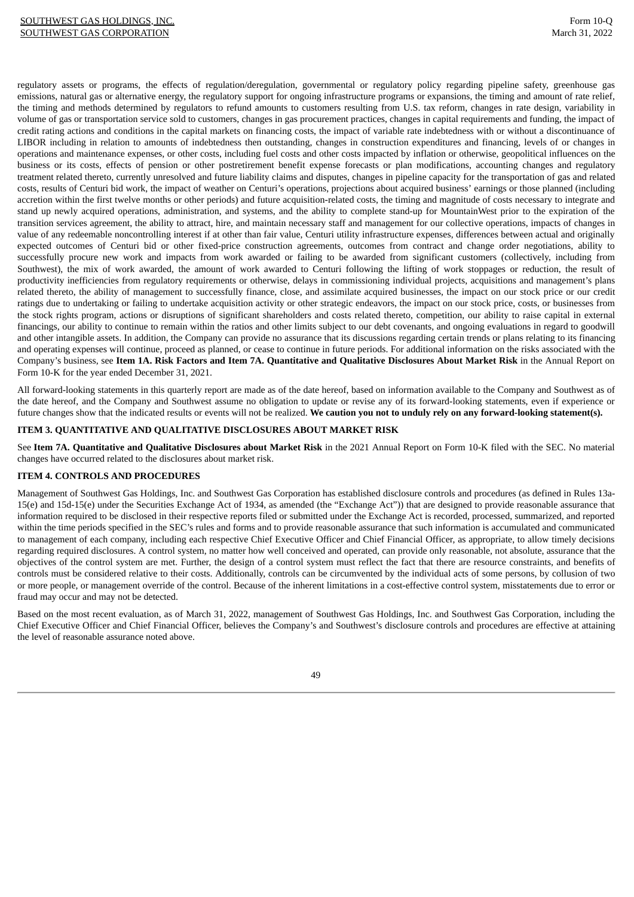regulatory assets or programs, the effects of regulation/deregulation, governmental or regulatory policy regarding pipeline safety, greenhouse gas emissions, natural gas or alternative energy, the regulatory support for ongoing infrastructure programs or expansions, the timing and amount of rate relief, the timing and methods determined by regulators to refund amounts to customers resulting from U.S. tax reform, changes in rate design, variability in volume of gas or transportation service sold to customers, changes in gas procurement practices, changes in capital requirements and funding, the impact of credit rating actions and conditions in the capital markets on financing costs, the impact of variable rate indebtedness with or without a discontinuance of LIBOR including in relation to amounts of indebtedness then outstanding, changes in construction expenditures and financing, levels of or changes in operations and maintenance expenses, or other costs, including fuel costs and other costs impacted by inflation or otherwise, geopolitical influences on the business or its costs, effects of pension or other postretirement benefit expense forecasts or plan modifications, accounting changes and regulatory treatment related thereto, currently unresolved and future liability claims and disputes, changes in pipeline capacity for the transportation of gas and related costs, results of Centuri bid work, the impact of weather on Centuri's operations, projections about acquired business' earnings or those planned (including accretion within the first twelve months or other periods) and future acquisition-related costs, the timing and magnitude of costs necessary to integrate and stand up newly acquired operations, administration, and systems, and the ability to complete stand-up for MountainWest prior to the expiration of the transition services agreement, the ability to attract, hire, and maintain necessary staff and management for our collective operations, impacts of changes in value of any redeemable noncontrolling interest if at other than fair value, Centuri utility infrastructure expenses, differences between actual and originally expected outcomes of Centuri bid or other fixed-price construction agreements, outcomes from contract and change order negotiations, ability to successfully procure new work and impacts from work awarded or failing to be awarded from significant customers (collectively, including from Southwest), the mix of work awarded, the amount of work awarded to Centuri following the lifting of work stoppages or reduction, the result of productivity inefficiencies from regulatory requirements or otherwise, delays in commissioning individual projects, acquisitions and management's plans related thereto, the ability of management to successfully finance, close, and assimilate acquired businesses, the impact on our stock price or our credit ratings due to undertaking or failing to undertake acquisition activity or other strategic endeavors, the impact on our stock price, costs, or businesses from the stock rights program, actions or disruptions of significant shareholders and costs related thereto, competition, our ability to raise capital in external financings, our ability to continue to remain within the ratios and other limits subject to our debt covenants, and ongoing evaluations in regard to goodwill and other intangible assets. In addition, the Company can provide no assurance that its discussions regarding certain trends or plans relating to its financing and operating expenses will continue, proceed as planned, or cease to continue in future periods. For additional information on the risks associated with the Company's business, see Item 1A. Risk Factors and Item 7A. Quantitative and Qualitative Disclosures About Market Risk in the Annual Report on Form 10-K for the year ended December 31, 2021.

All forward-looking statements in this quarterly report are made as of the date hereof, based on information available to the Company and Southwest as of the date hereof, and the Company and Southwest assume no obligation to update or revise any of its forward-looking statements, even if experience or future changes show that the indicated results or events will not be realized. We caution you not to unduly rely on any forward-looking statement(s).

### **ITEM 3. QUANTITATIVE AND QUALITATIVE DISCLOSURES ABOUT MARKET RISK**

See **Item 7A. Quantitative and Qualitative Disclosures about Market Risk** in the 2021 Annual Report on Form 10-K filed with the SEC. No material changes have occurred related to the disclosures about market risk.

#### **ITEM 4. CONTROLS AND PROCEDURES**

Management of Southwest Gas Holdings, Inc. and Southwest Gas Corporation has established disclosure controls and procedures (as defined in Rules 13a-15(e) and 15d-15(e) under the Securities Exchange Act of 1934, as amended (the "Exchange Act")) that are designed to provide reasonable assurance that information required to be disclosed in their respective reports filed or submitted under the Exchange Act is recorded, processed, summarized, and reported within the time periods specified in the SEC's rules and forms and to provide reasonable assurance that such information is accumulated and communicated to management of each company, including each respective Chief Executive Officer and Chief Financial Officer, as appropriate, to allow timely decisions regarding required disclosures. A control system, no matter how well conceived and operated, can provide only reasonable, not absolute, assurance that the objectives of the control system are met. Further, the design of a control system must reflect the fact that there are resource constraints, and benefits of controls must be considered relative to their costs. Additionally, controls can be circumvented by the individual acts of some persons, by collusion of two or more people, or management override of the control. Because of the inherent limitations in a cost-effective control system, misstatements due to error or fraud may occur and may not be detected.

Based on the most recent evaluation, as of March 31, 2022, management of Southwest Gas Holdings, Inc. and Southwest Gas Corporation, including the Chief Executive Officer and Chief Financial Officer, believes the Company's and Southwest's disclosure controls and procedures are effective at attaining the level of reasonable assurance noted above.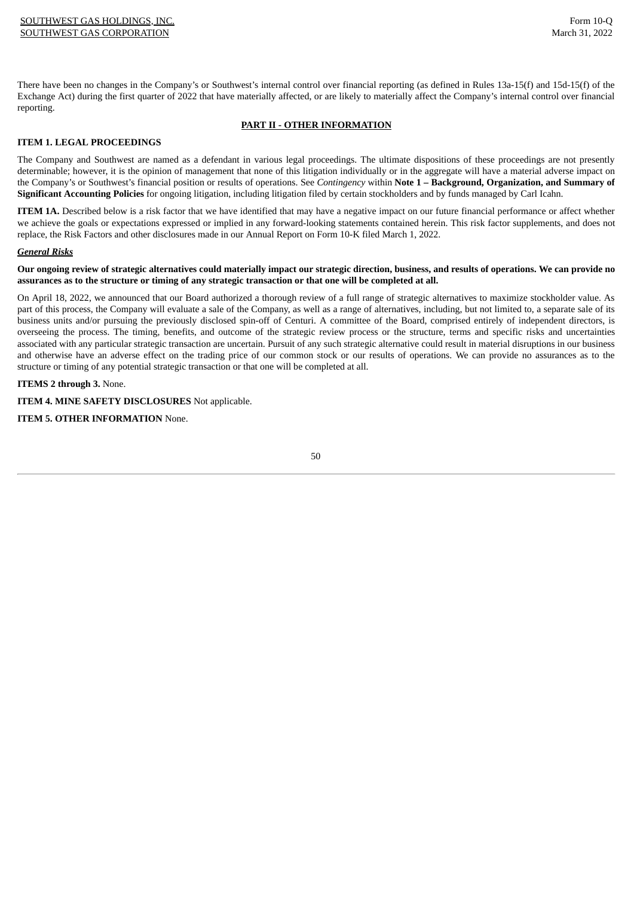There have been no changes in the Company's or Southwest's internal control over financial reporting (as defined in Rules 13a-15(f) and 15d-15(f) of the Exchange Act) during the first quarter of 2022 that have materially affected, or are likely to materially affect the Company's internal control over financial reporting.

### **PART II - OTHER INFORMATION**

### **ITEM 1. LEGAL PROCEEDINGS**

The Company and Southwest are named as a defendant in various legal proceedings. The ultimate dispositions of these proceedings are not presently determinable; however, it is the opinion of management that none of this litigation individually or in the aggregate will have a material adverse impact on the Company's or Southwest's financial position or results of operations. See *Contingency* within **Note 1 – Background, Organization, and Summary of Significant Accounting Policies** for ongoing litigation, including litigation filed by certain stockholders and by funds managed by Carl Icahn.

**ITEM 1A.** Described below is a risk factor that we have identified that may have a negative impact on our future financial performance or affect whether we achieve the goals or expectations expressed or implied in any forward-looking statements contained herein. This risk factor supplements, and does not replace, the Risk Factors and other disclosures made in our Annual Report on Form 10-K filed March 1, 2022.

# *General Risks*

### Our ongoing review of strategic alternatives could materially impact our strategic direction, business, and results of operations. We can provide no assurances as to the structure or timing of any strategic transaction or that one will be completed at all.

On April 18, 2022, we announced that our Board authorized a thorough review of a full range of strategic alternatives to maximize stockholder value. As part of this process, the Company will evaluate a sale of the Company, as well as a range of alternatives, including, but not limited to, a separate sale of its business units and/or pursuing the previously disclosed spin-off of Centuri. A committee of the Board, comprised entirely of independent directors, is overseeing the process. The timing, benefits, and outcome of the strategic review process or the structure, terms and specific risks and uncertainties associated with any particular strategic transaction are uncertain. Pursuit of any such strategic alternative could result in material disruptions in our business and otherwise have an adverse effect on the trading price of our common stock or our results of operations. We can provide no assurances as to the structure or timing of any potential strategic transaction or that one will be completed at all.

### **ITEMS 2 through 3.** None.

**ITEM 4. MINE SAFETY DISCLOSURES** Not applicable.

**ITEM 5. OTHER INFORMATION** None.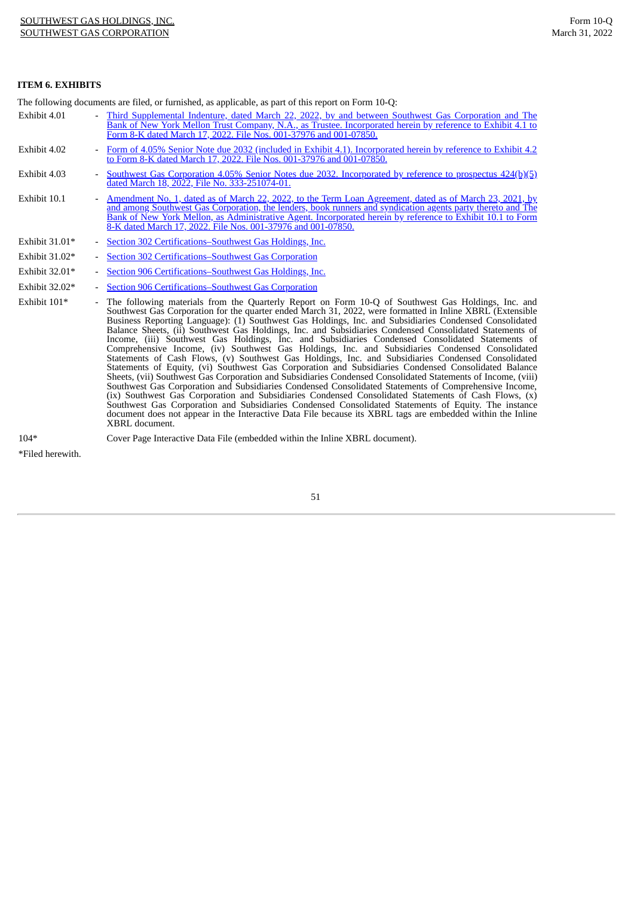### **ITEM 6. EXHIBITS**

The following documents are filed, or furnished, as applicable, as part of this report on Form 10-Q:

- Exhibit 4.01 Third [Supplemental](http://www.sec.gov/Archives/edgar/data/92416/000119312522081759/d315333dex41.htm) Indenture, dated March 22, 2022, by and between Southwest Gas Corporation and The Bank of New York Mellon Trust Company, N.A., as Trustee. Incorporated herein by reference to Exhibit 4.1 to Form 8-K dated March 17, 2022. File Nos. 001-37976 and 001-07850.
- Exhibit 4.02 Form of 4.05% Senior Note due 2032 (included in Exhibit 4.1). [Incorporated](http://www.sec.gov/Archives/edgar/data/92416/000119312522081759/d315333dex41.htm) herein by reference to Exhibit 4.2 to Form 8-K dated March 17, 2022. File Nos. 001-37976 and 001-07850.
- Exhibit 4.03 Southwest Gas Corporation 4.05% Senior Notes due 2032. Incorporated by reference to prospectus 424(b)(5) dated March 18, 2022, File No. [333-251074-01.](http://www.sec.gov/Archives/edgar/data/92416/000119312522079533/d330065d424b5.htm)
- Exhibit 10.1 Amendment No. 1, dated as of March 22, 2022, to the Term Loan Agreement, dated as of March 23, 2021, by and among Southwest Gas Corporation, the lenders, book runners and syndication agents party thereto and The Bank of New York Mellon, as [Administrative](http://www.sec.gov/Archives/edgar/data/92416/000119312522081759/d315333dex101.htm) Agent. Incorporated herein by reference to Exhibit [10](http://www.sec.gov/Archives/edgar/data/92416/000119312522081759/d315333dex101.htm).1 to Form 8-K dated March 17, 2022. File Nos. 001-37976 and 001-07850.
- Exhibit 31.01\* Section 302 [Certifications–Southwest](#page-52-0) Gas Holdings, Inc.
- Exhibit 31.02\* Section 302 [Certifications–Southwest](#page-54-0) Gas Corporation
- Exhibit 32.01\* Section 906 Certifications-Southwest Gas Holdings, Inc.
- Exhibit 32.02\* Section 906 [Certifications–Southwest](#page-57-0) Gas Corporation
- Exhibit 101<sup>\*</sup> The following materials from the Quarterly Report on Form 10-Q of Southwest Gas Holdings, Inc. and Southwest Gas Corporation for the quarter ended March 31, 2022, were formatted in Inline XBRL (Extensible Business Reporting Language): (1) Southwest Gas Holdings, Inc. and Subsidiaries Condensed Consolidated Balance Sheets, (ii) Southwest Gas Holdings, Inc. and Subsidiaries Condensed Consolidated Statements of Income, (iii) Southwest Gas Holdings, Inc. and Subsidiaries Condensed Consolidated Statements of Comprehensive Income, (iv) Southwest Gas Holdings, Inc. and Subsidiaries Condensed Consolidated Statements of Cash Flows, (v) Southwest Gas Holdings, Inc. and Subsidiaries Condensed Consolidated Statements of Equity, (vi) Southwest Gas Corporation and Subsidiaries Condensed Consolidated Balance Sheets, (vii) Southwest Gas Corporation and Subsidiaries Condensed Consolidated Statements of Income, (viii) Southwest Gas Corporation and Subsidiaries Condensed Consolidated Statements of Comprehensive Income, (ix) Southwest Gas Corporation and Subsidiaries Condensed Consolidated Statements of Cash Flows, (x) Southwest Gas Corporation and Subsidiaries Condensed Consolidated Statements of Equity. The instance document does not appear in the Interactive Data File because its XBRL tags are embedded within the Inline XBRL document.

#### 104\* Cover Page Interactive Data File (embedded within the Inline XBRL document).

\*Filed herewith.

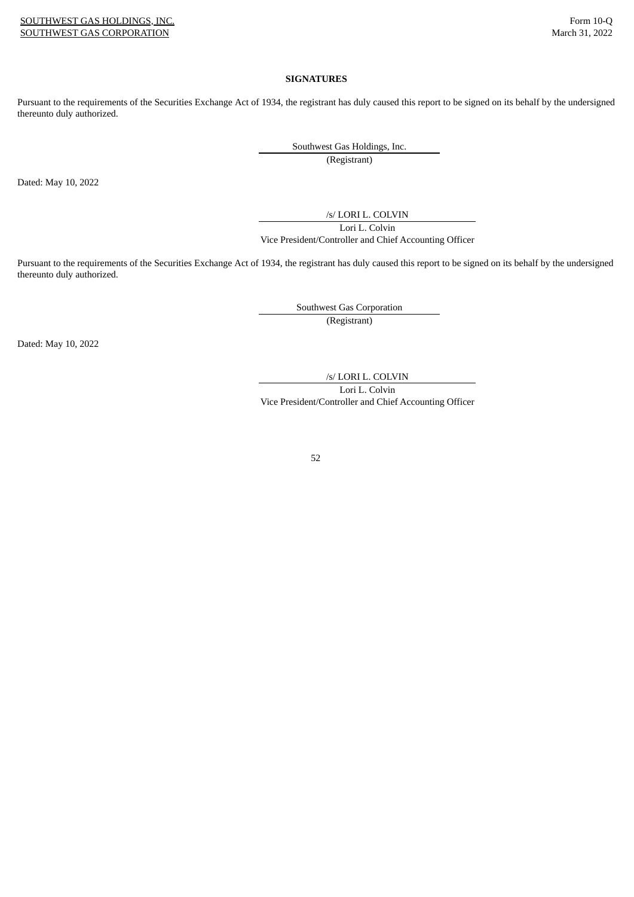SOUTHWEST GAS HOLDINGS, INC. The state of the state of the state of the state of the state of the state of the state of the state of the state of the state of the state of the state of the state of the state of the state o SOUTHWEST GAS CORPORATION March 31, 2022

# **SIGNATURES**

Pursuant to the requirements of the Securities Exchange Act of 1934, the registrant has duly caused this report to be signed on its behalf by the undersigned thereunto duly authorized.

> Southwest Gas Holdings, Inc. (Registrant)

Dated: May 10, 2022

/s/ LORI L. COLVIN

Lori L. Colvin Vice President/Controller and Chief Accounting Officer

Pursuant to the requirements of the Securities Exchange Act of 1934, the registrant has duly caused this report to be signed on its behalf by the undersigned thereunto duly authorized.

> Southwest Gas Corporation (Registrant)

Dated: May 10, 2022

/s/ LORI L. COLVIN

Lori L. Colvin Vice President/Controller and Chief Accounting Officer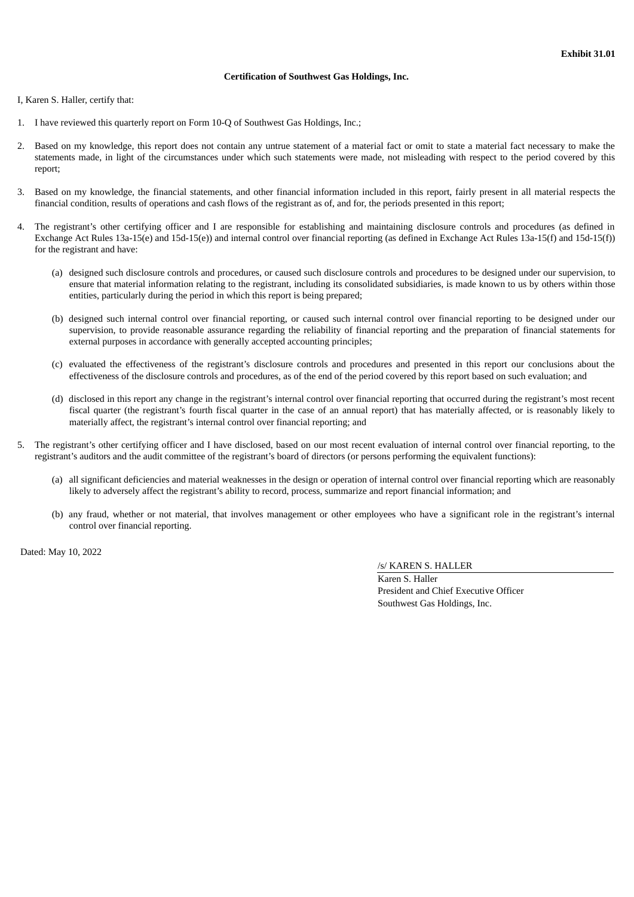### **Certification of Southwest Gas Holdings, Inc.**

<span id="page-52-0"></span>I, Karen S. Haller, certify that:

- 1. I have reviewed this quarterly report on Form 10-Q of Southwest Gas Holdings, Inc.;
- 2. Based on my knowledge, this report does not contain any untrue statement of a material fact or omit to state a material fact necessary to make the statements made, in light of the circumstances under which such statements were made, not misleading with respect to the period covered by this report;
- 3. Based on my knowledge, the financial statements, and other financial information included in this report, fairly present in all material respects the financial condition, results of operations and cash flows of the registrant as of, and for, the periods presented in this report;
- 4. The registrant's other certifying officer and I are responsible for establishing and maintaining disclosure controls and procedures (as defined in Exchange Act Rules 13a-15(e) and 15d-15(e)) and internal control over financial reporting (as defined in Exchange Act Rules 13a-15(f) and 15d-15(f)) for the registrant and have:
	- (a) designed such disclosure controls and procedures, or caused such disclosure controls and procedures to be designed under our supervision, to ensure that material information relating to the registrant, including its consolidated subsidiaries, is made known to us by others within those entities, particularly during the period in which this report is being prepared;
	- (b) designed such internal control over financial reporting, or caused such internal control over financial reporting to be designed under our supervision, to provide reasonable assurance regarding the reliability of financial reporting and the preparation of financial statements for external purposes in accordance with generally accepted accounting principles;
	- (c) evaluated the effectiveness of the registrant's disclosure controls and procedures and presented in this report our conclusions about the effectiveness of the disclosure controls and procedures, as of the end of the period covered by this report based on such evaluation; and
	- (d) disclosed in this report any change in the registrant's internal control over financial reporting that occurred during the registrant's most recent fiscal quarter (the registrant's fourth fiscal quarter in the case of an annual report) that has materially affected, or is reasonably likely to materially affect, the registrant's internal control over financial reporting; and
- 5. The registrant's other certifying officer and I have disclosed, based on our most recent evaluation of internal control over financial reporting, to the registrant's auditors and the audit committee of the registrant's board of directors (or persons performing the equivalent functions):
	- (a) all significant deficiencies and material weaknesses in the design or operation of internal control over financial reporting which are reasonably likely to adversely affect the registrant's ability to record, process, summarize and report financial information; and
	- (b) any fraud, whether or not material, that involves management or other employees who have a significant role in the registrant's internal control over financial reporting.

Dated: May 10, 2022

/s/ KAREN S. HALLER

Karen S. Haller President and Chief Executive Officer Southwest Gas Holdings, Inc.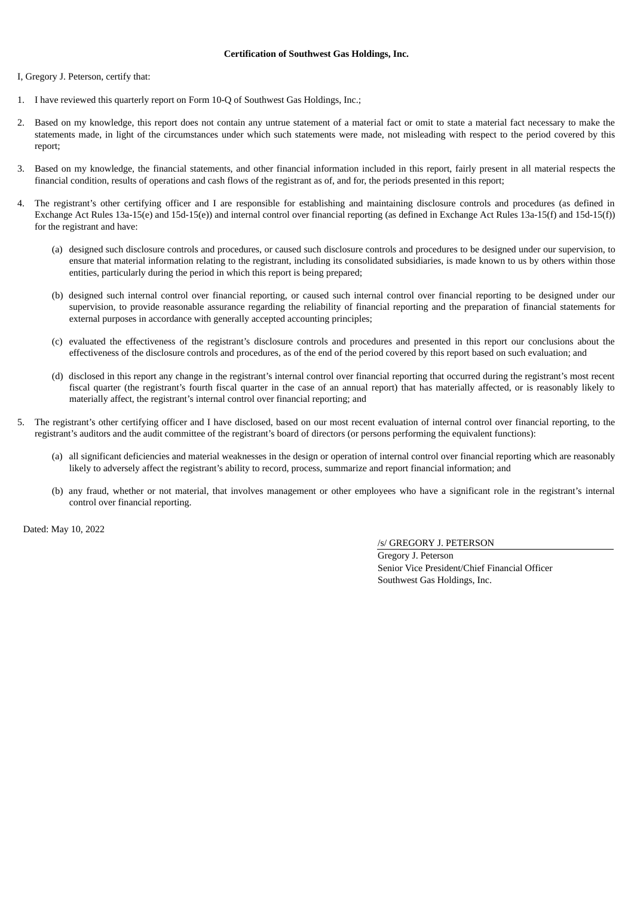### **Certification of Southwest Gas Holdings, Inc.**

I, Gregory J. Peterson, certify that:

- 1. I have reviewed this quarterly report on Form 10-Q of Southwest Gas Holdings, Inc.;
- 2. Based on my knowledge, this report does not contain any untrue statement of a material fact or omit to state a material fact necessary to make the statements made, in light of the circumstances under which such statements were made, not misleading with respect to the period covered by this report;
- 3. Based on my knowledge, the financial statements, and other financial information included in this report, fairly present in all material respects the financial condition, results of operations and cash flows of the registrant as of, and for, the periods presented in this report;
- 4. The registrant's other certifying officer and I are responsible for establishing and maintaining disclosure controls and procedures (as defined in Exchange Act Rules 13a-15(e) and 15d-15(e)) and internal control over financial reporting (as defined in Exchange Act Rules 13a-15(f) and 15d-15(f)) for the registrant and have:
	- (a) designed such disclosure controls and procedures, or caused such disclosure controls and procedures to be designed under our supervision, to ensure that material information relating to the registrant, including its consolidated subsidiaries, is made known to us by others within those entities, particularly during the period in which this report is being prepared;
	- (b) designed such internal control over financial reporting, or caused such internal control over financial reporting to be designed under our supervision, to provide reasonable assurance regarding the reliability of financial reporting and the preparation of financial statements for external purposes in accordance with generally accepted accounting principles;
	- (c) evaluated the effectiveness of the registrant's disclosure controls and procedures and presented in this report our conclusions about the effectiveness of the disclosure controls and procedures, as of the end of the period covered by this report based on such evaluation; and
	- (d) disclosed in this report any change in the registrant's internal control over financial reporting that occurred during the registrant's most recent fiscal quarter (the registrant's fourth fiscal quarter in the case of an annual report) that has materially affected, or is reasonably likely to materially affect, the registrant's internal control over financial reporting; and
- 5. The registrant's other certifying officer and I have disclosed, based on our most recent evaluation of internal control over financial reporting, to the registrant's auditors and the audit committee of the registrant's board of directors (or persons performing the equivalent functions):
	- (a) all significant deficiencies and material weaknesses in the design or operation of internal control over financial reporting which are reasonably likely to adversely affect the registrant's ability to record, process, summarize and report financial information; and
	- (b) any fraud, whether or not material, that involves management or other employees who have a significant role in the registrant's internal control over financial reporting.

Dated: May 10, 2022

/s/ GREGORY J. PETERSON

Gregory J. Peterson Senior Vice President/Chief Financial Officer Southwest Gas Holdings, Inc.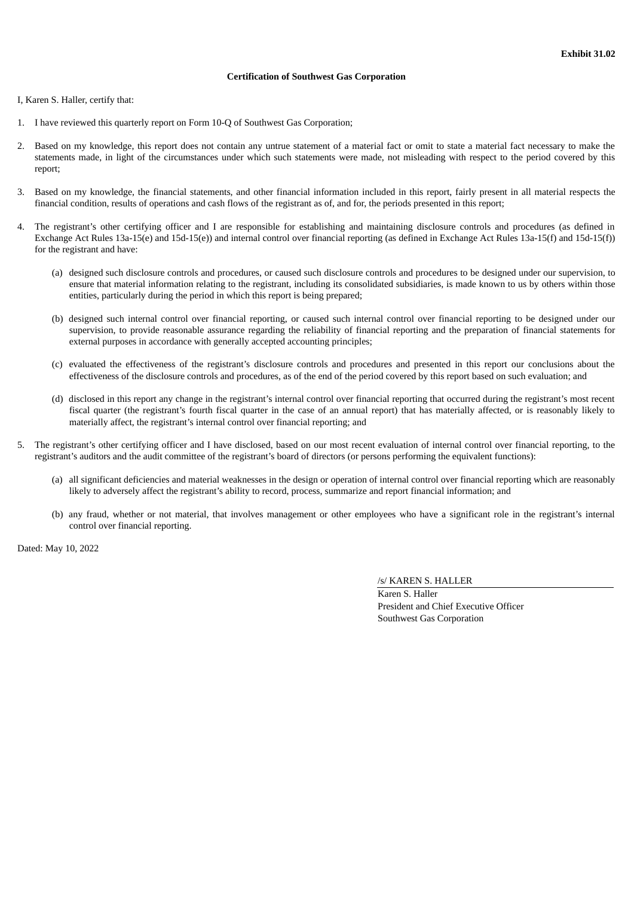#### **Certification of Southwest Gas Corporation**

<span id="page-54-0"></span>I, Karen S. Haller, certify that:

- 1. I have reviewed this quarterly report on Form 10-Q of Southwest Gas Corporation;
- 2. Based on my knowledge, this report does not contain any untrue statement of a material fact or omit to state a material fact necessary to make the statements made, in light of the circumstances under which such statements were made, not misleading with respect to the period covered by this report;
- 3. Based on my knowledge, the financial statements, and other financial information included in this report, fairly present in all material respects the financial condition, results of operations and cash flows of the registrant as of, and for, the periods presented in this report;
- 4. The registrant's other certifying officer and I are responsible for establishing and maintaining disclosure controls and procedures (as defined in Exchange Act Rules 13a-15(e) and 15d-15(e)) and internal control over financial reporting (as defined in Exchange Act Rules 13a-15(f) and 15d-15(f)) for the registrant and have:
	- (a) designed such disclosure controls and procedures, or caused such disclosure controls and procedures to be designed under our supervision, to ensure that material information relating to the registrant, including its consolidated subsidiaries, is made known to us by others within those entities, particularly during the period in which this report is being prepared;
	- (b) designed such internal control over financial reporting, or caused such internal control over financial reporting to be designed under our supervision, to provide reasonable assurance regarding the reliability of financial reporting and the preparation of financial statements for external purposes in accordance with generally accepted accounting principles;
	- (c) evaluated the effectiveness of the registrant's disclosure controls and procedures and presented in this report our conclusions about the effectiveness of the disclosure controls and procedures, as of the end of the period covered by this report based on such evaluation; and
	- (d) disclosed in this report any change in the registrant's internal control over financial reporting that occurred during the registrant's most recent fiscal quarter (the registrant's fourth fiscal quarter in the case of an annual report) that has materially affected, or is reasonably likely to materially affect, the registrant's internal control over financial reporting; and
- 5. The registrant's other certifying officer and I have disclosed, based on our most recent evaluation of internal control over financial reporting, to the registrant's auditors and the audit committee of the registrant's board of directors (or persons performing the equivalent functions):
	- (a) all significant deficiencies and material weaknesses in the design or operation of internal control over financial reporting which are reasonably likely to adversely affect the registrant's ability to record, process, summarize and report financial information; and
	- (b) any fraud, whether or not material, that involves management or other employees who have a significant role in the registrant's internal control over financial reporting.

Dated: May 10, 2022

/s/ KAREN S. HALLER

Karen S. Haller President and Chief Executive Officer Southwest Gas Corporation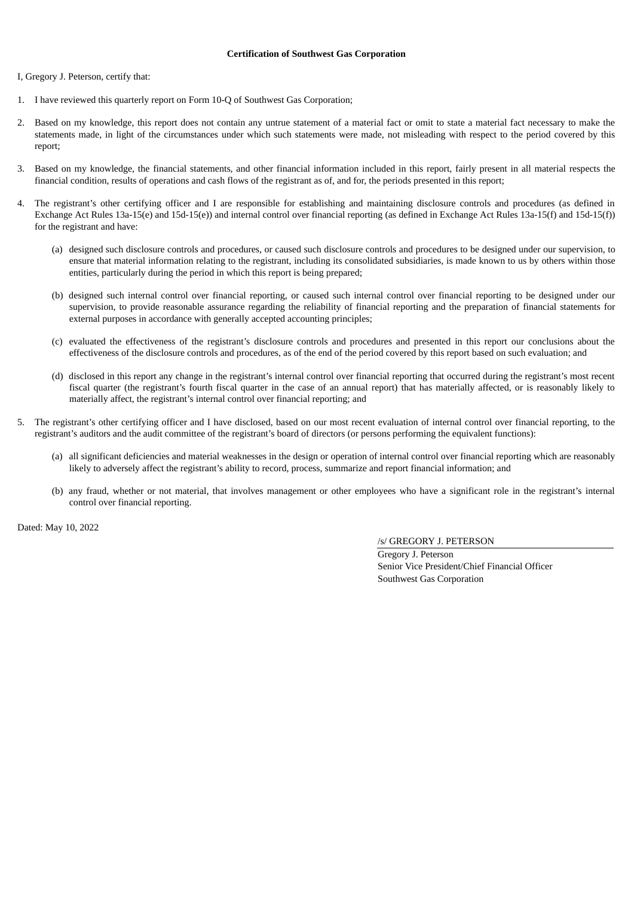### **Certification of Southwest Gas Corporation**

I, Gregory J. Peterson, certify that:

- 1. I have reviewed this quarterly report on Form 10-Q of Southwest Gas Corporation;
- 2. Based on my knowledge, this report does not contain any untrue statement of a material fact or omit to state a material fact necessary to make the statements made, in light of the circumstances under which such statements were made, not misleading with respect to the period covered by this report;
- 3. Based on my knowledge, the financial statements, and other financial information included in this report, fairly present in all material respects the financial condition, results of operations and cash flows of the registrant as of, and for, the periods presented in this report;
- 4. The registrant's other certifying officer and I are responsible for establishing and maintaining disclosure controls and procedures (as defined in Exchange Act Rules 13a-15(e) and 15d-15(e)) and internal control over financial reporting (as defined in Exchange Act Rules 13a-15(f) and 15d-15(f)) for the registrant and have:
	- (a) designed such disclosure controls and procedures, or caused such disclosure controls and procedures to be designed under our supervision, to ensure that material information relating to the registrant, including its consolidated subsidiaries, is made known to us by others within those entities, particularly during the period in which this report is being prepared;
	- (b) designed such internal control over financial reporting, or caused such internal control over financial reporting to be designed under our supervision, to provide reasonable assurance regarding the reliability of financial reporting and the preparation of financial statements for external purposes in accordance with generally accepted accounting principles;
	- (c) evaluated the effectiveness of the registrant's disclosure controls and procedures and presented in this report our conclusions about the effectiveness of the disclosure controls and procedures, as of the end of the period covered by this report based on such evaluation; and
	- (d) disclosed in this report any change in the registrant's internal control over financial reporting that occurred during the registrant's most recent fiscal quarter (the registrant's fourth fiscal quarter in the case of an annual report) that has materially affected, or is reasonably likely to materially affect, the registrant's internal control over financial reporting; and
- 5. The registrant's other certifying officer and I have disclosed, based on our most recent evaluation of internal control over financial reporting, to the registrant's auditors and the audit committee of the registrant's board of directors (or persons performing the equivalent functions):
	- (a) all significant deficiencies and material weaknesses in the design or operation of internal control over financial reporting which are reasonably likely to adversely affect the registrant's ability to record, process, summarize and report financial information; and
	- (b) any fraud, whether or not material, that involves management or other employees who have a significant role in the registrant's internal control over financial reporting.

Dated: May 10, 2022

/s/ GREGORY J. PETERSON

Gregory J. Peterson Senior Vice President/Chief Financial Officer Southwest Gas Corporation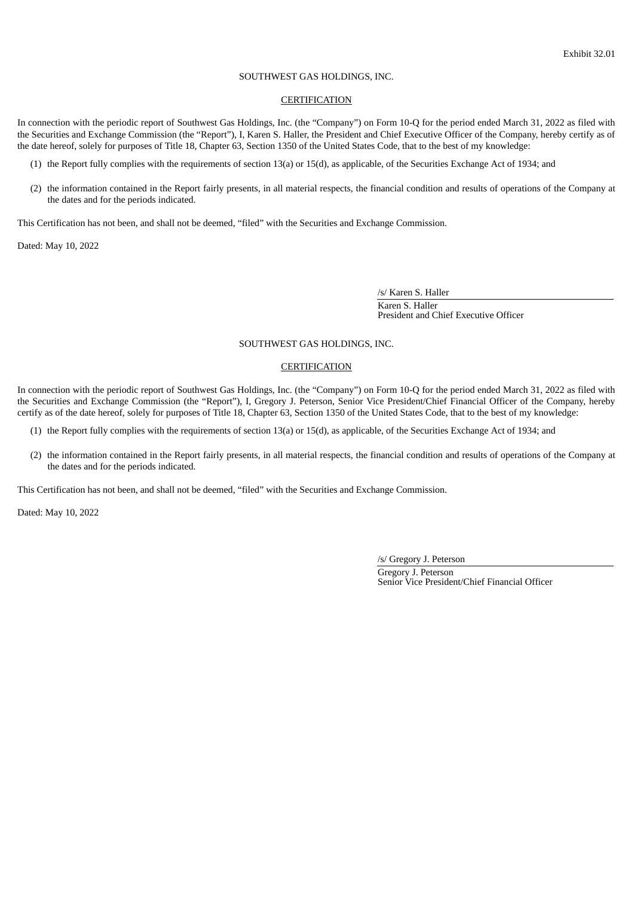### SOUTHWEST GAS HOLDINGS, INC.

#### **CERTIFICATION**

<span id="page-56-0"></span>In connection with the periodic report of Southwest Gas Holdings, Inc. (the "Company") on Form 10-Q for the period ended March 31, 2022 as filed with the Securities and Exchange Commission (the "Report"), I, Karen S. Haller, the President and Chief Executive Officer of the Company, hereby certify as of the date hereof, solely for purposes of Title 18, Chapter 63, Section 1350 of the United States Code, that to the best of my knowledge:

- (1) the Report fully complies with the requirements of section 13(a) or 15(d), as applicable, of the Securities Exchange Act of 1934; and
- (2) the information contained in the Report fairly presents, in all material respects, the financial condition and results of operations of the Company at the dates and for the periods indicated.

This Certification has not been, and shall not be deemed, "filed" with the Securities and Exchange Commission.

Dated: May 10, 2022

/s/ Karen S. Haller

Karen S. Haller President and Chief Executive Officer

### SOUTHWEST GAS HOLDINGS, INC.

### **CERTIFICATION**

In connection with the periodic report of Southwest Gas Holdings, Inc. (the "Company") on Form 10-Q for the period ended March 31, 2022 as filed with the Securities and Exchange Commission (the "Report"), I, Gregory J. Peterson, Senior Vice President/Chief Financial Officer of the Company, hereby certify as of the date hereof, solely for purposes of Title 18, Chapter 63, Section 1350 of the United States Code, that to the best of my knowledge:

- (1) the Report fully complies with the requirements of section 13(a) or 15(d), as applicable, of the Securities Exchange Act of 1934; and
- (2) the information contained in the Report fairly presents, in all material respects, the financial condition and results of operations of the Company at the dates and for the periods indicated.

This Certification has not been, and shall not be deemed, "filed" with the Securities and Exchange Commission.

Dated: May 10, 2022

/s/ Gregory J. Peterson

Gregory J. Peterson Senior Vice President/Chief Financial Officer